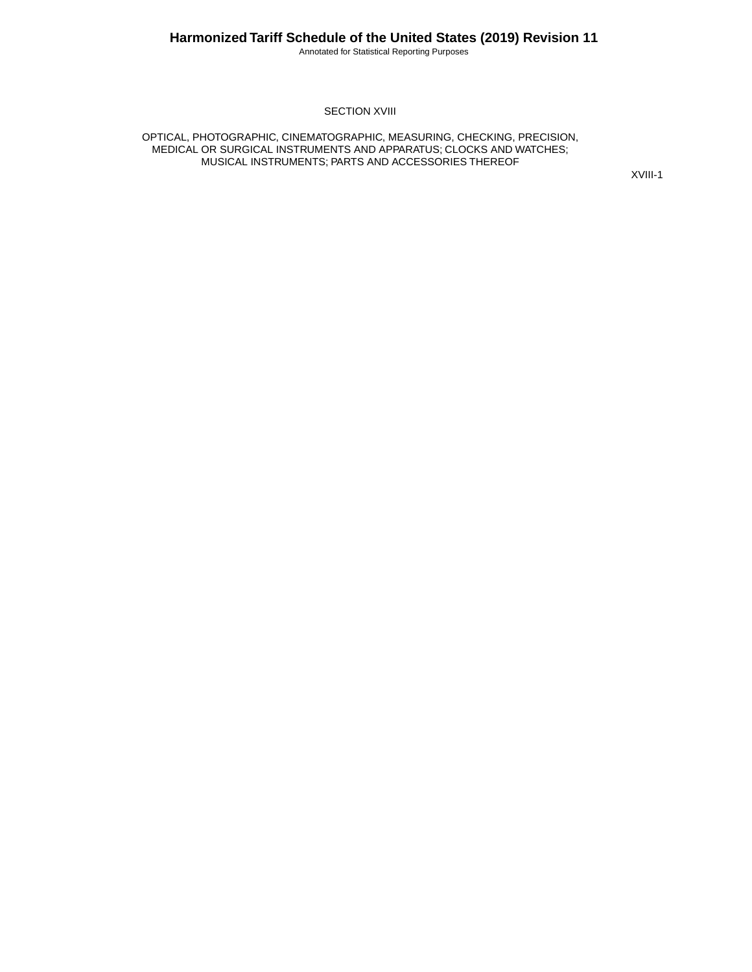Annotated for Statistical Reporting Purposes

**SECTION XVIII** 

OPTICAL, PHOTOGRAPHIC, CINEMATOGRAPHIC, MEASURING, CHECKING, PRECISION, MEDICAL OR SURGICAL INSTRUMENTS AND APPARATUS; CLOCKS AND WATCHES; MUSICAL INSTRUMENTS; PARTS AND ACCESSORIES THEREOF

XVIII-1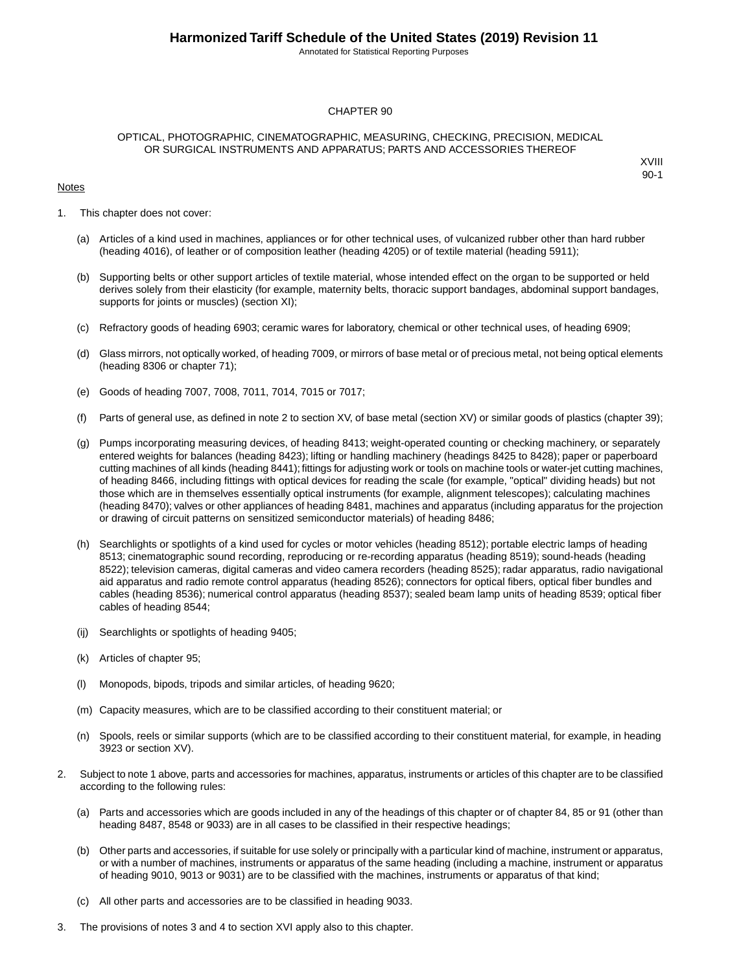Annotated for Statistical Reporting Purposes

#### CHAPTER 90

#### OPTICAL, PHOTOGRAPHIC, CINEMATOGRAPHIC, MEASURING, CHECKING, PRECISION, MEDICAL OR SURGICAL INSTRUMENTS AND APPARATUS; PARTS AND ACCESSORIES THEREOF

#### Notes

- 1. This chapter does not cover:
	- (a) Articles of a kind used in machines, appliances or for other technical uses, of vulcanized rubber other than hard rubber (heading 4016), of leather or of composition leather (heading 4205) or of textile material (heading 5911);
	- (b) Supporting belts or other support articles of textile material, whose intended effect on the organ to be supported or held derives solely from their elasticity (for example, maternity belts, thoracic support bandages, abdominal support bandages, supports for joints or muscles) (section XI);
	- (c) Refractory goods of heading 6903; ceramic wares for laboratory, chemical or other technical uses, of heading 6909;
	- (d) Glass mirrors, not optically worked, of heading 7009, or mirrors of base metal or of precious metal, not being optical elements (heading 8306 or chapter 71);
	- (e) Goods of heading 7007, 7008, 7011, 7014, 7015 or 7017;
	- (f) Parts of general use, as defined in note 2 to section XV, of base metal (section XV) or similar goods of plastics (chapter 39);
	- (g) Pumps incorporating measuring devices, of heading 8413; weight-operated counting or checking machinery, or separately entered weights for balances (heading 8423); lifting or handling machinery (headings 8425 to 8428); paper or paperboard cutting machines of all kinds (heading 8441); fittings for adjusting work or tools on machine tools or water-jet cutting machines, of heading 8466, including fittings with optical devices for reading the scale (for example, "optical" dividing heads) but not those which are in themselves essentially optical instruments (for example, alignment telescopes); calculating machines (heading 8470); valves or other appliances of heading 8481, machines and apparatus (including apparatus for the projection or drawing of circuit patterns on sensitized semiconductor materials) of heading 8486;
	- (h) Searchlights or spotlights of a kind used for cycles or motor vehicles (heading 8512); portable electric lamps of heading 8513; cinematographic sound recording, reproducing or re-recording apparatus (heading 8519); sound-heads (heading 8522); television cameras, digital cameras and video camera recorders (heading 8525); radar apparatus, radio navigational aid apparatus and radio remote control apparatus (heading 8526); connectors for optical fibers, optical fiber bundles and cables (heading 8536); numerical control apparatus (heading 8537); sealed beam lamp units of heading 8539; optical fiber cables of heading 8544;
	- (ij) Searchlights or spotlights of heading 9405;
	- (k) Articles of chapter 95;
	- (l) Monopods, bipods, tripods and similar articles, of heading 9620;
	- (m) Capacity measures, which are to be classified according to their constituent material; or
	- (n) Spools, reels or similar supports (which are to be classified according to their constituent material, for example, in heading 3923 or section XV).
- 2. Subject to note 1 above, parts and accessories for machines, apparatus, instruments or articles of this chapter are to be classified according to the following rules:
	- (a) Parts and accessories which are goods included in any of the headings of this chapter or of chapter 84, 85 or 91 (other than heading 8487, 8548 or 9033) are in all cases to be classified in their respective headings;
	- (b) Other parts and accessories, if suitable for use solely or principally with a particular kind of machine, instrument or apparatus, or with a number of machines, instruments or apparatus of the same heading (including a machine, instrument or apparatus of heading 9010, 9013 or 9031) are to be classified with the machines, instruments or apparatus of that kind;
	- (c) All other parts and accessories are to be classified in heading 9033.
- 3. The provisions of notes 3 and 4 to section XVI apply also to this chapter.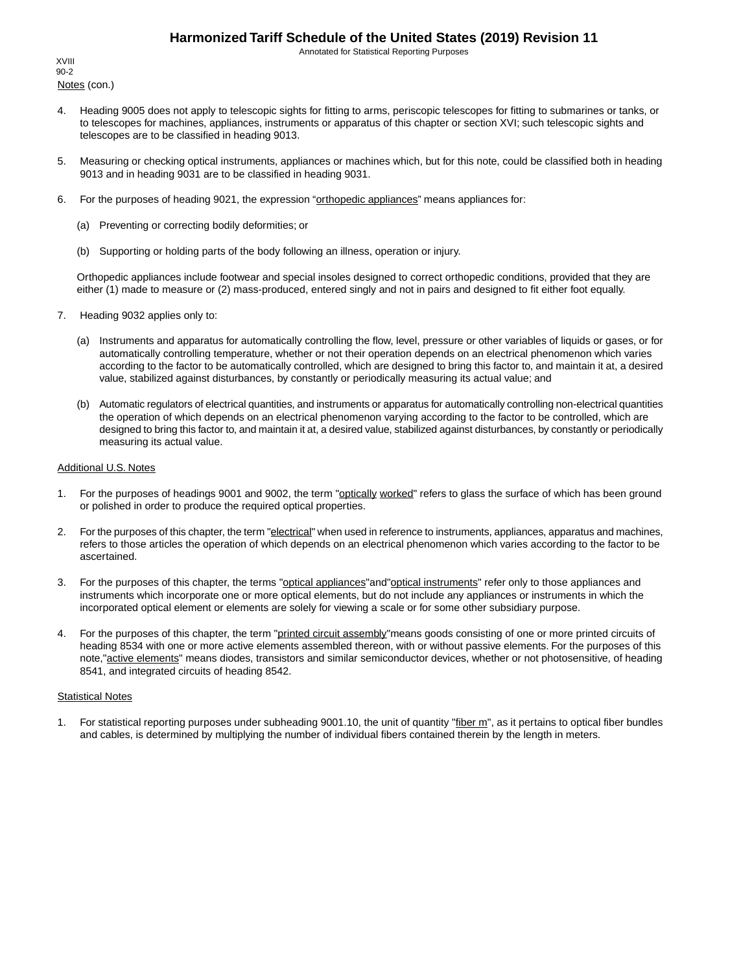Annotated for Statistical Reporting Purposes

Notes (con.) XVIII 90-2

- 4. Heading 9005 does not apply to telescopic sights for fitting to arms, periscopic telescopes for fitting to submarines or tanks, or to telescopes for machines, appliances, instruments or apparatus of this chapter or section XVI; such telescopic sights and telescopes are to be classified in heading 9013.
- 5. Measuring or checking optical instruments, appliances or machines which, but for this note, could be classified both in heading 9013 and in heading 9031 are to be classified in heading 9031.
- 6. For the purposes of heading 9021, the expression "orthopedic appliances" means appliances for:
	- (a) Preventing or correcting bodily deformities; or
	- (b) Supporting or holding parts of the body following an illness, operation or injury.

Orthopedic appliances include footwear and special insoles designed to correct orthopedic conditions, provided that they are either (1) made to measure or (2) mass-produced, entered singly and not in pairs and designed to fit either foot equally.

- 7. Heading 9032 applies only to:
	- (a) Instruments and apparatus for automatically controlling the flow, level, pressure or other variables of liquids or gases, or for automatically controlling temperature, whether or not their operation depends on an electrical phenomenon which varies according to the factor to be automatically controlled, which are designed to bring this factor to, and maintain it at, a desired value, stabilized against disturbances, by constantly or periodically measuring its actual value; and
	- (b) Automatic regulators of electrical quantities, and instruments or apparatus for automatically controlling non-electrical quantities the operation of which depends on an electrical phenomenon varying according to the factor to be controlled, which are designed to bring this factor to, and maintain it at, a desired value, stabilized against disturbances, by constantly or periodically measuring its actual value.

#### Additional U.S. Notes

- 1. For the purposes of headings 9001 and 9002, the term "optically worked" refers to glass the surface of which has been ground or polished in order to produce the required optical properties.
- 2. For the purposes of this chapter, the term "electrical" when used in reference to instruments, appliances, apparatus and machines, refers to those articles the operation of which depends on an electrical phenomenon which varies according to the factor to be ascertained.
- 3. For the purposes of this chapter, the terms "optical appliances"and"optical instruments" refer only to those appliances and instruments which incorporate one or more optical elements, but do not include any appliances or instruments in which the incorporated optical element or elements are solely for viewing a scale or for some other subsidiary purpose.
- 4. For the purposes of this chapter, the term "printed circuit assembly" means goods consisting of one or more printed circuits of heading 8534 with one or more active elements assembled thereon, with or without passive elements. For the purposes of this note,"active elements" means diodes, transistors and similar semiconductor devices, whether or not photosensitive, of heading 8541, and integrated circuits of heading 8542.

#### **Statistical Notes**

1. For statistical reporting purposes under subheading 9001.10, the unit of quantity "fiber m", as it pertains to optical fiber bundles and cables, is determined by multiplying the number of individual fibers contained therein by the length in meters.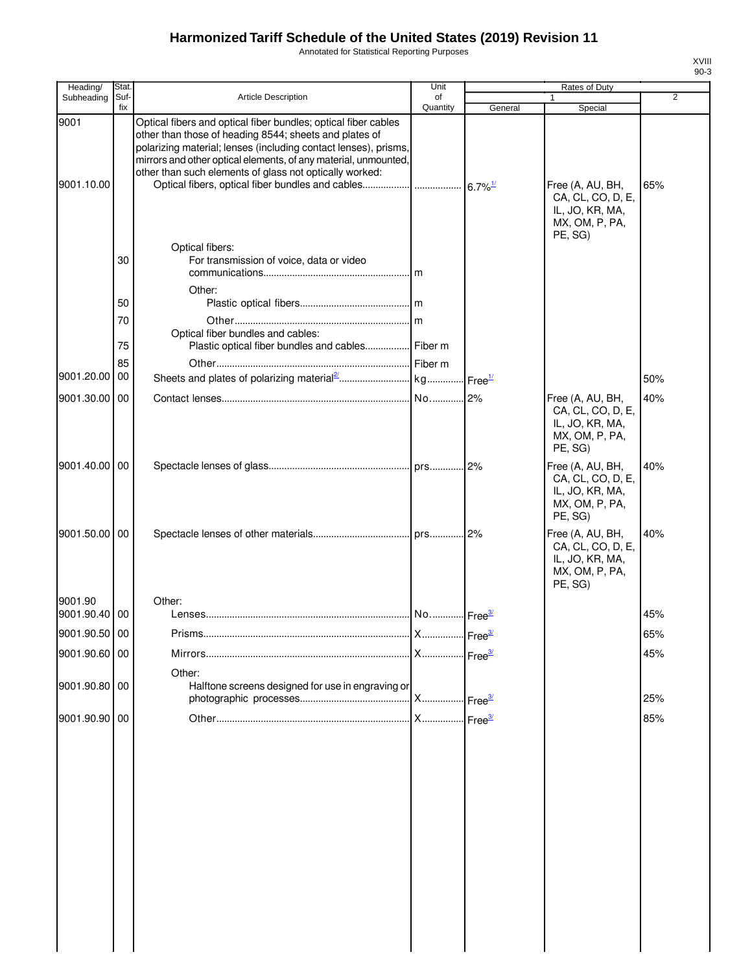Annotated for Statistical Reporting Purposes

| ı        |  |
|----------|--|
| ۰,<br>۰, |  |

| Heading/           | Stat.       |                                                                                                                                                                                                                                                                                                                                              | Unit           |         | Rates of Duty                                                                         |                |
|--------------------|-------------|----------------------------------------------------------------------------------------------------------------------------------------------------------------------------------------------------------------------------------------------------------------------------------------------------------------------------------------------|----------------|---------|---------------------------------------------------------------------------------------|----------------|
| Subheading         | Suf-<br>fix | <b>Article Description</b>                                                                                                                                                                                                                                                                                                                   | of<br>Quantity | General | $\mathbf{1}$<br>Special                                                               | $\overline{2}$ |
| 9001<br>9001.10.00 |             | Optical fibers and optical fiber bundles; optical fiber cables<br>other than those of heading 8544; sheets and plates of<br>polarizing material; lenses (including contact lenses), prisms,<br>mirrors and other optical elements, of any material, unmounted,<br>other than such elements of glass not optically worked:<br>Optical fibers: |                |         | Free (A, AU, BH,<br>CA, CL, CO, D, E,<br>IL, JO, KR, MA,<br>MX, OM, P, PA,<br>PE, SG) | 65%            |
|                    | 30          | For transmission of voice, data or video<br>Other:                                                                                                                                                                                                                                                                                           |                |         |                                                                                       |                |
|                    | 50          |                                                                                                                                                                                                                                                                                                                                              |                |         |                                                                                       |                |
|                    | 70<br>75    | Optical fiber bundles and cables:<br>Plastic optical fiber bundles and cables Fiber m                                                                                                                                                                                                                                                        |                |         |                                                                                       |                |
|                    | 85          |                                                                                                                                                                                                                                                                                                                                              |                |         |                                                                                       |                |
| 9001.20.00         | 00          |                                                                                                                                                                                                                                                                                                                                              |                |         |                                                                                       | 50%            |
| 9001.30.00 00      |             |                                                                                                                                                                                                                                                                                                                                              |                |         | Free (A, AU, BH,<br>CA, CL, CO, D, E,<br>IL, JO, KR, MA,<br>MX, OM, P, PA,<br>PE, SG) | 40%            |
| 9001.40.00 00      |             |                                                                                                                                                                                                                                                                                                                                              |                |         | Free (A, AU, BH,<br>CA, CL, CO, D, E,<br>IL, JO, KR, MA,<br>MX, OM, P, PA,<br>PE, SG) | 40%            |
| 9001.50.00 00      |             |                                                                                                                                                                                                                                                                                                                                              |                |         | Free (A, AU, BH,<br>CA, CL, CO, D, E,<br>IL, JO, KR, MA,<br>MX, OM, P, PA,<br>PE, SG) | 40%            |
| 9001.90            |             | Other:                                                                                                                                                                                                                                                                                                                                       |                |         |                                                                                       |                |
| 9001.90.40 00      |             |                                                                                                                                                                                                                                                                                                                                              |                |         |                                                                                       | 45%            |
| 9001.90.50 00      |             |                                                                                                                                                                                                                                                                                                                                              |                |         |                                                                                       | 65%            |
| 9001.90.60 00      |             |                                                                                                                                                                                                                                                                                                                                              |                |         |                                                                                       | 45%            |
| 9001.90.80 00      |             | Other:<br>Halftone screens designed for use in engraving or                                                                                                                                                                                                                                                                                  |                |         |                                                                                       | 25%            |
| 9001.90.90 00      |             |                                                                                                                                                                                                                                                                                                                                              |                |         |                                                                                       | 85%            |
|                    |             |                                                                                                                                                                                                                                                                                                                                              |                |         |                                                                                       |                |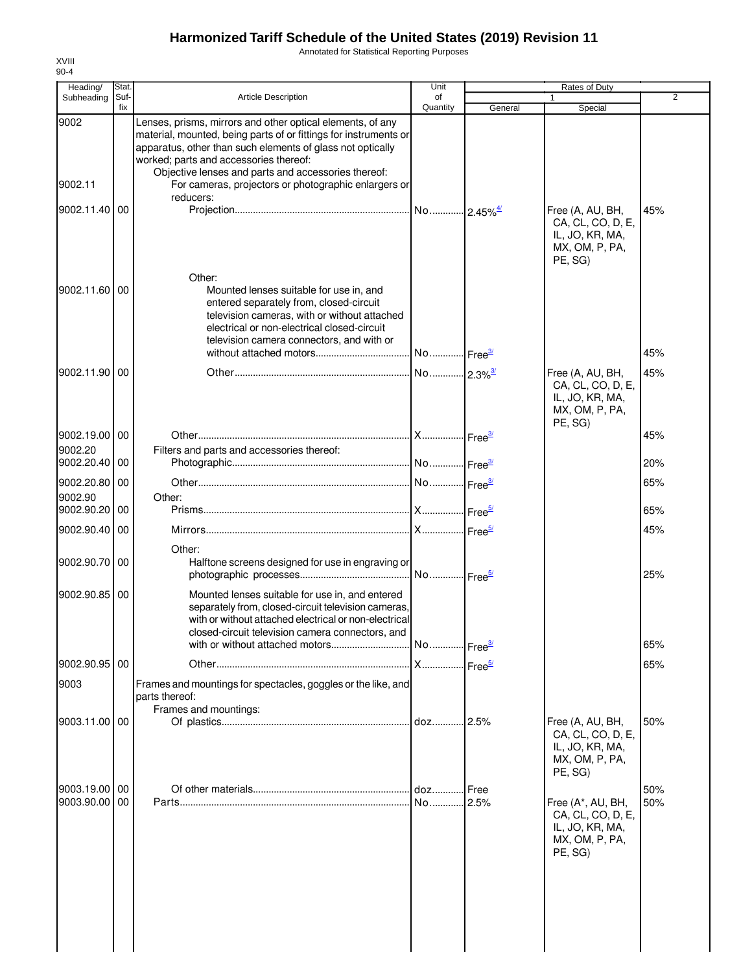Annotated for Statistical Reporting Purposes

| Heading/                 | Stat.       |                                                                                                                                                                                                                                                                                                                                                       | Unit                  |         | Rates of Duty                                                                          |     |
|--------------------------|-------------|-------------------------------------------------------------------------------------------------------------------------------------------------------------------------------------------------------------------------------------------------------------------------------------------------------------------------------------------------------|-----------------------|---------|----------------------------------------------------------------------------------------|-----|
| Subheading               | Suf-<br>fix | Article Description                                                                                                                                                                                                                                                                                                                                   | of<br>Quantity        | General | $\mathbf{1}$<br>Special                                                                | 2   |
| 9002<br>9002.11          |             | Lenses, prisms, mirrors and other optical elements, of any<br>material, mounted, being parts of or fittings for instruments or<br>apparatus, other than such elements of glass not optically<br>worked; parts and accessories thereof:<br>Objective lenses and parts and accessories thereof:<br>For cameras, projectors or photographic enlargers or |                       |         |                                                                                        |     |
| 9002.11.40 00            |             | reducers:                                                                                                                                                                                                                                                                                                                                             |                       |         |                                                                                        | 45% |
|                          |             | Other:                                                                                                                                                                                                                                                                                                                                                |                       |         | Free (A, AU, BH,<br>CA, CL, CO, D, E,<br>IL, JO, KR, MA,<br>MX, OM, P, PA,<br>PE, SG)  |     |
| 9002.11.60               | 00          | Mounted lenses suitable for use in, and<br>entered separately from, closed-circuit<br>television cameras, with or without attached<br>electrical or non-electrical closed-circuit<br>television camera connectors, and with or                                                                                                                        | No Free <sup>3/</sup> |         |                                                                                        | 45% |
| 9002.11.90 00            |             |                                                                                                                                                                                                                                                                                                                                                       |                       |         | Free (A, AU, BH,                                                                       | 45% |
|                          |             |                                                                                                                                                                                                                                                                                                                                                       |                       |         | CA, CL, CO, D, E,<br>IL, JO, KR, MA,<br>MX, OM, P, PA,<br>PE, SG)                      |     |
| 9002.19.00 00            |             |                                                                                                                                                                                                                                                                                                                                                       |                       |         |                                                                                        | 45% |
| 9002.20<br>9002.20.40    | 00          | Filters and parts and accessories thereof:                                                                                                                                                                                                                                                                                                            |                       |         |                                                                                        | 20% |
|                          |             |                                                                                                                                                                                                                                                                                                                                                       |                       |         |                                                                                        |     |
| 9002.20.80 00<br>9002.90 |             | Other:                                                                                                                                                                                                                                                                                                                                                |                       |         |                                                                                        | 65% |
| 9002.90.20               | 00          |                                                                                                                                                                                                                                                                                                                                                       |                       |         |                                                                                        | 65% |
| 9002.90.40 00            |             |                                                                                                                                                                                                                                                                                                                                                       |                       |         |                                                                                        | 45% |
|                          |             | Other:                                                                                                                                                                                                                                                                                                                                                |                       |         |                                                                                        |     |
| 9002.90.70 00            |             | Halftone screens designed for use in engraving or                                                                                                                                                                                                                                                                                                     |                       |         |                                                                                        | 25% |
| 9002.90.85               | 00          | Mounted lenses suitable for use in, and entered<br>separately from, closed-circuit television cameras,<br>with or without attached electrical or non-electrical<br>closed-circuit television camera connectors, and                                                                                                                                   |                       |         |                                                                                        |     |
|                          |             |                                                                                                                                                                                                                                                                                                                                                       |                       |         |                                                                                        | 65% |
| 9002.90.95 00            |             |                                                                                                                                                                                                                                                                                                                                                       |                       |         |                                                                                        | 65% |
| 9003                     |             | Frames and mountings for spectacles, goggles or the like, and<br>parts thereof:<br>Frames and mountings:                                                                                                                                                                                                                                              |                       |         |                                                                                        |     |
| 9003.11.00 00            |             |                                                                                                                                                                                                                                                                                                                                                       |                       |         | Free (A, AU, BH,<br>CA, CL, CO, D, E,<br>IL, JO, KR, MA,<br>MX, OM, P, PA,<br>PE, SG)  | 50% |
| 9003.19.00 00            |             |                                                                                                                                                                                                                                                                                                                                                       |                       | Free    |                                                                                        | 50% |
| 9003.90.00 00            |             |                                                                                                                                                                                                                                                                                                                                                       |                       |         | Free (A*, AU, BH,<br>CA, CL, CO, D, E,<br>IL, JO, KR, MA,<br>MX, OM, P, PA,<br>PE, SG) | 50% |
|                          |             |                                                                                                                                                                                                                                                                                                                                                       |                       |         |                                                                                        |     |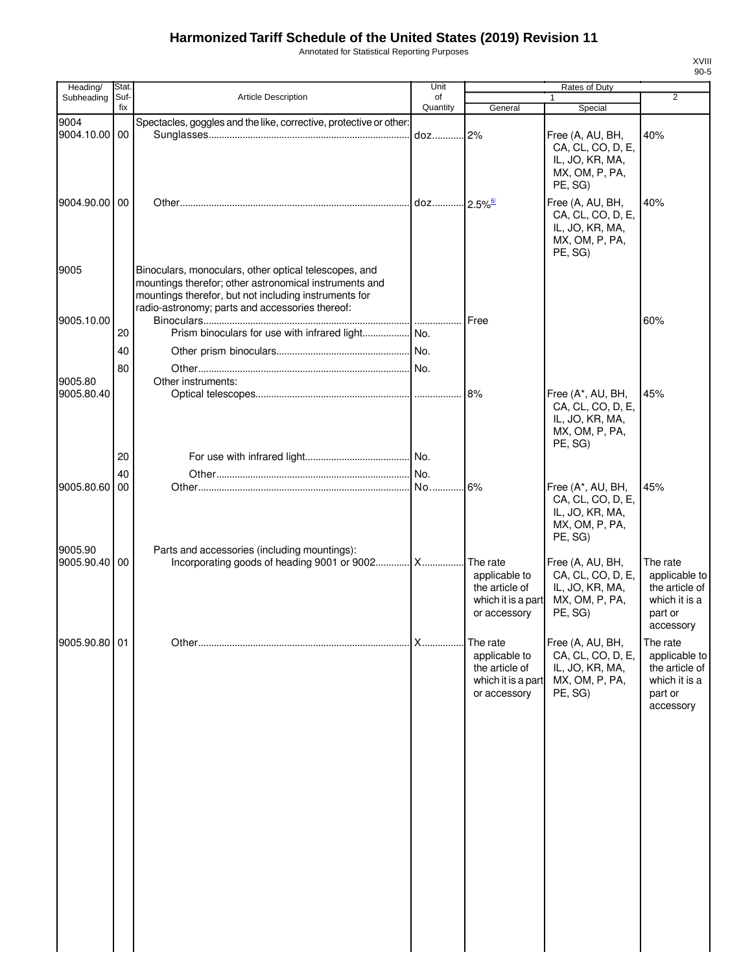Annotated for Statistical Reporting Purposes

| Heading/              | Stat.       |                                                                                                                                                                                                                             | Unit           |                                                                                   | Rates of Duty                                                                          |                                                                                      |
|-----------------------|-------------|-----------------------------------------------------------------------------------------------------------------------------------------------------------------------------------------------------------------------------|----------------|-----------------------------------------------------------------------------------|----------------------------------------------------------------------------------------|--------------------------------------------------------------------------------------|
| Subheading            | Suf-<br>fix | <b>Article Description</b>                                                                                                                                                                                                  | of<br>Quantity | General                                                                           | 1<br>Special                                                                           | 2                                                                                    |
| 9004                  |             | Spectacles, goggles and the like, corrective, protective or other:                                                                                                                                                          |                |                                                                                   |                                                                                        |                                                                                      |
| 9004.10.00            | 00          |                                                                                                                                                                                                                             |                |                                                                                   | Free (A, AU, BH,<br>CA, CL, CO, D, E,<br>IL, JO, KR, MA,<br>MX, OM, P, PA,<br>PE, SG)  | 40%                                                                                  |
| 9004.90.00 00         |             |                                                                                                                                                                                                                             |                |                                                                                   | Free (A, AU, BH,<br>CA, CL, CO, D, E,<br>IL, JO, KR, MA,<br>MX, OM, P, PA,<br>PE, SG)  | 40%                                                                                  |
| 9005                  |             | Binoculars, monoculars, other optical telescopes, and<br>mountings therefor; other astronomical instruments and<br>mountings therefor, but not including instruments for<br>radio-astronomy; parts and accessories thereof: |                |                                                                                   |                                                                                        |                                                                                      |
| 9005.10.00            |             |                                                                                                                                                                                                                             |                | Free                                                                              |                                                                                        | 60%                                                                                  |
|                       | 20          |                                                                                                                                                                                                                             |                |                                                                                   |                                                                                        |                                                                                      |
|                       | 40          |                                                                                                                                                                                                                             |                |                                                                                   |                                                                                        |                                                                                      |
|                       | 80          |                                                                                                                                                                                                                             |                |                                                                                   |                                                                                        |                                                                                      |
| 9005.80               |             | Other instruments:                                                                                                                                                                                                          |                |                                                                                   |                                                                                        |                                                                                      |
| 9005.80.40            |             |                                                                                                                                                                                                                             |                | 8%                                                                                | Free (A*, AU, BH,<br>CA, CL, CO, D, E,<br>IL, JO, KR, MA,<br>MX, OM, P, PA,<br>PE, SG) | 45%                                                                                  |
|                       | 20          |                                                                                                                                                                                                                             |                |                                                                                   |                                                                                        |                                                                                      |
|                       | 40          |                                                                                                                                                                                                                             |                |                                                                                   |                                                                                        |                                                                                      |
| 9005.80.60<br>9005.90 | 00          |                                                                                                                                                                                                                             |                | 6%                                                                                | Free (A*, AU, BH,<br>CA, CL, CO, D, E,<br>IL, JO, KR, MA,<br>MX, OM, P, PA,<br>PE, SG) | 45%                                                                                  |
| 9005.90.40 00         |             | Parts and accessories (including mountings):<br>Incorporating goods of heading 9001 or 9002 X                                                                                                                               |                | The rate<br>applicable to<br>the article of<br>which it is a part<br>or accessory | Free (A, AU, BH,<br>CA, CL, CO, D, E,<br>IL, JO, KR, MA,<br>MX, OM, P, PA,<br>PE, SG)  | The rate<br>applicable to<br>the article of<br>which it is a<br>part or<br>accessory |
| 9005.90.80 01         |             |                                                                                                                                                                                                                             | X              | The rate<br>applicable to<br>the article of<br>which it is a part<br>or accessory | Free (A, AU, BH,<br>CA, CL, CO, D, E,<br>IL, JO, KR, MA,<br>MX, OM, P, PA,<br>PE, SG)  | The rate<br>applicable to<br>the article of<br>which it is a<br>part or<br>accessory |
|                       |             |                                                                                                                                                                                                                             |                |                                                                                   |                                                                                        |                                                                                      |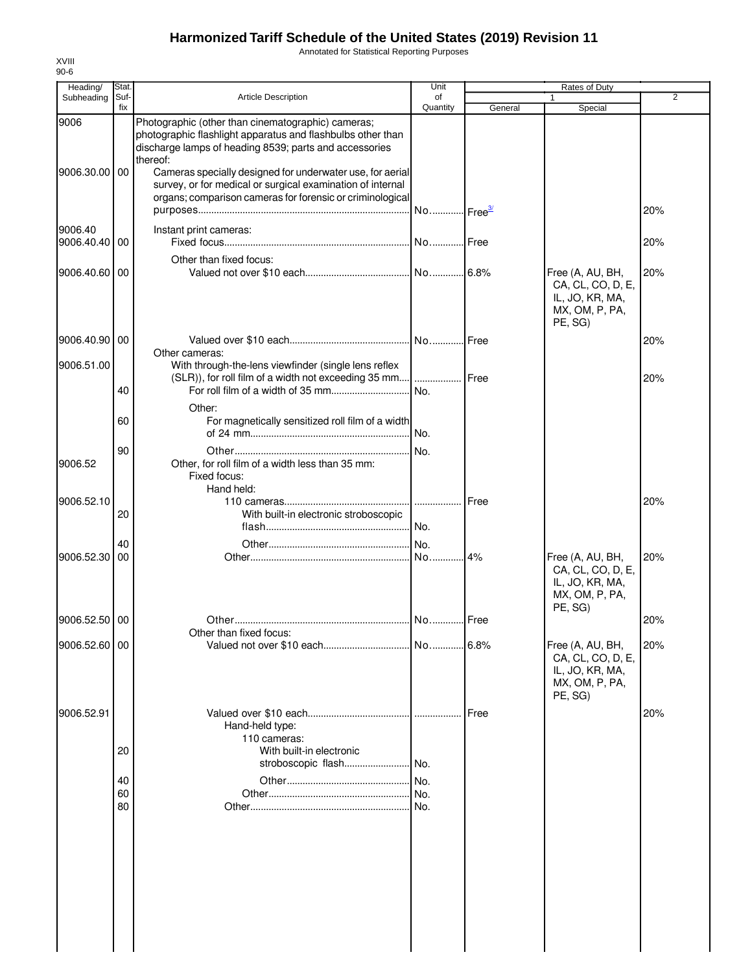Annotated for Statistical Reporting Purposes

| Heading/<br>Subheading   | <b>Stat</b><br>Suf- | <b>Article Description</b>                                                                                                                                                                                                                           | Unit<br>of            |              | Rates of Duty                                                                         | $\overline{2}$ |
|--------------------------|---------------------|------------------------------------------------------------------------------------------------------------------------------------------------------------------------------------------------------------------------------------------------------|-----------------------|--------------|---------------------------------------------------------------------------------------|----------------|
|                          | fix                 |                                                                                                                                                                                                                                                      | Quantity              | General      | Special                                                                               |                |
| 9006<br>9006.30.00 00    |                     | Photographic (other than cinematographic) cameras;<br>photographic flashlight apparatus and flashbulbs other than<br>discharge lamps of heading 8539; parts and accessories<br>thereof:<br>Cameras specially designed for underwater use, for aerial |                       |              |                                                                                       |                |
|                          |                     | survey, or for medical or surgical examination of internal<br>organs; comparison cameras for forensic or criminological                                                                                                                              | No Free <sup>3/</sup> |              |                                                                                       | 20%            |
| 9006.40<br>9006.40.40 00 |                     | Instant print cameras:                                                                                                                                                                                                                               | No Free               |              |                                                                                       | 20%            |
| 9006.40.60 00            |                     | Other than fixed focus:                                                                                                                                                                                                                              |                       |              | Free (A, AU, BH,<br>CA, CL, CO, D, E,<br>IL, JO, KR, MA,<br>MX, OM, P, PA,<br>PE, SG) | 20%            |
| 9006.40.90 00            |                     |                                                                                                                                                                                                                                                      |                       |              |                                                                                       | 20%            |
| 9006.51.00               |                     | Other cameras:<br>With through-the-lens viewfinder (single lens reflex<br>(SLR)), for roll film of a width not exceeding 35 mm                                                                                                                       | .                     | <b>IFree</b> |                                                                                       | 20%            |
|                          | 40                  | Other:                                                                                                                                                                                                                                               | No.                   |              |                                                                                       |                |
|                          | 60                  | For magnetically sensitized roll film of a width                                                                                                                                                                                                     | No.                   |              |                                                                                       |                |
| 9006.52                  | 90                  | Other, for roll film of a width less than 35 mm:<br>Fixed focus:<br>Hand held:                                                                                                                                                                       | No.                   |              |                                                                                       |                |
| 9006.52.10               | 20                  | With built-in electronic stroboscopic                                                                                                                                                                                                                | .<br>No.              | <b>IFree</b> |                                                                                       | 20%            |
| 9006.52.30               | 40<br>00            |                                                                                                                                                                                                                                                      | No.                   |              | Free (A, AU, BH,<br>CA, CL, CO, D, E,<br>IL, JO, KR, MA,<br>MX, OM, P, PA,<br>PE, SG) | 20%            |
| 9006.52.50 00            |                     | Other than fixed focus:                                                                                                                                                                                                                              |                       |              |                                                                                       | 20%            |
| 9006.52.60 00            |                     |                                                                                                                                                                                                                                                      |                       |              | Free (A, AU, BH,<br>CA, CL, CO, D, E,<br>IL, JO, KR, MA,<br>MX, OM, P, PA,<br>PE, SG) | 20%            |
| 9006.52.91               | 20                  | Hand-held type:<br>110 cameras:<br>With built-in electronic                                                                                                                                                                                          |                       | Free         |                                                                                       | 20%            |
|                          |                     | stroboscopic flash                                                                                                                                                                                                                                   | .I No.                |              |                                                                                       |                |
|                          | 40                  |                                                                                                                                                                                                                                                      | No.                   |              |                                                                                       |                |
|                          | 60<br>80            |                                                                                                                                                                                                                                                      | No.<br>No.            |              |                                                                                       |                |
|                          |                     |                                                                                                                                                                                                                                                      |                       |              |                                                                                       |                |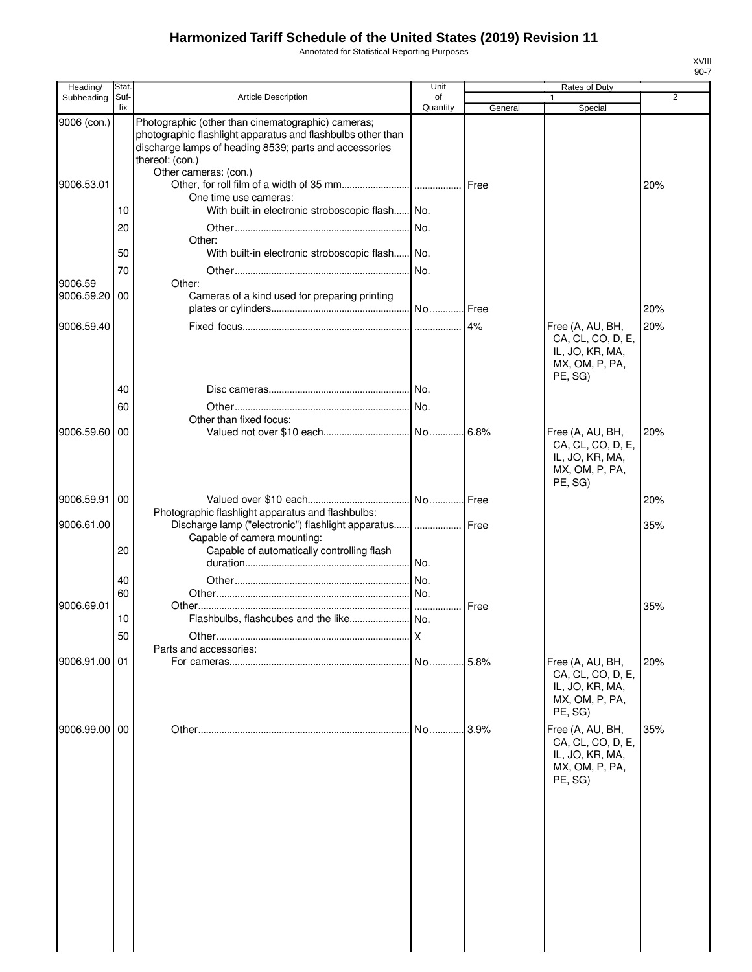Annotated for Statistical Reporting Purposes

| Heading/                  | Stat.       |                                                                                                                                                                                                                         | Unit           |         | Rates of Duty                                                                         |                |
|---------------------------|-------------|-------------------------------------------------------------------------------------------------------------------------------------------------------------------------------------------------------------------------|----------------|---------|---------------------------------------------------------------------------------------|----------------|
| Subheading                | Suf-<br>fix | <b>Article Description</b>                                                                                                                                                                                              | οf<br>Quantity | General | $\mathbf{1}$<br>Special                                                               | $\overline{2}$ |
| 9006 (con.)<br>9006.53.01 |             | Photographic (other than cinematographic) cameras;<br>photographic flashlight apparatus and flashbulbs other than<br>discharge lamps of heading 8539; parts and accessories<br>thereof: (con.)<br>Other cameras: (con.) |                | Free    |                                                                                       | 20%            |
|                           |             | One time use cameras:                                                                                                                                                                                                   |                |         |                                                                                       |                |
|                           | 10          | With built-in electronic stroboscopic flash No.                                                                                                                                                                         |                |         |                                                                                       |                |
|                           | 20          |                                                                                                                                                                                                                         | No.            |         |                                                                                       |                |
|                           | 50          | Other:<br>With built-in electronic stroboscopic flash No.                                                                                                                                                               |                |         |                                                                                       |                |
|                           | 70          |                                                                                                                                                                                                                         | No.            |         |                                                                                       |                |
| 9006.59<br>9006.59.20     | 00          | Other:<br>Cameras of a kind used for preparing printing                                                                                                                                                                 |                |         |                                                                                       | 20%            |
| 9006.59.40                |             |                                                                                                                                                                                                                         |                |         | Free (A, AU, BH,                                                                      | 20%            |
|                           |             |                                                                                                                                                                                                                         |                |         | CA, CL, CO, D, E,<br>IL, JO, KR, MA,<br>MX, OM, P, PA,<br>PE, SG)                     |                |
|                           | 40          |                                                                                                                                                                                                                         |                |         |                                                                                       |                |
|                           | 60          | Other than fixed focus:                                                                                                                                                                                                 |                |         |                                                                                       |                |
| 9006.59.60                | 00          |                                                                                                                                                                                                                         |                | 6.8%    | Free (A, AU, BH,                                                                      | 20%            |
|                           |             |                                                                                                                                                                                                                         |                |         | CA, CL, CO, D, E,<br>IL, JO, KR, MA,<br>MX, OM, P, PA,<br>PE, SG)                     |                |
| 9006.59.91                | 00          |                                                                                                                                                                                                                         |                |         |                                                                                       | 20%            |
| 9006.61.00                |             | Photographic flashlight apparatus and flashbulbs:<br>Discharge lamp ("electronic") flashlight apparatus      Free                                                                                                       |                |         |                                                                                       | 35%            |
|                           | 20          | Capable of camera mounting:<br>Capable of automatically controlling flash                                                                                                                                               |                |         |                                                                                       |                |
|                           | 40          |                                                                                                                                                                                                                         |                |         |                                                                                       |                |
|                           | 60          |                                                                                                                                                                                                                         |                |         |                                                                                       |                |
| 9006.69.01                |             |                                                                                                                                                                                                                         |                | Free    |                                                                                       | 35%            |
|                           | 10          |                                                                                                                                                                                                                         |                |         |                                                                                       |                |
|                           | 50          |                                                                                                                                                                                                                         | X              |         |                                                                                       |                |
| 9006.91.00 01             |             | Parts and accessories:                                                                                                                                                                                                  |                |         | Free (A, AU, BH,                                                                      | 20%            |
|                           |             |                                                                                                                                                                                                                         |                |         | CA, CL, CO, D, E,<br>IL, JO, KR, MA,<br>MX, OM, P, PA,<br>PE, SG)                     |                |
| 9006.99.00                | 00          |                                                                                                                                                                                                                         | No             | 3.9%    | Free (A, AU, BH,<br>CA, CL, CO, D, E,<br>IL, JO, KR, MA,<br>MX, OM, P, PA,<br>PE, SG) | 35%            |
|                           |             |                                                                                                                                                                                                                         |                |         |                                                                                       |                |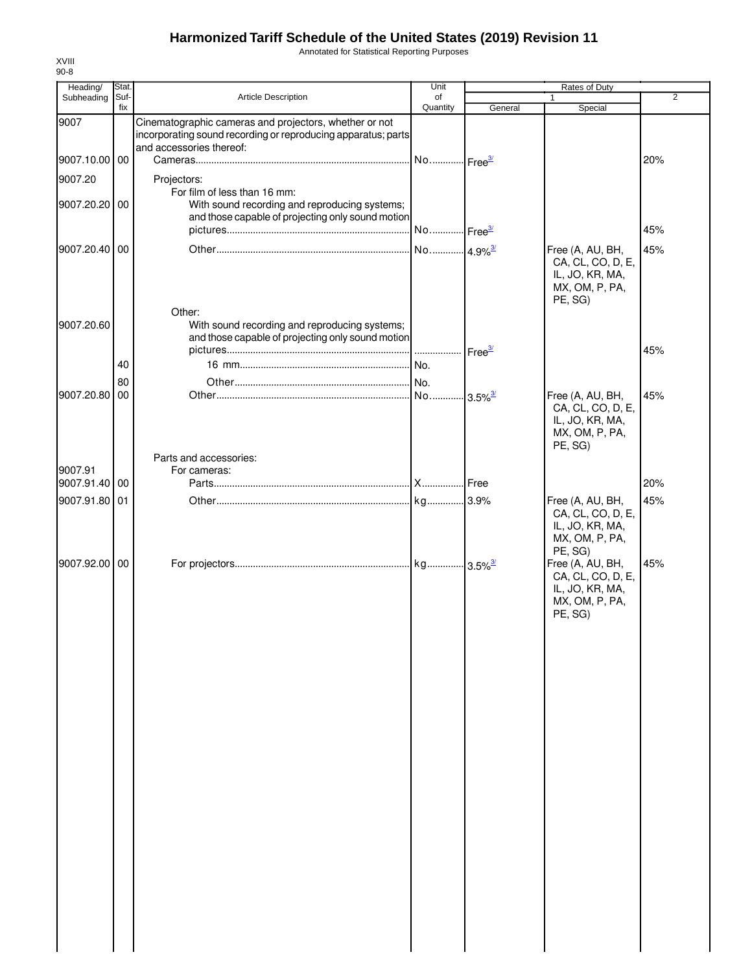Annotated for Statistical Reporting Purposes

| Heading/                 | Stat.       |                                                                                                                                    | Unit                  |         | Rates of Duty                                                                         |                |
|--------------------------|-------------|------------------------------------------------------------------------------------------------------------------------------------|-----------------------|---------|---------------------------------------------------------------------------------------|----------------|
| Subheading               | Suf-<br>fix | Article Description                                                                                                                | οf<br>Quantity        | General | 1<br>Special                                                                          | $\overline{2}$ |
| 9007                     |             | Cinematographic cameras and projectors, whether or not<br>incorporating sound recording or reproducing apparatus; parts            |                       |         |                                                                                       |                |
|                          |             | and accessories thereof:                                                                                                           |                       |         |                                                                                       |                |
| 9007.10.00 00            |             |                                                                                                                                    | No Free <sup>3/</sup> |         |                                                                                       | 20%            |
| 9007.20                  |             | Projectors:                                                                                                                        |                       |         |                                                                                       |                |
| 9007.20.20 00            |             | For film of less than 16 mm:<br>With sound recording and reproducing systems;<br>and those capable of projecting only sound motion |                       |         |                                                                                       |                |
|                          |             |                                                                                                                                    |                       |         |                                                                                       | 45%            |
| 9007.20.40 00            |             |                                                                                                                                    | No 4.9% <sup>3/</sup> |         | Free (A, AU, BH,<br>CA, CL, CO, D, E,<br>IL, JO, KR, MA,<br>MX, OM, P, PA,<br>PE, SG) | 45%            |
| 9007.20.60               |             | Other:<br>With sound recording and reproducing systems;<br>and those capable of projecting only sound motion                       |                       |         |                                                                                       | 45%            |
|                          | 40          |                                                                                                                                    |                       |         |                                                                                       |                |
|                          |             |                                                                                                                                    |                       |         |                                                                                       |                |
| 9007.20.80               | 80<br>00    |                                                                                                                                    |                       |         | Free (A, AU, BH,                                                                      | 45%            |
|                          |             |                                                                                                                                    |                       |         | CA, CL, CO, D, E,<br>IL, JO, KR, MA,<br>MX, OM, P, PA,<br>PE, SG)                     |                |
|                          |             | Parts and accessories:                                                                                                             |                       |         |                                                                                       |                |
| 9007.91<br>9007.91.40 00 |             | For cameras:                                                                                                                       |                       |         |                                                                                       | 20%            |
|                          |             |                                                                                                                                    |                       |         |                                                                                       |                |
| 9007.91.80 01            |             |                                                                                                                                    |                       |         | Free (A, AU, BH,<br>CA, CL, CO, D, E,<br>IL, JO, KR, MA,<br>MX, OM, P, PA,<br>PE, SG) | 45%            |
| 9007.92.00 00            |             |                                                                                                                                    |                       |         | Free (A, AU, BH,<br>CA, CL, CO, D, E,<br>IL, JO, KR, MA,<br>MX, OM, P, PA,<br>PE, SG) | 45%            |
|                          |             |                                                                                                                                    |                       |         |                                                                                       |                |
|                          |             |                                                                                                                                    |                       |         |                                                                                       |                |
|                          |             |                                                                                                                                    |                       |         |                                                                                       |                |
|                          |             |                                                                                                                                    |                       |         |                                                                                       |                |
|                          |             |                                                                                                                                    |                       |         |                                                                                       |                |
|                          |             |                                                                                                                                    |                       |         |                                                                                       |                |
|                          |             |                                                                                                                                    |                       |         |                                                                                       |                |
|                          |             |                                                                                                                                    |                       |         |                                                                                       |                |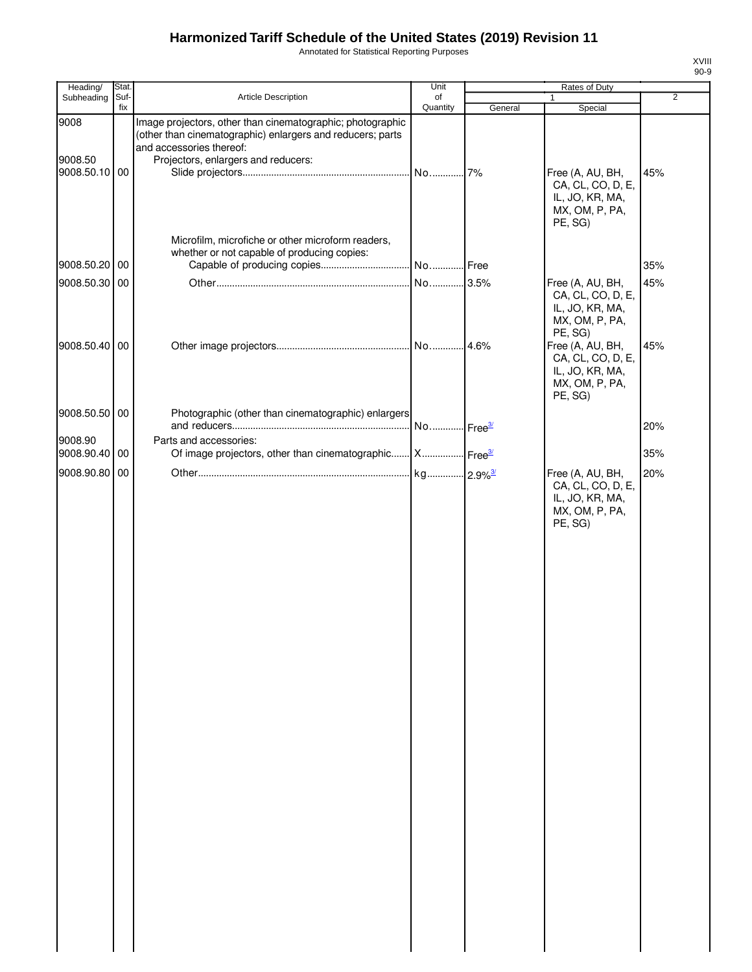Annotated for Statistical Reporting Purposes

| ۰,<br>۰.<br>۰,<br>٠ |
|---------------------|

| Heading/                         | Stat.       |                                                                                                                                                                                             | Unit           |         | Rates of Duty                                                                         |     |
|----------------------------------|-------------|---------------------------------------------------------------------------------------------------------------------------------------------------------------------------------------------|----------------|---------|---------------------------------------------------------------------------------------|-----|
| Subheading                       | Suf-<br>fix | Article Description                                                                                                                                                                         | of<br>Quantity | General | 1<br>Special                                                                          | 2   |
| 9008<br>9008.50<br>9008.50.10 00 |             | Image projectors, other than cinematographic; photographic<br>(other than cinematographic) enlargers and reducers; parts<br>and accessories thereof:<br>Projectors, enlargers and reducers: |                | 7%      | Free (A, AU, BH,<br>CA, CL, CO, D, E,<br>IL, JO, KR, MA,<br>MX, OM, P, PA,<br>PE, SG) | 45% |
|                                  |             | Microfilm, microfiche or other microform readers,                                                                                                                                           |                |         |                                                                                       |     |
|                                  |             | whether or not capable of producing copies:                                                                                                                                                 |                |         |                                                                                       |     |
| 9008.50.20 00                    |             |                                                                                                                                                                                             |                |         |                                                                                       | 35% |
| 9008.50.30 00                    |             |                                                                                                                                                                                             | No             | 3.5%    | Free (A, AU, BH,<br>CA, CL, CO, D, E,<br>IL, JO, KR, MA,<br>MX, OM, P, PA,<br>PE, SG) | 45% |
| 9008.50.40 00                    |             |                                                                                                                                                                                             |                |         | Free (A, AU, BH,<br>CA, CL, CO, D, E,<br>IL, JO, KR, MA,<br>MX, OM, P, PA,<br>PE, SG) | 45% |
| 9008.50.50 00                    |             | Photographic (other than cinematographic) enlargers                                                                                                                                         |                |         |                                                                                       | 20% |
| 9008.90                          |             | Parts and accessories:                                                                                                                                                                      |                |         |                                                                                       |     |
| 9008.90.40 00                    |             | Of image projectors, other than cinematographic X Free3                                                                                                                                     |                |         |                                                                                       | 35% |
| 9008.90.80 00                    |             |                                                                                                                                                                                             |                |         | Free (A, AU, BH,<br>CA, CL, CO, D, E,<br>IL, JO, KR, MA,<br>MX, OM, P, PA,<br>PE, SG) | 20% |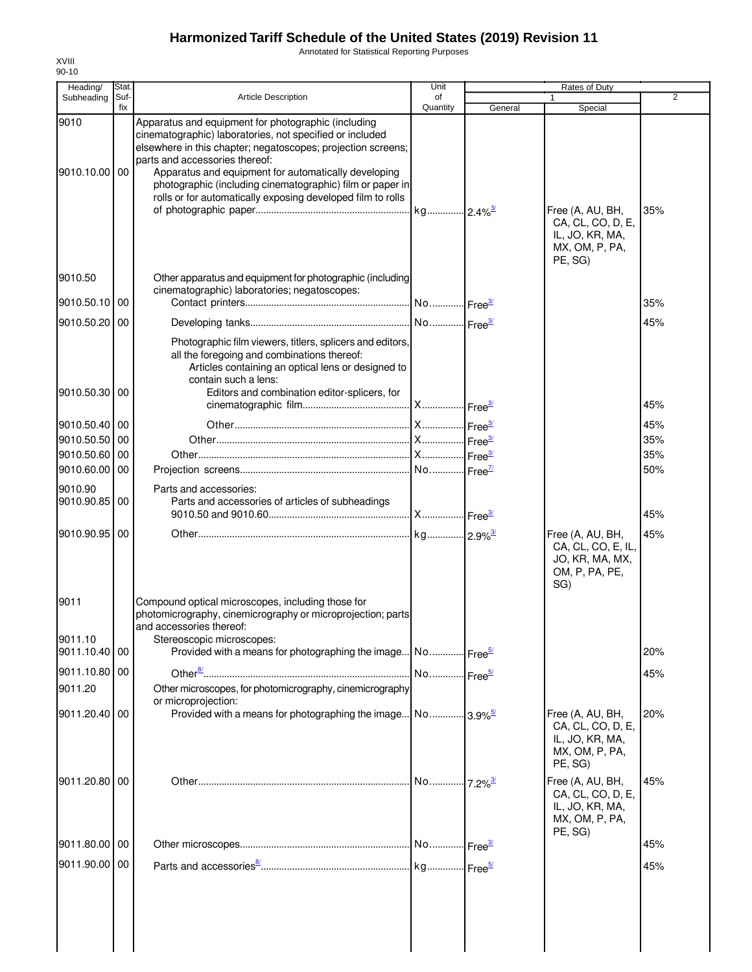Annotated for Statistical Reporting Purposes

| Heading/                 | Stat.       |                                                                                                                                                                                                                                                                                                                                                                                                       | Unit                  |         | Rates of Duty                                                                         |                |
|--------------------------|-------------|-------------------------------------------------------------------------------------------------------------------------------------------------------------------------------------------------------------------------------------------------------------------------------------------------------------------------------------------------------------------------------------------------------|-----------------------|---------|---------------------------------------------------------------------------------------|----------------|
| Subheading               | Suf-<br>fix | Article Description                                                                                                                                                                                                                                                                                                                                                                                   | of<br>Quantity        | General | 1<br>Special                                                                          | $\overline{2}$ |
| 9010<br>9010.10.00       | 00          | Apparatus and equipment for photographic (including<br>cinematographic) laboratories, not specified or included<br>elsewhere in this chapter; negatoscopes; projection screens;<br>parts and accessories thereof:<br>Apparatus and equipment for automatically developing<br>photographic (including cinematographic) film or paper in<br>rolls or for automatically exposing developed film to rolls |                       |         | Free (A, AU, BH,<br>CA, CL, CO, D, E,<br>IL, JO, KR, MA,<br>MX, OM, P, PA,            | 35%            |
| 9010.50                  |             | Other apparatus and equipment for photographic (including<br>cinematographic) laboratories; negatoscopes:                                                                                                                                                                                                                                                                                             |                       |         | PE, SG)                                                                               |                |
| 9010.50.10               | 00          |                                                                                                                                                                                                                                                                                                                                                                                                       |                       |         |                                                                                       | 35%            |
| 9010.50.20               | 00          |                                                                                                                                                                                                                                                                                                                                                                                                       |                       |         |                                                                                       | 45%            |
| 9010.50.30               | 00          | Photographic film viewers, titlers, splicers and editors,<br>all the foregoing and combinations thereof:<br>Articles containing an optical lens or designed to<br>contain such a lens:<br>Editors and combination editor-splicers, for                                                                                                                                                                |                       |         |                                                                                       | 45%            |
| 9010.50.40 00            |             |                                                                                                                                                                                                                                                                                                                                                                                                       |                       |         |                                                                                       | 45%            |
| 9010.50.50               | 00          |                                                                                                                                                                                                                                                                                                                                                                                                       |                       |         |                                                                                       | 35%            |
| 9010.50.60               | 00          |                                                                                                                                                                                                                                                                                                                                                                                                       |                       |         |                                                                                       | 35%            |
| 9010.60.00               | 00          |                                                                                                                                                                                                                                                                                                                                                                                                       |                       |         |                                                                                       | 50%            |
| 9010.90<br>9010.90.85 00 |             | Parts and accessories:<br>Parts and accessories of articles of subheadings                                                                                                                                                                                                                                                                                                                            |                       |         |                                                                                       | 45%            |
| 9010.90.95               | 00          |                                                                                                                                                                                                                                                                                                                                                                                                       |                       |         | Free (A, AU, BH,<br>CA, CL, CO, E, IL,<br>JO, KR, MA, MX,<br>OM, P, PA, PE,<br>SG)    | 45%            |
| 9011<br>9011.10          |             | Compound optical microscopes, including those for<br>photomicrography, cinemicrography or microprojection; parts<br>and accessories thereof:<br>Stereoscopic microscopes:                                                                                                                                                                                                                             |                       |         |                                                                                       |                |
| 9011.10.40 00            |             | Provided with a means for photographing the image No Free <sup>5/</sup>                                                                                                                                                                                                                                                                                                                               |                       |         |                                                                                       | 20%            |
| 9011.10.80 00            |             |                                                                                                                                                                                                                                                                                                                                                                                                       | No Free <sup>5/</sup> |         |                                                                                       | 45%            |
| 9011.20                  |             | Other microscopes, for photomicrography, cinemicrography<br>or microprojection:                                                                                                                                                                                                                                                                                                                       |                       |         |                                                                                       |                |
| 9011.20.40 00            |             | Provided with a means for photographing the image No 3.9% <sup>5/</sup>                                                                                                                                                                                                                                                                                                                               |                       |         | Free (A, AU, BH,<br>CA, CL, CO, D, E,<br>IL, JO, KR, MA,<br>MX, OM, P, PA,<br>PE, SG) | 20%            |
| 9011.20.80               | 00          |                                                                                                                                                                                                                                                                                                                                                                                                       |                       |         | Free (A, AU, BH,<br>CA, CL, CO, D, E,<br>IL, JO, KR, MA,<br>MX, OM, P, PA,<br>PE, SG) | 45%            |
| 9011.80.00 00            |             |                                                                                                                                                                                                                                                                                                                                                                                                       |                       |         |                                                                                       | 45%            |
| 9011.90.00 00            |             |                                                                                                                                                                                                                                                                                                                                                                                                       |                       |         |                                                                                       | 45%            |
|                          |             |                                                                                                                                                                                                                                                                                                                                                                                                       |                       |         |                                                                                       |                |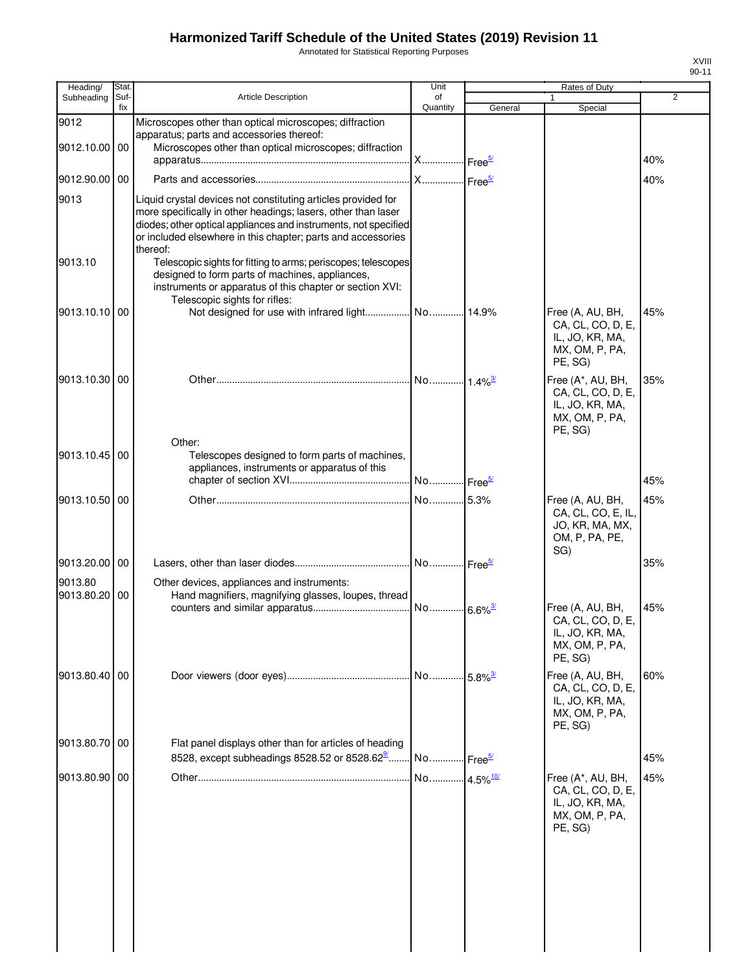Annotated for Statistical Reporting Purposes

| Heading/              | Stat        |                                                                                                                                                                                                                                                                               | Unit                   |                    | Rates of Duty                                                                          |     |
|-----------------------|-------------|-------------------------------------------------------------------------------------------------------------------------------------------------------------------------------------------------------------------------------------------------------------------------------|------------------------|--------------------|----------------------------------------------------------------------------------------|-----|
| Subheading            | Suf-<br>fix | <b>Article Description</b>                                                                                                                                                                                                                                                    | of<br>Quantity         | General            | Special                                                                                | 2   |
| 9012<br>9012.10.00    | 00          | Microscopes other than optical microscopes; diffraction<br>apparatus; parts and accessories thereof:<br>Microscopes other than optical microscopes; diffraction                                                                                                               | . X Free <sup>5/</sup> |                    |                                                                                        | 40% |
| 9012.90.00 00         |             |                                                                                                                                                                                                                                                                               | <b>X</b>               | Free <sup>5/</sup> |                                                                                        | 40% |
| 9013                  |             | Liquid crystal devices not constituting articles provided for<br>more specifically in other headings; lasers, other than laser<br>diodes; other optical appliances and instruments, not specified<br>or included elsewhere in this chapter; parts and accessories<br>thereof: |                        |                    |                                                                                        |     |
| 9013.10               |             | Telescopic sights for fitting to arms; periscopes; telescopes<br>designed to form parts of machines, appliances,<br>instruments or apparatus of this chapter or section XVI:<br>Telescopic sights for rifles:                                                                 |                        |                    |                                                                                        |     |
| 9013.10.10 00         |             | Not designed for use with infrared light No 14.9%                                                                                                                                                                                                                             |                        |                    | Free (A, AU, BH,<br>CA, CL, CO, D, E,<br>IL, JO, KR, MA,<br>MX, OM, P, PA,<br>PE, SG)  | 45% |
| 9013.10.30 00         |             | Other:                                                                                                                                                                                                                                                                        |                        |                    | Free (A*, AU, BH,<br>CA, CL, CO, D, E,<br>IL, JO, KR, MA,<br>MX, OM, P, PA,<br>PE, SG) | 35% |
| 9013.10.45 00         |             | Telescopes designed to form parts of machines,<br>appliances, instruments or apparatus of this                                                                                                                                                                                | No Free <sup>5/</sup>  |                    |                                                                                        | 45% |
| 9013.10.50            | 00          |                                                                                                                                                                                                                                                                               | No 5.3%                |                    | Free (A, AU, BH,<br>CA, CL, CO, E, IL,<br>JO, KR, MA, MX,<br>OM, P, PA, PE,<br>SG)     | 45% |
| 9013.20.00            | 00          |                                                                                                                                                                                                                                                                               | No Free <sup>5/</sup>  |                    |                                                                                        | 35% |
| 9013.80<br>9013.80.20 | 00          | Other devices, appliances and instruments:<br>Hand magnifiers, magnifying glasses, loupes, thread                                                                                                                                                                             |                        |                    |                                                                                        | 45% |
|                       |             |                                                                                                                                                                                                                                                                               | No 6.6% <sup>3/</sup>  |                    | Free (A, AU, BH,<br>CA, CL, CO, D, E,<br>IL, JO, KR, MA,<br>MX, OM, P, PA,<br>PE, SG)  |     |
| 9013.80.40 00         |             |                                                                                                                                                                                                                                                                               |                        |                    | Free (A, AU, BH,<br>CA, CL, CO, D, E,<br>IL, JO, KR, MA,<br>MX, OM, P, PA,<br>PE, SG)  | 60% |
| 9013.80.70            | 00          | Flat panel displays other than for articles of heading<br>8528, except subheadings 8528.52 or 8528.62 <sup>9</sup>                                                                                                                                                            | No Free <sup>5/</sup>  |                    |                                                                                        | 45% |
| 9013.80.90 00         |             |                                                                                                                                                                                                                                                                               |                        |                    | Free (A*, AU, BH,<br>CA, CL, CO, D, E,<br>IL, JO, KR, MA,<br>MX, OM, P, PA,<br>PE, SG) | 45% |
|                       |             |                                                                                                                                                                                                                                                                               |                        |                    |                                                                                        |     |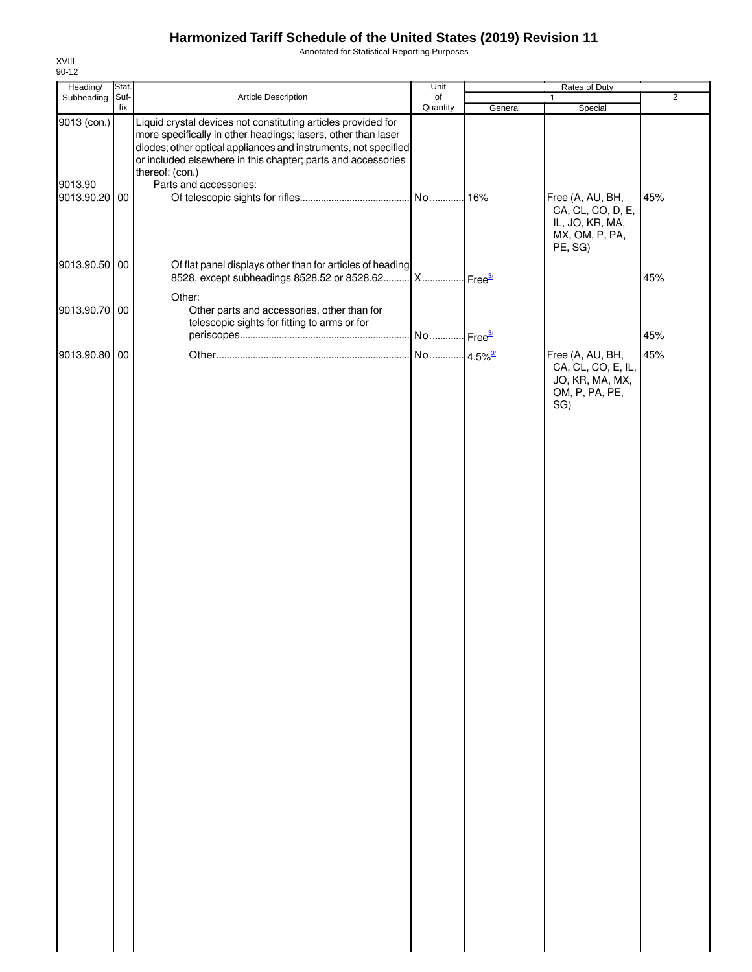Annotated for Statistical Reporting Purposes

| Heading/               | Stat.       |                                                                                                                                                                                                                                                                                                                | Unit                  |         | Rates of Duty                                                                         |                |
|------------------------|-------------|----------------------------------------------------------------------------------------------------------------------------------------------------------------------------------------------------------------------------------------------------------------------------------------------------------------|-----------------------|---------|---------------------------------------------------------------------------------------|----------------|
| Subheading             | Suf-<br>fix | Article Description                                                                                                                                                                                                                                                                                            | of<br>Quantity        |         | 1<br>Special                                                                          | $\overline{2}$ |
| 9013 (con.)<br>9013.90 |             | Liquid crystal devices not constituting articles provided for<br>more specifically in other headings; lasers, other than laser<br>diodes; other optical appliances and instruments, not specified<br>or included elsewhere in this chapter; parts and accessories<br>thereof: (con.)<br>Parts and accessories: |                       | General |                                                                                       |                |
| 9013.90.20 00          |             |                                                                                                                                                                                                                                                                                                                |                       |         | Free (A, AU, BH,<br>CA, CL, CO, D, E,<br>IL, JO, KR, MA,<br>MX, OM, P, PA,<br>PE, SG) | 45%            |
| 9013.90.50 00          |             | Of flat panel displays other than for articles of heading<br>8528, except subheadings 8528.52 or 8528.62 X Free3                                                                                                                                                                                               |                       |         |                                                                                       | 45%            |
| 9013.90.70 00          |             | Other:<br>Other parts and accessories, other than for<br>telescopic sights for fitting to arms or for                                                                                                                                                                                                          |                       |         |                                                                                       | 45%            |
|                        |             |                                                                                                                                                                                                                                                                                                                |                       |         |                                                                                       |                |
| 9013.90.80 00          |             |                                                                                                                                                                                                                                                                                                                | No 4.5% <sup>3/</sup> |         | Free (A, AU, BH,<br>CA, CL, CO, E, IL,<br>JO, KR, MA, MX,<br>OM, P, PA, PE,<br>SG)    | 45%            |
|                        |             |                                                                                                                                                                                                                                                                                                                |                       |         |                                                                                       |                |
|                        |             |                                                                                                                                                                                                                                                                                                                |                       |         |                                                                                       |                |
|                        |             |                                                                                                                                                                                                                                                                                                                |                       |         |                                                                                       |                |
|                        |             |                                                                                                                                                                                                                                                                                                                |                       |         |                                                                                       |                |
|                        |             |                                                                                                                                                                                                                                                                                                                |                       |         |                                                                                       |                |
|                        |             |                                                                                                                                                                                                                                                                                                                |                       |         |                                                                                       |                |
|                        |             |                                                                                                                                                                                                                                                                                                                |                       |         |                                                                                       |                |
|                        |             |                                                                                                                                                                                                                                                                                                                |                       |         |                                                                                       |                |
|                        |             |                                                                                                                                                                                                                                                                                                                |                       |         |                                                                                       |                |
|                        |             |                                                                                                                                                                                                                                                                                                                |                       |         |                                                                                       |                |
|                        |             |                                                                                                                                                                                                                                                                                                                |                       |         |                                                                                       |                |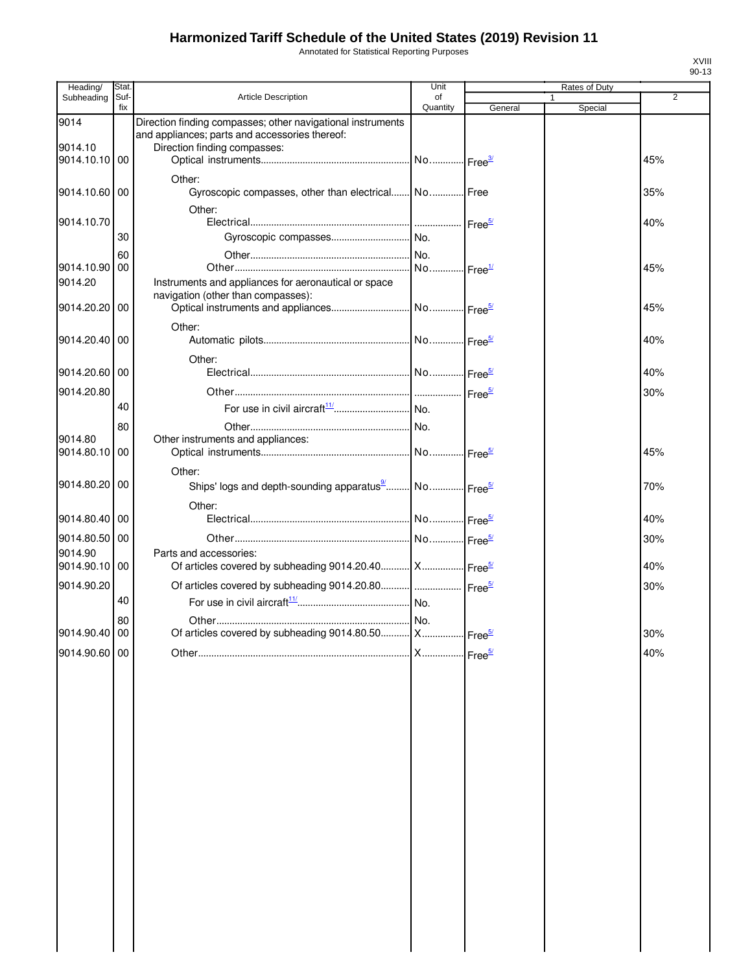Annotated for Statistical Reporting Purposes

| Heading/              | Stat.       |                                                                                                               | Unit                  |         | Rates of Duty | 2   |
|-----------------------|-------------|---------------------------------------------------------------------------------------------------------------|-----------------------|---------|---------------|-----|
| Subheading            | Suf-<br>fix | <b>Article Description</b>                                                                                    | of<br>Quantity        | General | Special       |     |
| 9014                  |             | Direction finding compasses; other navigational instruments<br>and appliances; parts and accessories thereof: |                       |         |               |     |
| 9014.10<br>9014.10.10 | 00          | Direction finding compasses:                                                                                  |                       |         |               | 45% |
| 9014.10.60 00         |             | Other:<br>Gyroscopic compasses, other than electrical No Free                                                 |                       |         |               | 35% |
|                       |             | Other:                                                                                                        |                       |         |               |     |
| 9014.10.70            |             |                                                                                                               |                       |         |               | 40% |
|                       | 30<br>60    |                                                                                                               |                       |         |               |     |
| 9014.10.90            | 00          |                                                                                                               | No Free <sup>1/</sup> |         |               | 45% |
| 9014.20               |             | Instruments and appliances for aeronautical or space<br>navigation (other than compasses):                    |                       |         |               |     |
| 9014.20.20            | 00          |                                                                                                               |                       |         |               | 45% |
| 9014.20.40            | 00          | Other:                                                                                                        |                       |         |               | 40% |
|                       |             | Other:                                                                                                        |                       |         |               |     |
| 9014.20.60 00         |             |                                                                                                               |                       |         |               | 40% |
| 9014.20.80            | 40          |                                                                                                               |                       |         |               | 30% |
|                       | 80          |                                                                                                               |                       |         |               |     |
| 9014.80               |             | Other instruments and appliances:                                                                             |                       |         |               |     |
| 9014.80.10            | 00          |                                                                                                               |                       |         |               | 45% |
| 9014.80.20            | 00          | Other:<br>Ships' logs and depth-sounding apparatus <sup>9</sup> No Free <sup>5/</sup>                         |                       |         |               | 70% |
| 9014.80.40            | 00          | Other:                                                                                                        |                       |         |               | 40% |
| 9014.80.50            | 00          |                                                                                                               |                       |         |               | 30% |
| 9014.90               |             | Parts and accessories:                                                                                        |                       |         |               |     |
| 9014.90.10            | 00          | Of articles covered by subheading 9014.20.40 X Free <sup>5/</sup>                                             |                       |         |               | 40% |
| 9014.90.20            | 40          |                                                                                                               |                       |         |               | 30% |
|                       | 80          |                                                                                                               |                       |         |               |     |
| 9014.90.40 00         |             | Of articles covered by subheading 9014.80.50 X Free <sup>5/</sup>                                             |                       |         |               | 30% |
| 9014.90.60            | 00          |                                                                                                               |                       |         |               | 40% |
|                       |             |                                                                                                               |                       |         |               |     |
|                       |             |                                                                                                               |                       |         |               |     |
|                       |             |                                                                                                               |                       |         |               |     |
|                       |             |                                                                                                               |                       |         |               |     |
|                       |             |                                                                                                               |                       |         |               |     |
|                       |             |                                                                                                               |                       |         |               |     |
|                       |             |                                                                                                               |                       |         |               |     |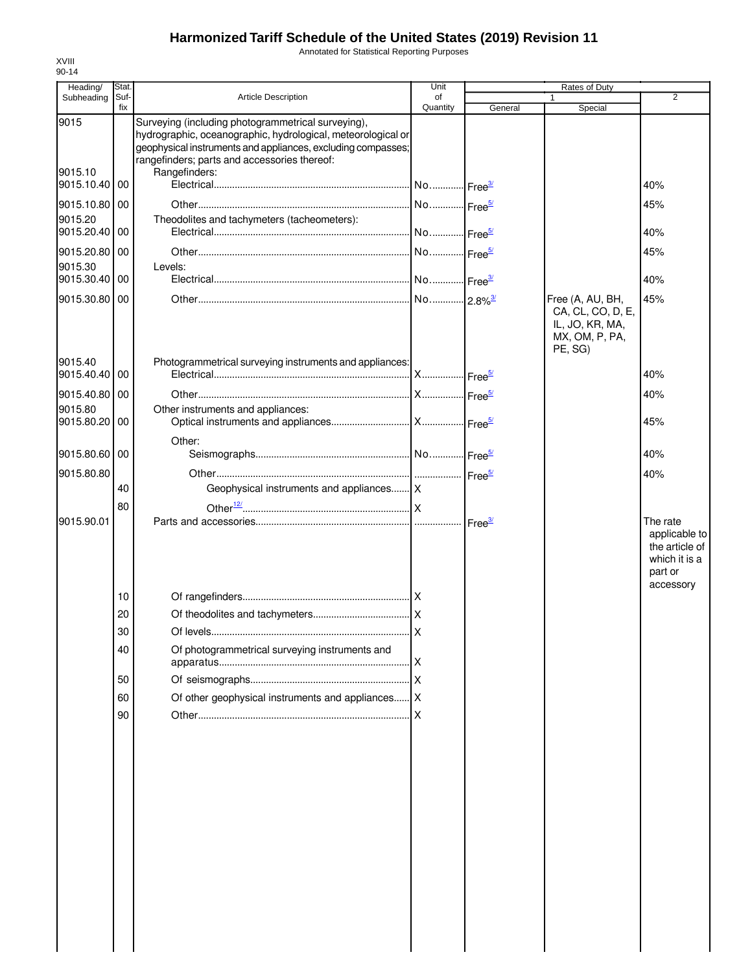Annotated for Statistical Reporting Purposes

| Heading/                 | Stat.       |                                                                                                                                                                                                                                                     | Unit           |         | Rates of Duty                                                                         |                                                                         |
|--------------------------|-------------|-----------------------------------------------------------------------------------------------------------------------------------------------------------------------------------------------------------------------------------------------------|----------------|---------|---------------------------------------------------------------------------------------|-------------------------------------------------------------------------|
| Subheading               | Suf-<br>fix | <b>Article Description</b>                                                                                                                                                                                                                          | of<br>Quantity | General | $\mathbf{1}$<br>Special                                                               | 2                                                                       |
| 9015<br>9015.10          |             | Surveying (including photogrammetrical surveying),<br>hydrographic, oceanographic, hydrological, meteorological or<br>geophysical instruments and appliances, excluding compasses;<br>rangefinders; parts and accessories thereof:<br>Rangefinders: |                |         |                                                                                       |                                                                         |
| 9015.10.40               | 00          |                                                                                                                                                                                                                                                     |                |         |                                                                                       | 40%                                                                     |
| 9015.10.80 00<br>9015.20 |             | Theodolites and tachymeters (tacheometers):                                                                                                                                                                                                         |                |         |                                                                                       | 45%                                                                     |
| 9015.20.40 00            |             |                                                                                                                                                                                                                                                     |                |         |                                                                                       | 40%                                                                     |
| 9015.20.80 00            |             |                                                                                                                                                                                                                                                     |                |         |                                                                                       | 45%                                                                     |
| 9015.30<br>9015.30.40 00 |             | Levels:                                                                                                                                                                                                                                             |                |         |                                                                                       | 40%                                                                     |
| 9015.30.80 00            |             |                                                                                                                                                                                                                                                     |                |         | Free (A, AU, BH,<br>CA, CL, CO, D, E,<br>IL, JO, KR, MA,<br>MX, OM, P, PA,<br>PE, SG) | 45%                                                                     |
| 9015.40<br>9015.40.40 00 |             | Photogrammetrical surveying instruments and appliances:                                                                                                                                                                                             |                |         |                                                                                       | 40%                                                                     |
| 9015.40.80 00            |             |                                                                                                                                                                                                                                                     |                |         |                                                                                       | 40%                                                                     |
| 9015.80                  |             | Other instruments and appliances:                                                                                                                                                                                                                   |                |         |                                                                                       |                                                                         |
| 9015.80.20               | 00          | Other:                                                                                                                                                                                                                                              |                |         |                                                                                       | 45%                                                                     |
| 9015.80.60 00            |             |                                                                                                                                                                                                                                                     |                |         |                                                                                       | 40%                                                                     |
| 9015.80.80               |             |                                                                                                                                                                                                                                                     |                |         |                                                                                       | 40%                                                                     |
|                          | 40          | Geophysical instruments and appliances X                                                                                                                                                                                                            |                |         |                                                                                       |                                                                         |
| 9015.90.01               | 80          |                                                                                                                                                                                                                                                     |                |         |                                                                                       | The rate<br>applicable to<br>the article of<br>which it is a<br>part or |
|                          | 10          |                                                                                                                                                                                                                                                     |                |         |                                                                                       | accessory                                                               |
|                          | 20          |                                                                                                                                                                                                                                                     |                |         |                                                                                       |                                                                         |
|                          | 30          |                                                                                                                                                                                                                                                     |                |         |                                                                                       |                                                                         |
|                          | 40          | Of photogrammetrical surveying instruments and                                                                                                                                                                                                      |                |         |                                                                                       |                                                                         |
|                          | 50          |                                                                                                                                                                                                                                                     |                |         |                                                                                       |                                                                         |
|                          | 60          | Of other geophysical instruments and appliances   X                                                                                                                                                                                                 |                |         |                                                                                       |                                                                         |
|                          | 90          |                                                                                                                                                                                                                                                     |                |         |                                                                                       |                                                                         |
|                          |             |                                                                                                                                                                                                                                                     |                |         |                                                                                       |                                                                         |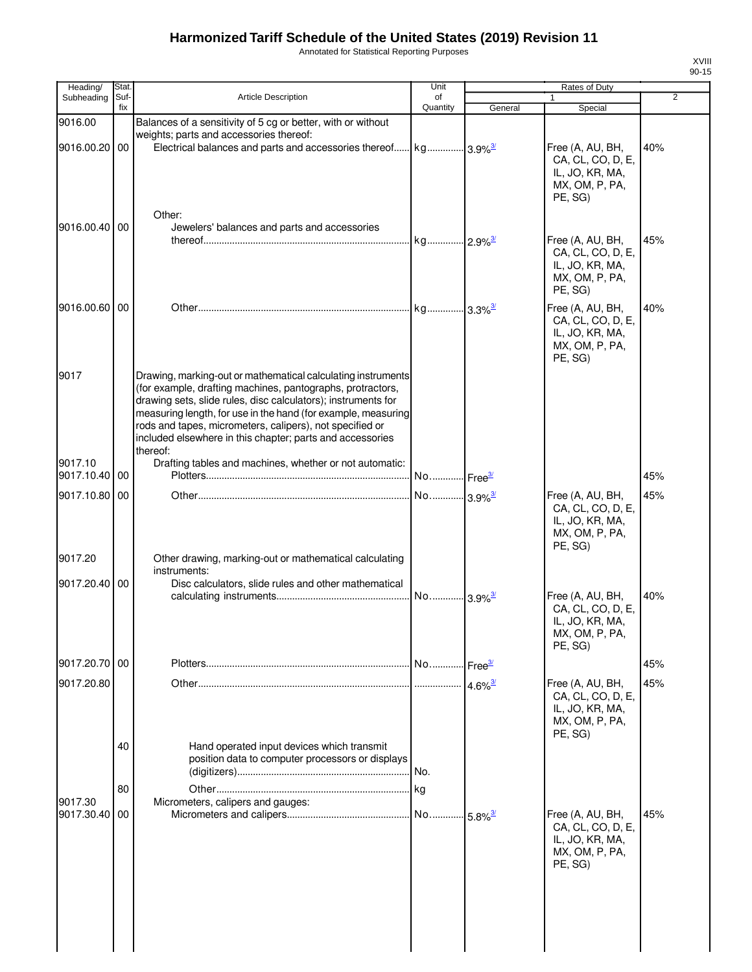Annotated for Statistical Reporting Purposes

| Heading/                 | Stat.       |                                                                                                                                                                                                                                                                                                                                                                                                   | Unit                  |                    | Rates of Duty                                                                                           |                |
|--------------------------|-------------|---------------------------------------------------------------------------------------------------------------------------------------------------------------------------------------------------------------------------------------------------------------------------------------------------------------------------------------------------------------------------------------------------|-----------------------|--------------------|---------------------------------------------------------------------------------------------------------|----------------|
| Subheading               | Suf-<br>fix | Article Description                                                                                                                                                                                                                                                                                                                                                                               | of<br>Quantity        | General            | 1<br>Special                                                                                            | $\overline{2}$ |
| 9016.00<br>9016.00.20 00 |             | Balances of a sensitivity of 5 cg or better, with or without<br>weights; parts and accessories thereof:                                                                                                                                                                                                                                                                                           |                       |                    | Free (A, AU, BH,<br>CA, CL, CO, D, E,<br>IL, JO, KR, MA,                                                | 40%            |
| 9016.00.40 00            |             | Other:<br>Jewelers' balances and parts and accessories                                                                                                                                                                                                                                                                                                                                            |                       |                    | MX, OM, P, PA,<br>PE, SG)<br>Free (A, AU, BH,<br>CA, CL, CO, D, E,<br>IL, JO, KR, MA,<br>MX, OM, P, PA, | 45%            |
| 9016.00.60 00            |             |                                                                                                                                                                                                                                                                                                                                                                                                   |                       |                    | PE, SG)<br>Free (A, AU, BH,<br>CA, CL, CO, D, E,<br>IL, JO, KR, MA,<br>MX, OM, P, PA,                   | 40%            |
| 9017                     |             | Drawing, marking-out or mathematical calculating instruments<br>(for example, drafting machines, pantographs, protractors,<br>drawing sets, slide rules, disc calculators); instruments for<br>measuring length, for use in the hand (for example, measuring<br>rods and tapes, micrometers, calipers), not specified or<br>included elsewhere in this chapter; parts and accessories<br>thereof: |                       |                    | PE, SG)                                                                                                 |                |
| 9017.10<br>9017.10.40 00 |             | Drafting tables and machines, whether or not automatic:                                                                                                                                                                                                                                                                                                                                           |                       |                    |                                                                                                         | 45%            |
| 9017.10.80 00            |             |                                                                                                                                                                                                                                                                                                                                                                                                   | No 3.9% <sup>3/</sup> |                    | Free (A, AU, BH,<br>CA, CL, CO, D, E,<br>IL, JO, KR, MA,                                                | 45%            |
| 9017.20<br>9017.20.40 00 |             | Other drawing, marking-out or mathematical calculating<br>instruments:<br>Disc calculators, slide rules and other mathematical                                                                                                                                                                                                                                                                    |                       |                    | MX, OM, P, PA,<br>PE, SG)<br>Free (A, AU, BH,                                                           | 40%            |
|                          |             |                                                                                                                                                                                                                                                                                                                                                                                                   |                       |                    | CA, CL, CO, D, E,<br>IL, JO, KR, MA,<br>MX, OM, P, PA,<br>PE, SG)                                       |                |
| 9017.20.70 00            |             |                                                                                                                                                                                                                                                                                                                                                                                                   |                       | Free <sup>3/</sup> |                                                                                                         | 45%            |
| 9017.20.80               |             |                                                                                                                                                                                                                                                                                                                                                                                                   |                       |                    | Free (A, AU, BH,<br>CA, CL, CO, D, E,<br>IL, JO, KR, MA,<br>MX, OM, P, PA,<br>PE, SG)                   | 45%            |
|                          | 40<br>80    | Hand operated input devices which transmit<br>position data to computer processors or displays                                                                                                                                                                                                                                                                                                    |                       |                    |                                                                                                         |                |
| 9017.30<br>9017.30.40    | 00          | Micrometers, calipers and gauges:                                                                                                                                                                                                                                                                                                                                                                 |                       |                    | Free (A, AU, BH,<br>CA, CL, CO, D, E,<br>IL, JO, KR, MA,<br>MX, OM, P, PA,<br>PE, SG)                   | 45%            |
|                          |             |                                                                                                                                                                                                                                                                                                                                                                                                   |                       |                    |                                                                                                         |                |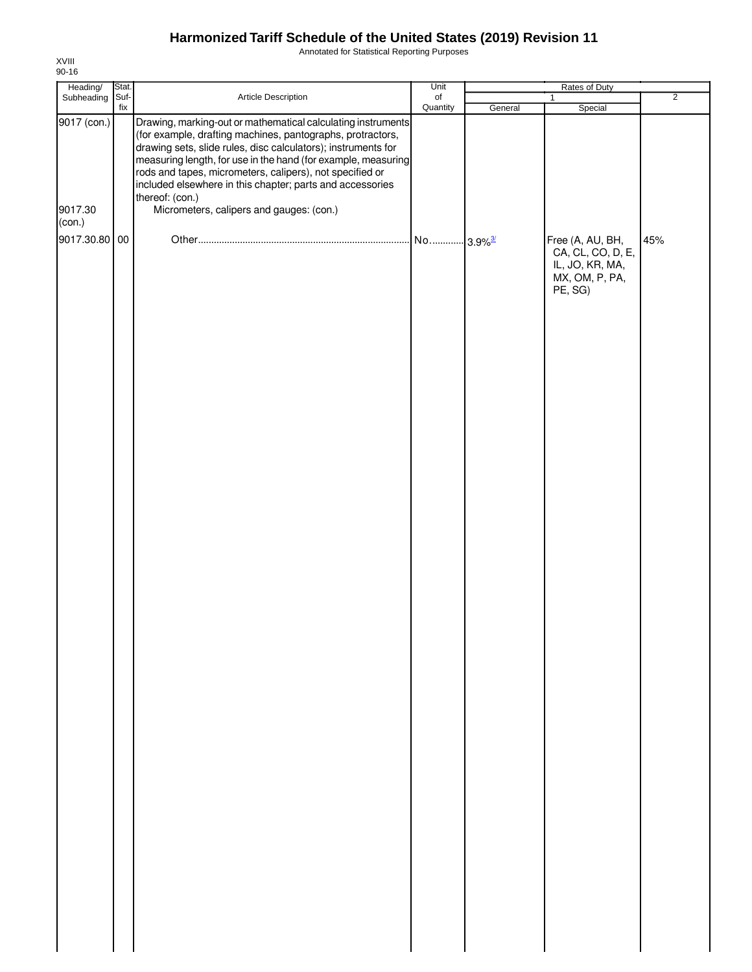Annotated for Statistical Reporting Purposes

| Heading/                | Stat.       |                                                                                                                                                                                                                                                                                                                                                                                                                                                      | Unit           |         | Rates of Duty                                                                         |                |
|-------------------------|-------------|------------------------------------------------------------------------------------------------------------------------------------------------------------------------------------------------------------------------------------------------------------------------------------------------------------------------------------------------------------------------------------------------------------------------------------------------------|----------------|---------|---------------------------------------------------------------------------------------|----------------|
| Subheading              | Suf-<br>fix | Article Description                                                                                                                                                                                                                                                                                                                                                                                                                                  | of<br>Quantity | General | $\mathbf{1}$<br>Special                                                               | $\overline{2}$ |
| 9017 (con.)<br>9017.30  |             | Drawing, marking-out or mathematical calculating instruments<br>(for example, drafting machines, pantographs, protractors,<br>drawing sets, slide rules, disc calculators); instruments for<br>measuring length, for use in the hand (for example, measuring<br>rods and tapes, micrometers, calipers), not specified or<br>included elsewhere in this chapter; parts and accessories<br>thereof: (con.)<br>Micrometers, calipers and gauges: (con.) |                |         |                                                                                       |                |
| (con.)<br>9017.30.80 00 |             |                                                                                                                                                                                                                                                                                                                                                                                                                                                      |                |         | Free (A, AU, BH,<br>CA, CL, CO, D, E,<br>IL, JO, KR, MA,<br>MX, OM, P, PA,<br>PE, SG) | 45%            |
|                         |             |                                                                                                                                                                                                                                                                                                                                                                                                                                                      |                |         |                                                                                       |                |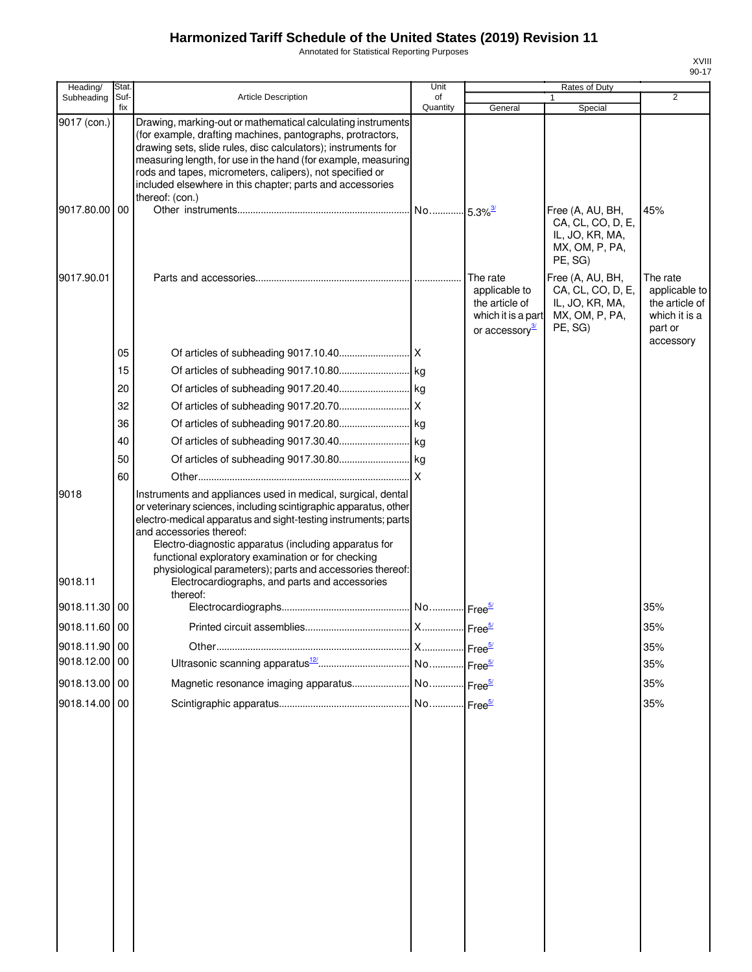Annotated for Statistical Reporting Purposes

| ı |
|---|
|   |

| Heading/        | Stat.       |                                                                                                                                                                                                                                                                                                                                                                                                                                                                          | Unit                  |                                                                                                 | Rates of Duty                                                                         |                                                                                      |
|-----------------|-------------|--------------------------------------------------------------------------------------------------------------------------------------------------------------------------------------------------------------------------------------------------------------------------------------------------------------------------------------------------------------------------------------------------------------------------------------------------------------------------|-----------------------|-------------------------------------------------------------------------------------------------|---------------------------------------------------------------------------------------|--------------------------------------------------------------------------------------|
| Subheading      | Suf-<br>fix | <b>Article Description</b>                                                                                                                                                                                                                                                                                                                                                                                                                                               | of<br>Quantity        | General                                                                                         | 1<br>Special                                                                          | $\overline{2}$                                                                       |
| 9017 (con.)     |             | Drawing, marking-out or mathematical calculating instruments<br>(for example, drafting machines, pantographs, protractors,<br>drawing sets, slide rules, disc calculators); instruments for<br>measuring length, for use in the hand (for example, measuring<br>rods and tapes, micrometers, calipers), not specified or<br>included elsewhere in this chapter; parts and accessories                                                                                    |                       |                                                                                                 |                                                                                       |                                                                                      |
| 9017.80.00 00   |             | thereof: (con.)                                                                                                                                                                                                                                                                                                                                                                                                                                                          | No 5.3% <sup>3/</sup> |                                                                                                 | Free (A, AU, BH,<br>CA, CL, CO, D, E,<br>IL, JO, KR, MA,<br>MX, OM, P, PA,<br>PE, SG) | 45%                                                                                  |
| 9017.90.01      |             |                                                                                                                                                                                                                                                                                                                                                                                                                                                                          |                       | The rate<br>applicable to<br>the article of<br>which it is a part<br>or accessory <sup>3/</sup> | Free (A, AU, BH,<br>CA, CL, CO, D, E,<br>IL, JO, KR, MA,<br>MX, OM, P, PA,<br>PE, SG) | The rate<br>applicable to<br>the article of<br>which it is a<br>part or<br>accessory |
|                 | 05          |                                                                                                                                                                                                                                                                                                                                                                                                                                                                          |                       |                                                                                                 |                                                                                       |                                                                                      |
|                 | 15          |                                                                                                                                                                                                                                                                                                                                                                                                                                                                          |                       |                                                                                                 |                                                                                       |                                                                                      |
|                 | 20          |                                                                                                                                                                                                                                                                                                                                                                                                                                                                          |                       |                                                                                                 |                                                                                       |                                                                                      |
|                 | 32          |                                                                                                                                                                                                                                                                                                                                                                                                                                                                          |                       |                                                                                                 |                                                                                       |                                                                                      |
|                 | 36          |                                                                                                                                                                                                                                                                                                                                                                                                                                                                          |                       |                                                                                                 |                                                                                       |                                                                                      |
|                 | 40          |                                                                                                                                                                                                                                                                                                                                                                                                                                                                          |                       |                                                                                                 |                                                                                       |                                                                                      |
|                 | 50          |                                                                                                                                                                                                                                                                                                                                                                                                                                                                          |                       |                                                                                                 |                                                                                       |                                                                                      |
|                 | 60          |                                                                                                                                                                                                                                                                                                                                                                                                                                                                          | X                     |                                                                                                 |                                                                                       |                                                                                      |
| 9018<br>9018.11 |             | Instruments and appliances used in medical, surgical, dental<br>or veterinary sciences, including scintigraphic apparatus, other<br>electro-medical apparatus and sight-testing instruments; parts<br>and accessories thereof:<br>Electro-diagnostic apparatus (including apparatus for<br>functional exploratory examination or for checking<br>physiological parameters); parts and accessories thereof:<br>Electrocardiographs, and parts and accessories<br>thereof: |                       |                                                                                                 |                                                                                       |                                                                                      |
| 9018.11.30 00   |             |                                                                                                                                                                                                                                                                                                                                                                                                                                                                          |                       |                                                                                                 |                                                                                       | 35%                                                                                  |
| 9018.11.60 00   |             | Printed circuit assemblies.                                                                                                                                                                                                                                                                                                                                                                                                                                              | $\mathsf{X}$          | Free $\frac{5}{2}$                                                                              |                                                                                       | 35%                                                                                  |
| 9018.11.90 00   |             |                                                                                                                                                                                                                                                                                                                                                                                                                                                                          |                       |                                                                                                 |                                                                                       | 35%                                                                                  |
| 9018.12.00 00   |             |                                                                                                                                                                                                                                                                                                                                                                                                                                                                          |                       |                                                                                                 |                                                                                       | 35%                                                                                  |
| 9018.13.00 00   |             |                                                                                                                                                                                                                                                                                                                                                                                                                                                                          |                       |                                                                                                 |                                                                                       | 35%                                                                                  |
| 9018.14.00 00   |             |                                                                                                                                                                                                                                                                                                                                                                                                                                                                          |                       |                                                                                                 |                                                                                       | 35%                                                                                  |
|                 |             |                                                                                                                                                                                                                                                                                                                                                                                                                                                                          |                       |                                                                                                 |                                                                                       |                                                                                      |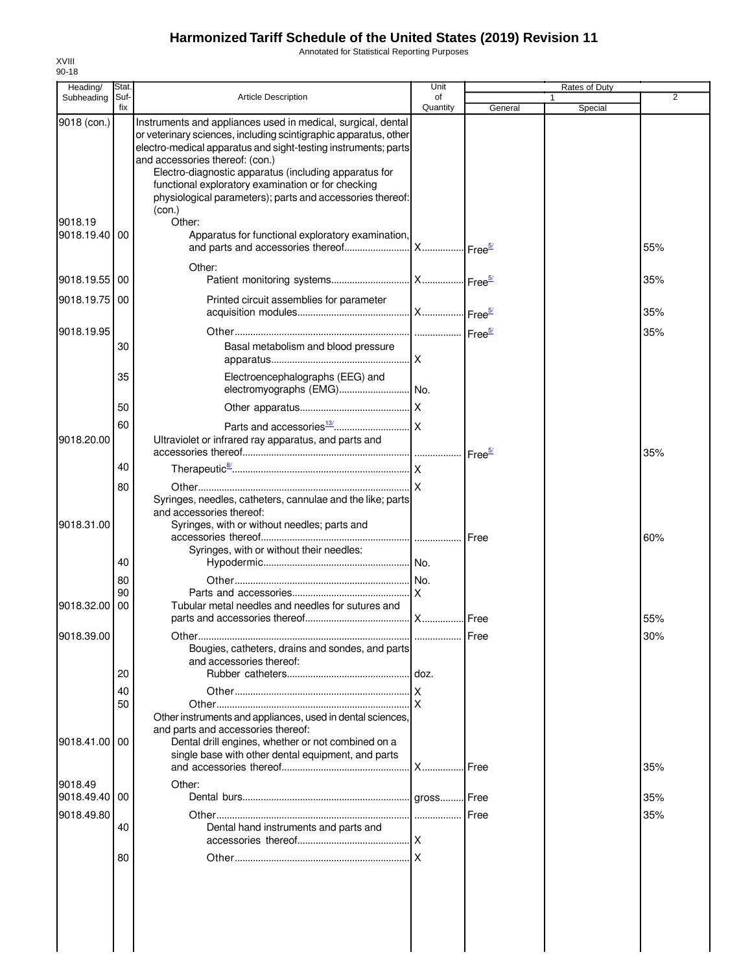Annotated for Statistical Reporting Purposes

| Heading/              | Stat.       |                                                                                                                                                                                                                                                                                                                                                                                                                             | Unit           |         |   | Rates of Duty |                |
|-----------------------|-------------|-----------------------------------------------------------------------------------------------------------------------------------------------------------------------------------------------------------------------------------------------------------------------------------------------------------------------------------------------------------------------------------------------------------------------------|----------------|---------|---|---------------|----------------|
| Subheading            | Suf-<br>fix | Article Description                                                                                                                                                                                                                                                                                                                                                                                                         | of<br>Quantity | General | 1 | Special       | $\overline{2}$ |
| 9018 (con.)           |             | Instruments and appliances used in medical, surgical, dental<br>or veterinary sciences, including scintigraphic apparatus, other<br>electro-medical apparatus and sight-testing instruments; parts<br>and accessories thereof: (con.)<br>Electro-diagnostic apparatus (including apparatus for<br>functional exploratory examination or for checking<br>physiological parameters); parts and accessories thereof:<br>(con.) |                |         |   |               |                |
| 9018.19               |             | Other:                                                                                                                                                                                                                                                                                                                                                                                                                      |                |         |   |               |                |
| 9018.19.40            | 00          | Apparatus for functional exploratory examination,                                                                                                                                                                                                                                                                                                                                                                           |                |         |   |               | 55%            |
| 9018.19.55            | 00          | Other:                                                                                                                                                                                                                                                                                                                                                                                                                      |                |         |   |               | 35%            |
| 9018.19.75            | 00          | Printed circuit assemblies for parameter                                                                                                                                                                                                                                                                                                                                                                                    |                |         |   |               | 35%            |
| 9018.19.95            |             |                                                                                                                                                                                                                                                                                                                                                                                                                             |                |         |   |               | 35%            |
|                       | 30          | Basal metabolism and blood pressure                                                                                                                                                                                                                                                                                                                                                                                         |                |         |   |               |                |
|                       | 35          | Electroencephalographs (EEG) and                                                                                                                                                                                                                                                                                                                                                                                            |                |         |   |               |                |
|                       | 50          |                                                                                                                                                                                                                                                                                                                                                                                                                             |                |         |   |               |                |
| 9018.20.00            | 60          | Ultraviolet or infrared ray apparatus, and parts and                                                                                                                                                                                                                                                                                                                                                                        |                |         |   |               | 35%            |
|                       | 40          |                                                                                                                                                                                                                                                                                                                                                                                                                             |                |         |   |               |                |
|                       | 80          | Syringes, needles, catheters, cannulae and the like; parts<br>and accessories thereof:                                                                                                                                                                                                                                                                                                                                      |                |         |   |               |                |
| 9018.31.00            |             | Syringes, with or without needles; parts and<br>Syringes, with or without their needles:                                                                                                                                                                                                                                                                                                                                    |                |         |   |               | 60%            |
|                       | 40          |                                                                                                                                                                                                                                                                                                                                                                                                                             |                |         |   |               |                |
|                       | 80          |                                                                                                                                                                                                                                                                                                                                                                                                                             |                |         |   |               |                |
| 9018.32.00            | 90<br>00    | Tubular metal needles and needles for sutures and                                                                                                                                                                                                                                                                                                                                                                           |                |         |   |               | 55%            |
| 9018.39.00            |             | Bougies, catheters, drains and sondes, and parts                                                                                                                                                                                                                                                                                                                                                                            |                | Free    |   |               | 30%            |
|                       |             | and accessories thereof:                                                                                                                                                                                                                                                                                                                                                                                                    | .l doz.        |         |   |               |                |
|                       | 20          |                                                                                                                                                                                                                                                                                                                                                                                                                             |                |         |   |               |                |
|                       | 40<br>50    | Other instruments and appliances, used in dental sciences,                                                                                                                                                                                                                                                                                                                                                                  |                |         |   |               |                |
| 9018.41.00            | 00          | and parts and accessories thereof:<br>Dental drill engines, whether or not combined on a<br>single base with other dental equipment, and parts                                                                                                                                                                                                                                                                              | <b>X</b>       | Free    |   |               | 35%            |
| 9018.49<br>9018.49.40 | 00          | Other:                                                                                                                                                                                                                                                                                                                                                                                                                      |                |         |   |               | 35%            |
| 9018.49.80            | 40          | Dental hand instruments and parts and                                                                                                                                                                                                                                                                                                                                                                                       |                | Free    |   |               | 35%            |
|                       | 80          |                                                                                                                                                                                                                                                                                                                                                                                                                             |                |         |   |               |                |
|                       |             |                                                                                                                                                                                                                                                                                                                                                                                                                             |                |         |   |               |                |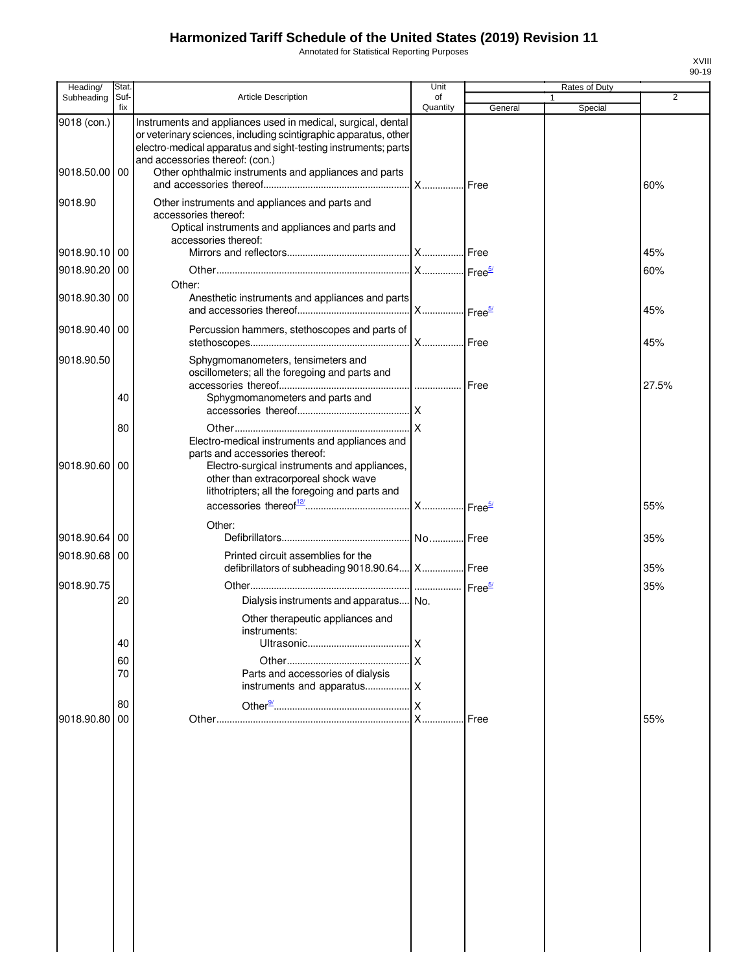Annotated for Statistical Reporting Purposes

| Heading/      | Stat.       |                                                                                                                                                                                                                                       | Unit           |                    |   | Rates of Duty |                |
|---------------|-------------|---------------------------------------------------------------------------------------------------------------------------------------------------------------------------------------------------------------------------------------|----------------|--------------------|---|---------------|----------------|
| Subheading    | Suf-<br>fix | <b>Article Description</b>                                                                                                                                                                                                            | of<br>Quantity | General            | 1 | Special       | $\overline{2}$ |
| 9018 (con.)   |             | Instruments and appliances used in medical, surgical, dental<br>or veterinary sciences, including scintigraphic apparatus, other<br>electro-medical apparatus and sight-testing instruments; parts<br>and accessories thereof: (con.) |                |                    |   |               |                |
| 9018.50.00 00 |             | Other ophthalmic instruments and appliances and parts                                                                                                                                                                                 | .lx            | Free               |   |               | 60%            |
| 9018.90       |             | Other instruments and appliances and parts and<br>accessories thereof:<br>Optical instruments and appliances and parts and<br>accessories thereof:                                                                                    |                |                    |   |               |                |
| 9018.90.10 00 |             |                                                                                                                                                                                                                                       |                |                    |   |               | 45%            |
| 9018.90.20    | 00          |                                                                                                                                                                                                                                       |                |                    |   |               | 60%            |
| 9018.90.30    | 00          | Other:<br>Anesthetic instruments and appliances and parts                                                                                                                                                                             |                |                    |   |               | 45%            |
| 9018.90.40    | 00          | Percussion hammers, stethoscopes and parts of                                                                                                                                                                                         |                | Free               |   |               | 45%            |
| 9018.90.50    |             | Sphygmomanometers, tensimeters and<br>oscillometers; all the foregoing and parts and                                                                                                                                                  |                |                    |   |               | 27.5%          |
|               | 40          | Sphygmomanometers and parts and                                                                                                                                                                                                       |                |                    |   |               |                |
|               | 80          | Electro-medical instruments and appliances and<br>parts and accessories thereof:                                                                                                                                                      |                |                    |   |               |                |
| 9018.90.60    | 00          | Electro-surgical instruments and appliances,<br>other than extracorporeal shock wave<br>lithotripters; all the foregoing and parts and                                                                                                |                |                    |   |               |                |
|               |             |                                                                                                                                                                                                                                       |                |                    |   |               | 55%            |
| 9018.90.64    | 00          | Other:                                                                                                                                                                                                                                |                |                    |   |               | 35%            |
| 9018.90.68 00 |             | Printed circuit assemblies for the<br>defibrillators of subheading 9018.90.64   X   Free                                                                                                                                              |                |                    |   |               | 35%            |
| 9018.90.75    | 20          | Dialysis instruments and apparatus No.                                                                                                                                                                                                |                | Free <sup>5/</sup> |   |               | 35%            |
|               | 40          | Other therapeutic appliances and<br>instruments:                                                                                                                                                                                      | ΙX             |                    |   |               |                |
|               | 60          |                                                                                                                                                                                                                                       | .lx            |                    |   |               |                |
|               | 70          | Parts and accessories of dialysis                                                                                                                                                                                                     |                |                    |   |               |                |
|               |             |                                                                                                                                                                                                                                       |                |                    |   |               |                |
| 9018.90.80    | 80<br>00    |                                                                                                                                                                                                                                       | $X_{-}$        | Free               |   |               | 55%            |
|               |             |                                                                                                                                                                                                                                       |                |                    |   |               |                |
|               |             |                                                                                                                                                                                                                                       |                |                    |   |               |                |
|               |             |                                                                                                                                                                                                                                       |                |                    |   |               |                |
|               |             |                                                                                                                                                                                                                                       |                |                    |   |               |                |
|               |             |                                                                                                                                                                                                                                       |                |                    |   |               |                |
|               |             |                                                                                                                                                                                                                                       |                |                    |   |               |                |
|               |             |                                                                                                                                                                                                                                       |                |                    |   |               |                |

XVIII 90-19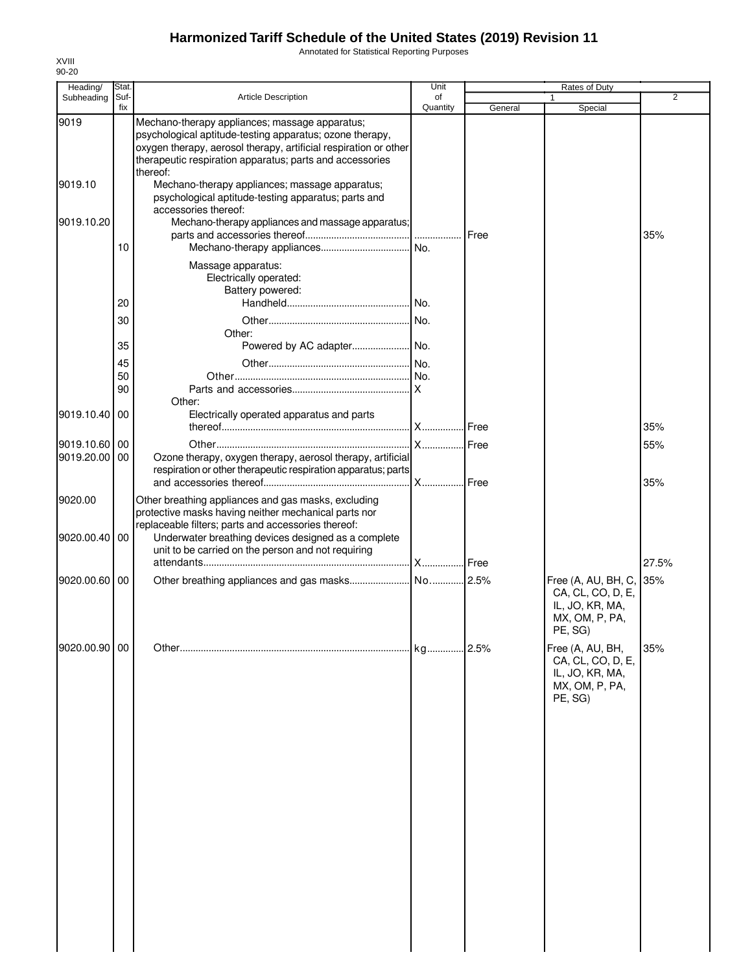Annotated for Statistical Reporting Purposes

| Heading/                    | Stat.       |                                                                                                                                                                                                                                                        | Unit           |               | Rates of Duty                                                                                |                |
|-----------------------------|-------------|--------------------------------------------------------------------------------------------------------------------------------------------------------------------------------------------------------------------------------------------------------|----------------|---------------|----------------------------------------------------------------------------------------------|----------------|
| Subheading                  | Suf-<br>fix | Article Description                                                                                                                                                                                                                                    | of<br>Quantity | General       | 1<br>Special                                                                                 | $\overline{2}$ |
| 9019                        |             | Mechano-therapy appliances; massage apparatus;<br>psychological aptitude-testing apparatus; ozone therapy,<br>oxygen therapy, aerosol therapy, artificial respiration or other<br>therapeutic respiration apparatus; parts and accessories<br>thereof: |                |               |                                                                                              |                |
| 9019.10                     |             | Mechano-therapy appliances; massage apparatus;<br>psychological aptitude-testing apparatus; parts and<br>accessories thereof:                                                                                                                          |                |               |                                                                                              |                |
| 9019.10.20                  | 10          | Mechano-therapy appliances and massage apparatus;                                                                                                                                                                                                      |                | Free          |                                                                                              | 35%            |
|                             |             | Massage apparatus:<br>Electrically operated:<br>Battery powered:                                                                                                                                                                                       |                |               |                                                                                              |                |
|                             | 20          |                                                                                                                                                                                                                                                        |                |               |                                                                                              |                |
|                             | 30          | Other:                                                                                                                                                                                                                                                 |                |               |                                                                                              |                |
|                             | 35          |                                                                                                                                                                                                                                                        |                |               |                                                                                              |                |
|                             | 45<br>50    |                                                                                                                                                                                                                                                        |                |               |                                                                                              |                |
|                             | 90          | Other:                                                                                                                                                                                                                                                 |                |               |                                                                                              |                |
| 9019.10.40                  | 00          | Electrically operated apparatus and parts                                                                                                                                                                                                              |                |               |                                                                                              |                |
|                             |             |                                                                                                                                                                                                                                                        |                | <b>I</b> Free |                                                                                              | 35%            |
| 9019.10.60 00<br>9019.20.00 | 00          | Ozone therapy, oxygen therapy, aerosol therapy, artificial<br>respiration or other therapeutic respiration apparatus; parts                                                                                                                            |                | .Free<br>Free |                                                                                              | 55%<br>35%     |
| 9020.00<br>9020.00.40       | 00          | Other breathing appliances and gas masks, excluding<br>protective masks having neither mechanical parts nor<br>replaceable filters; parts and accessories thereof:<br>Underwater breathing devices designed as a complete                              |                |               |                                                                                              |                |
|                             |             | unit to be carried on the person and not requiring                                                                                                                                                                                                     |                |               |                                                                                              |                |
|                             |             |                                                                                                                                                                                                                                                        | X              | I Free        |                                                                                              | 27.5%          |
| 9020.00.60                  | 00          |                                                                                                                                                                                                                                                        |                |               | Free (A, AU, BH, C, 35%<br>CA, CL, CO, D, E,<br>IL, JO, KR, MA,<br>MX, OM, P, PA,<br>PE, SG) |                |
| 9020.00.90 00               |             |                                                                                                                                                                                                                                                        |                |               | Free (A, AU, BH,<br>CA, CL, CO, D, E,<br>IL, JO, KR, MA,<br>MX, OM, P, PA,<br>PE, SG)        | 35%            |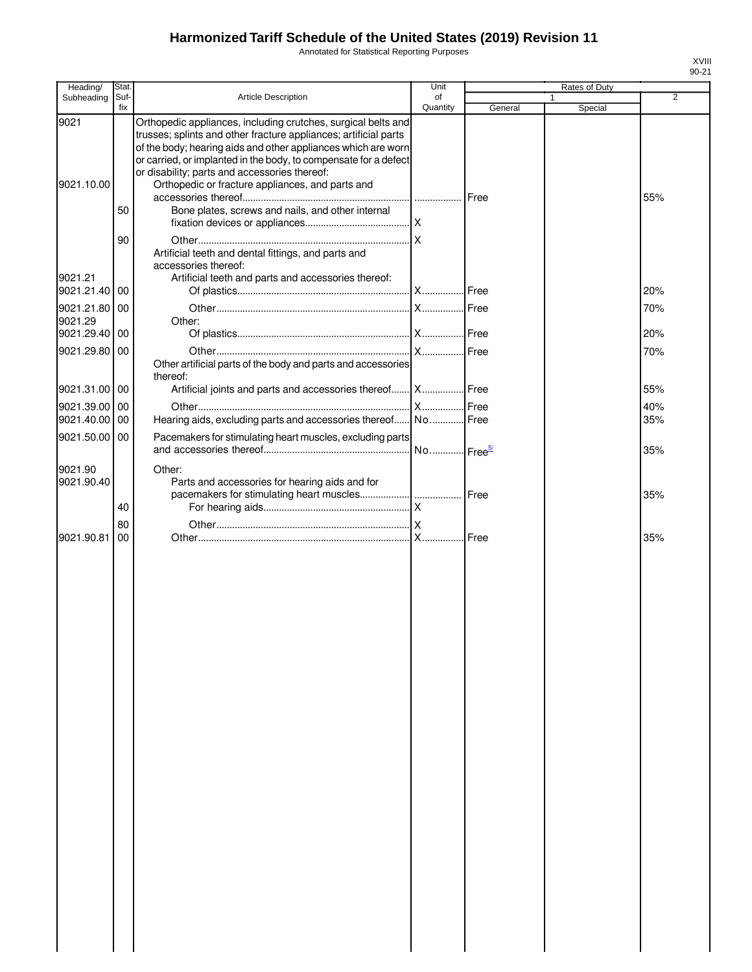Annotated for Statistical Reporting Purposes

| Heading/                            | Stat.       |                                                                                                                                                                                                                                                                                                                                                                                                                                  | Unit           |         | Rates of Duty |                |
|-------------------------------------|-------------|----------------------------------------------------------------------------------------------------------------------------------------------------------------------------------------------------------------------------------------------------------------------------------------------------------------------------------------------------------------------------------------------------------------------------------|----------------|---------|---------------|----------------|
| Subheading                          | Suf-<br>fix | Article Description                                                                                                                                                                                                                                                                                                                                                                                                              | of<br>Quantity | General | 1<br>Special  | $\overline{2}$ |
| 9021<br>9021.10.00                  | 50          | Orthopedic appliances, including crutches, surgical belts and<br>trusses; splints and other fracture appliances; artificial parts<br>of the body; hearing aids and other appliances which are worn<br>or carried, or implanted in the body, to compensate for a defect<br>or disability; parts and accessories thereof:<br>Orthopedic or fracture appliances, and parts and<br>Bone plates, screws and nails, and other internal |                | Free    |               | 55%            |
| 9021.21                             | 90          | Artificial teeth and dental fittings, and parts and<br>accessories thereof:<br>Artificial teeth and parts and accessories thereof:                                                                                                                                                                                                                                                                                               |                |         |               |                |
| 9021.21.40                          | 00          |                                                                                                                                                                                                                                                                                                                                                                                                                                  |                |         |               | 20%            |
| 9021.21.80<br>9021.29<br>9021.29.40 | 00<br>00    | Other:                                                                                                                                                                                                                                                                                                                                                                                                                           |                |         |               | 70%<br>20%     |
| 9021.29.80                          | 00          |                                                                                                                                                                                                                                                                                                                                                                                                                                  |                |         |               | 70%            |
|                                     |             | Other artificial parts of the body and parts and accessories<br>thereof:                                                                                                                                                                                                                                                                                                                                                         |                |         |               |                |
| 9021.31.00 00                       |             | Artificial joints and parts and accessories thereof X Free                                                                                                                                                                                                                                                                                                                                                                       |                |         |               | 55%            |
| 9021.39.00 00                       |             |                                                                                                                                                                                                                                                                                                                                                                                                                                  |                |         |               | 40%            |
| 9021.40.00                          | 00          | Hearing aids, excluding parts and accessories thereof No Free                                                                                                                                                                                                                                                                                                                                                                    |                |         |               | 35%            |
| 9021.50.00 00                       |             | Pacemakers for stimulating heart muscles, excluding parts                                                                                                                                                                                                                                                                                                                                                                        |                |         |               | 35%            |
| 9021.90<br>9021.90.40               | 40          | Other:<br>Parts and accessories for hearing aids and for                                                                                                                                                                                                                                                                                                                                                                         |                |         |               | 35%            |
|                                     | 80          |                                                                                                                                                                                                                                                                                                                                                                                                                                  |                |         |               |                |
| 9021.90.81                          | 00          |                                                                                                                                                                                                                                                                                                                                                                                                                                  |                |         |               | 35%            |
|                                     |             |                                                                                                                                                                                                                                                                                                                                                                                                                                  |                |         |               |                |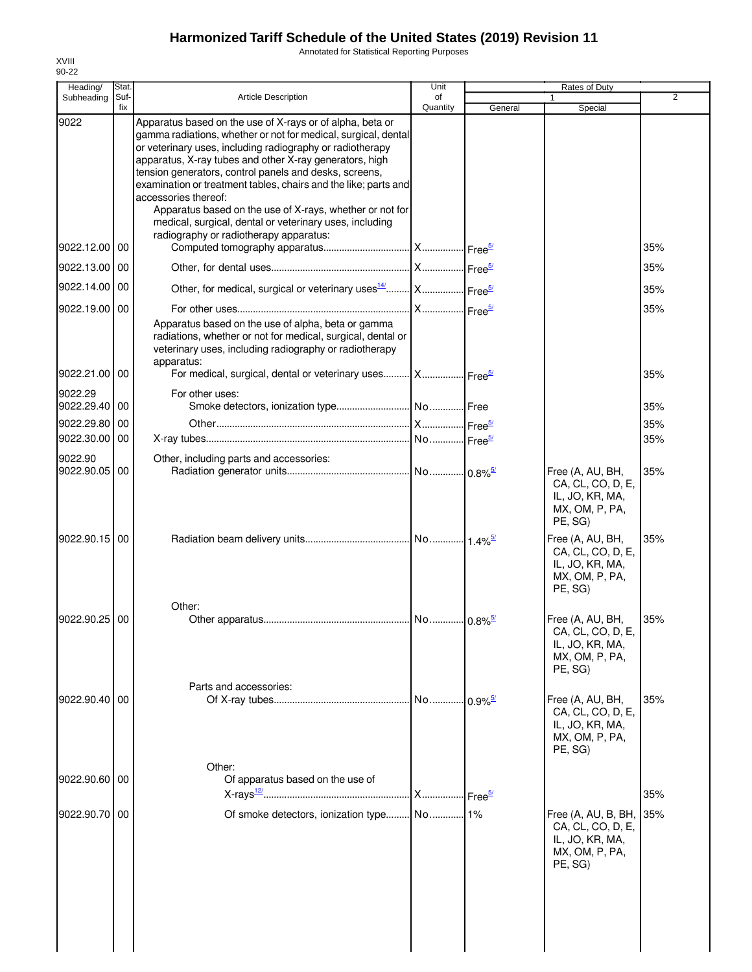Annotated for Statistical Reporting Purposes

| Heading/                 | Stat.       |                                                                                                                                                                                                                                                                                                                                                                                                                                                                                                                                                                           | Unit           |         | Rates of Duty                                                                                             |     |
|--------------------------|-------------|---------------------------------------------------------------------------------------------------------------------------------------------------------------------------------------------------------------------------------------------------------------------------------------------------------------------------------------------------------------------------------------------------------------------------------------------------------------------------------------------------------------------------------------------------------------------------|----------------|---------|-----------------------------------------------------------------------------------------------------------|-----|
| Subheading               | Suf-<br>fix | Article Description                                                                                                                                                                                                                                                                                                                                                                                                                                                                                                                                                       | of<br>Quantity | General | 1<br>Special                                                                                              | 2   |
| 9022                     |             | Apparatus based on the use of X-rays or of alpha, beta or<br>gamma radiations, whether or not for medical, surgical, dental<br>or veterinary uses, including radiography or radiotherapy<br>apparatus, X-ray tubes and other X-ray generators, high<br>tension generators, control panels and desks, screens,<br>examination or treatment tables, chairs and the like; parts and<br>accessories thereof:<br>Apparatus based on the use of X-rays, whether or not for<br>medical, surgical, dental or veterinary uses, including<br>radiography or radiotherapy apparatus: |                |         |                                                                                                           |     |
| 9022.12.00 00            |             |                                                                                                                                                                                                                                                                                                                                                                                                                                                                                                                                                                           |                |         |                                                                                                           | 35% |
| 9022.13.00 00            |             |                                                                                                                                                                                                                                                                                                                                                                                                                                                                                                                                                                           |                |         |                                                                                                           | 35% |
| 9022.14.00               | 00          | Other, for medical, surgical or veterinary uses <sup>14</sup> X Free <sup>5/</sup>                                                                                                                                                                                                                                                                                                                                                                                                                                                                                        |                |         |                                                                                                           | 35% |
| 9022.19.00               | 00          |                                                                                                                                                                                                                                                                                                                                                                                                                                                                                                                                                                           |                |         |                                                                                                           | 35% |
|                          |             | Apparatus based on the use of alpha, beta or gamma<br>radiations, whether or not for medical, surgical, dental or<br>veterinary uses, including radiography or radiotherapy<br>apparatus:                                                                                                                                                                                                                                                                                                                                                                                 |                |         |                                                                                                           |     |
| 9022.21.00               | 00          | For medical, surgical, dental or veterinary uses X Free <sup>5/</sup>                                                                                                                                                                                                                                                                                                                                                                                                                                                                                                     |                |         |                                                                                                           | 35% |
| 9022.29<br>9022.29.40 00 |             | For other uses:                                                                                                                                                                                                                                                                                                                                                                                                                                                                                                                                                           |                |         |                                                                                                           | 35% |
| 9022.29.80               | 00          |                                                                                                                                                                                                                                                                                                                                                                                                                                                                                                                                                                           |                |         |                                                                                                           | 35% |
| 9022.30.00 00            |             |                                                                                                                                                                                                                                                                                                                                                                                                                                                                                                                                                                           |                |         |                                                                                                           | 35% |
| 9022.90<br>9022.90.05    | 00          | Other, including parts and accessories:                                                                                                                                                                                                                                                                                                                                                                                                                                                                                                                                   |                |         |                                                                                                           | 35% |
| 9022.90.15 00            |             |                                                                                                                                                                                                                                                                                                                                                                                                                                                                                                                                                                           |                |         | Free (A, AU, BH,<br>CA, CL, CO, D, E,<br>IL, JO, KR, MA,<br>MX, OM, P, PA,<br>PE, SG)<br>Free (A, AU, BH, | 35% |
|                          |             |                                                                                                                                                                                                                                                                                                                                                                                                                                                                                                                                                                           |                |         | CA, CL, CO, D, E,<br>IL, JO, KR, MA,<br>MX, OM, P, PA,<br>PE, SG)                                         |     |
| 9022.90.25 00            |             | Other:                                                                                                                                                                                                                                                                                                                                                                                                                                                                                                                                                                    |                |         | Free (A, AU, BH,                                                                                          | 35% |
|                          |             |                                                                                                                                                                                                                                                                                                                                                                                                                                                                                                                                                                           |                |         | CA, CL, CO, D, E,<br>IL, JO, KR, MA,<br>MX, OM, P, PA,<br>PE, SG)                                         |     |
| 9022.90.40 00            |             | Parts and accessories:                                                                                                                                                                                                                                                                                                                                                                                                                                                                                                                                                    |                |         | Free (A, AU, BH,                                                                                          | 35% |
|                          |             |                                                                                                                                                                                                                                                                                                                                                                                                                                                                                                                                                                           |                |         | CA, CL, CO, D, E,<br>IL, JO, KR, MA,<br>MX, OM, P, PA,<br>PE, SG)                                         |     |
| 9022.90.60 00            |             | Other:<br>Of apparatus based on the use of                                                                                                                                                                                                                                                                                                                                                                                                                                                                                                                                |                |         |                                                                                                           |     |
|                          |             |                                                                                                                                                                                                                                                                                                                                                                                                                                                                                                                                                                           |                |         |                                                                                                           | 35% |
| 9022.90.70 00            |             |                                                                                                                                                                                                                                                                                                                                                                                                                                                                                                                                                                           |                |         | Free (A, AU, B, BH,<br>CA, CL, CO, D, E,<br>IL, JO, KR, MA,<br>MX, OM, P, PA,<br>PE, SG)                  | 35% |
|                          |             |                                                                                                                                                                                                                                                                                                                                                                                                                                                                                                                                                                           |                |         |                                                                                                           |     |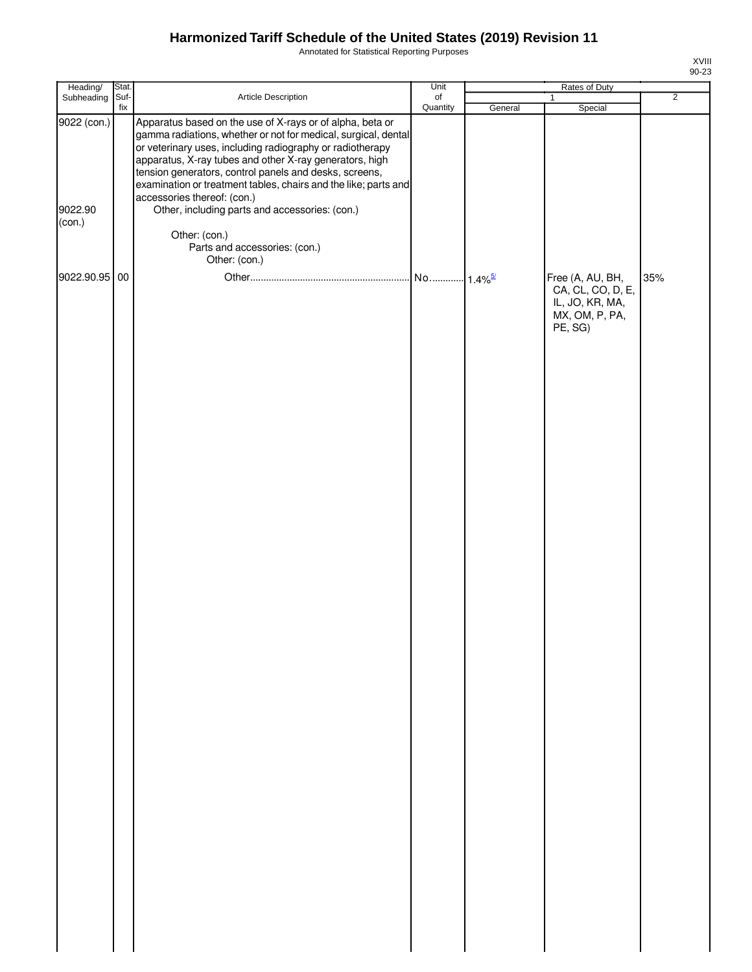Annotated for Statistical Reporting Purposes

| ш        |  |
|----------|--|
| J.<br>r. |  |

| Heading/                         | Stat.       |                                                                                                                                                                                                                                                                                                                                                                                                                                                                                                                     | Unit                  |         |                                                                                       |                |
|----------------------------------|-------------|---------------------------------------------------------------------------------------------------------------------------------------------------------------------------------------------------------------------------------------------------------------------------------------------------------------------------------------------------------------------------------------------------------------------------------------------------------------------------------------------------------------------|-----------------------|---------|---------------------------------------------------------------------------------------|----------------|
| Subheading                       | Suf-<br>fix | Article Description                                                                                                                                                                                                                                                                                                                                                                                                                                                                                                 | $\circ$ f<br>Quantity | General | $\mathbf{1}$<br>Special                                                               | $\overline{2}$ |
| 9022 (con.)<br>9022.90<br>(con.) |             | Apparatus based on the use of X-rays or of alpha, beta or<br>gamma radiations, whether or not for medical, surgical, dental<br>or veterinary uses, including radiography or radiotherapy<br>apparatus, X-ray tubes and other X-ray generators, high<br>tension generators, control panels and desks, screens,<br>examination or treatment tables, chairs and the like; parts and<br>accessories thereof: (con.)<br>Other, including parts and accessories: (con.)<br>Other: (con.)<br>Parts and accessories: (con.) |                       |         |                                                                                       |                |
|                                  |             | Other: (con.)                                                                                                                                                                                                                                                                                                                                                                                                                                                                                                       |                       |         |                                                                                       |                |
| 9022.90.95 00                    |             |                                                                                                                                                                                                                                                                                                                                                                                                                                                                                                                     |                       |         | Free (A, AU, BH,<br>CA, CL, CO, D, E,<br>IL, JO, KR, MA,<br>MX, OM, P, PA,<br>PE, SG) | 35%            |
|                                  |             |                                                                                                                                                                                                                                                                                                                                                                                                                                                                                                                     |                       |         |                                                                                       |                |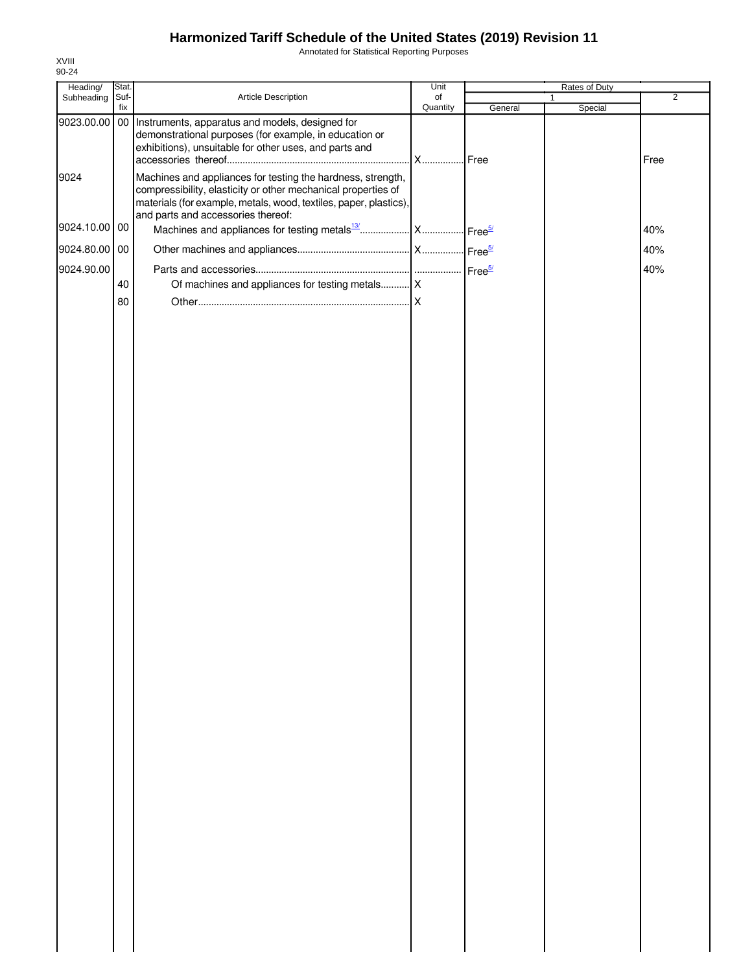Annotated for Statistical Reporting Purposes

| Heading/      | Stat.       |                                                                                                                                                                                                                                         | Unit           |         | Rates of Duty |                |
|---------------|-------------|-----------------------------------------------------------------------------------------------------------------------------------------------------------------------------------------------------------------------------------------|----------------|---------|---------------|----------------|
| Subheading    | Suf-<br>fix | Article Description                                                                                                                                                                                                                     | of<br>Quantity | General | 1<br>Special  | $\overline{2}$ |
| 9023.00.00    |             | 00 Instruments, apparatus and models, designed for<br>demonstrational purposes (for example, in education or<br>exhibitions), unsuitable for other uses, and parts and                                                                  | . X Free       |         |               | Free           |
| 9024          |             | Machines and appliances for testing the hardness, strength,<br>compressibility, elasticity or other mechanical properties of<br>materials (for example, metals, wood, textiles, paper, plastics),<br>and parts and accessories thereof: |                |         |               |                |
| 9024.10.00 00 |             |                                                                                                                                                                                                                                         |                |         |               | 40%            |
| 9024.80.00 00 |             |                                                                                                                                                                                                                                         |                |         |               | 40%            |
| 9024.90.00    |             |                                                                                                                                                                                                                                         |                |         |               | 40%            |
|               | 40          | Of machines and appliances for testing metals X                                                                                                                                                                                         |                |         |               |                |
|               | 80          |                                                                                                                                                                                                                                         |                |         |               |                |
|               |             |                                                                                                                                                                                                                                         |                |         |               |                |
|               |             |                                                                                                                                                                                                                                         |                |         |               |                |
|               |             |                                                                                                                                                                                                                                         |                |         |               |                |
|               |             |                                                                                                                                                                                                                                         |                |         |               |                |
|               |             |                                                                                                                                                                                                                                         |                |         |               |                |
|               |             |                                                                                                                                                                                                                                         |                |         |               |                |
|               |             |                                                                                                                                                                                                                                         |                |         |               |                |
|               |             |                                                                                                                                                                                                                                         |                |         |               |                |
|               |             |                                                                                                                                                                                                                                         |                |         |               |                |
|               |             |                                                                                                                                                                                                                                         |                |         |               |                |
|               |             |                                                                                                                                                                                                                                         |                |         |               |                |
|               |             |                                                                                                                                                                                                                                         |                |         |               |                |
|               |             |                                                                                                                                                                                                                                         |                |         |               |                |
|               |             |                                                                                                                                                                                                                                         |                |         |               |                |
|               |             |                                                                                                                                                                                                                                         |                |         |               |                |
|               |             |                                                                                                                                                                                                                                         |                |         |               |                |
|               |             |                                                                                                                                                                                                                                         |                |         |               |                |
|               |             |                                                                                                                                                                                                                                         |                |         |               |                |
|               |             |                                                                                                                                                                                                                                         |                |         |               |                |
|               |             |                                                                                                                                                                                                                                         |                |         |               |                |
|               |             |                                                                                                                                                                                                                                         |                |         |               |                |
|               |             |                                                                                                                                                                                                                                         |                |         |               |                |
|               |             |                                                                                                                                                                                                                                         |                |         |               |                |
|               |             |                                                                                                                                                                                                                                         |                |         |               |                |
|               |             |                                                                                                                                                                                                                                         |                |         |               |                |
|               |             |                                                                                                                                                                                                                                         |                |         |               |                |
|               |             |                                                                                                                                                                                                                                         |                |         |               |                |
|               |             |                                                                                                                                                                                                                                         |                |         |               |                |
|               |             |                                                                                                                                                                                                                                         |                |         |               |                |
|               |             |                                                                                                                                                                                                                                         |                |         |               |                |
|               |             |                                                                                                                                                                                                                                         |                |         |               |                |
|               |             |                                                                                                                                                                                                                                         |                |         |               |                |
|               |             |                                                                                                                                                                                                                                         |                |         |               |                |
|               |             |                                                                                                                                                                                                                                         |                |         |               |                |
|               |             |                                                                                                                                                                                                                                         |                |         |               |                |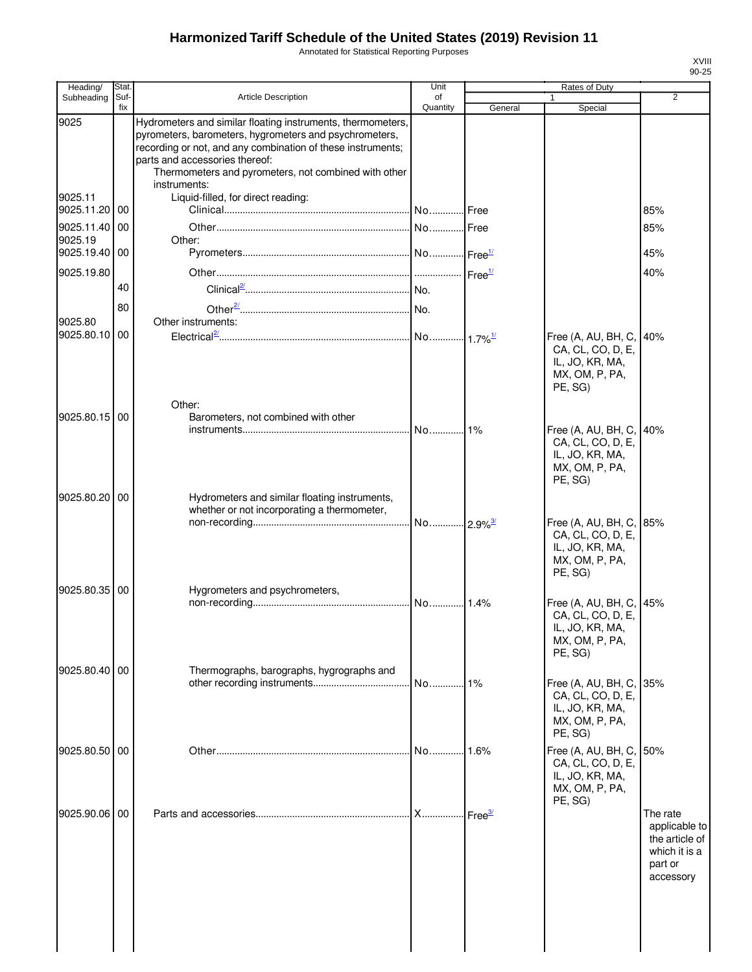Annotated for Statistical Reporting Purposes

| Heading/              | Stat.       |                                                                                                                                                                                                                                                                                                | Unit           |         | Rates of Duty                                                                            |                                                                                      |
|-----------------------|-------------|------------------------------------------------------------------------------------------------------------------------------------------------------------------------------------------------------------------------------------------------------------------------------------------------|----------------|---------|------------------------------------------------------------------------------------------|--------------------------------------------------------------------------------------|
| Subheading            | Suf-<br>fix | Article Description                                                                                                                                                                                                                                                                            | οf<br>Quantity | General | 1<br>Special                                                                             | 2                                                                                    |
| 9025                  |             | Hydrometers and similar floating instruments, thermometers,<br>pyrometers, barometers, hygrometers and psychrometers,<br>recording or not, and any combination of these instruments;<br>parts and accessories thereof:<br>Thermometers and pyrometers, not combined with other<br>instruments: |                |         |                                                                                          |                                                                                      |
| 9025.11<br>9025.11.20 | 00          | Liquid-filled, for direct reading:                                                                                                                                                                                                                                                             |                |         |                                                                                          | 85%                                                                                  |
| 9025.11.40<br>9025.19 | 00          | Other:                                                                                                                                                                                                                                                                                         |                | Free    |                                                                                          | 85%                                                                                  |
| 9025.19.40            | 00          |                                                                                                                                                                                                                                                                                                |                |         |                                                                                          | 45%                                                                                  |
| 9025.19.80            | 40          |                                                                                                                                                                                                                                                                                                |                |         |                                                                                          | 40%                                                                                  |
| 9025.80               | 80          | Other instruments:                                                                                                                                                                                                                                                                             |                |         |                                                                                          |                                                                                      |
| 9025.80.10            | 00          |                                                                                                                                                                                                                                                                                                |                |         | Free (A, AU, BH, C,<br>CA, CL, CO, D, E,<br>IL, JO, KR, MA,<br>MX, OM, P, PA,<br>PE, SG) | 40%                                                                                  |
| 9025.80.15 00         |             | Other:<br>Barometers, not combined with other                                                                                                                                                                                                                                                  | No             | 1%      | Free (A, AU, BH, C,<br>CA, CL, CO, D, E,<br>IL, JO, KR, MA,<br>MX, OM, P, PA,<br>PE, SG) | 40%                                                                                  |
| 9025.80.20            | 00          | Hydrometers and similar floating instruments,<br>whether or not incorporating a thermometer,                                                                                                                                                                                                   |                |         | Free (A, AU, BH, C,<br>CA, CL, CO, D, E,<br>IL, JO, KR, MA,<br>MX, OM, P, PA,<br>PE, SG) | 85%                                                                                  |
| 9025.80.35 00         |             | Hygrometers and psychrometers,                                                                                                                                                                                                                                                                 |                |         | Free (A, AU, BH, C,<br>CA, CL, CO, D, E,<br>IL, JO, KR, MA,<br>MX, OM, P, PA,<br>PE, SG) | 45%                                                                                  |
| 9025.80.40 00         |             | Thermographs, barographs, hygrographs and                                                                                                                                                                                                                                                      |                | 1%      | Free (A, AU, BH, C,<br>CA, CL, CO, D, E,<br>IL, JO, KR, MA,<br>MX, OM, P, PA,<br>PE, SG) | 35%                                                                                  |
| 9025.80.50 00         |             |                                                                                                                                                                                                                                                                                                |                | 1.6%    | Free (A, AU, BH, C,<br>CA, CL, CO, D, E,<br>IL, JO, KR, MA,<br>MX, OM, P, PA,            | 50%                                                                                  |
| 9025.90.06 00         |             |                                                                                                                                                                                                                                                                                                |                |         | PE, SG)                                                                                  | The rate<br>applicable to<br>the article of<br>which it is a<br>part or<br>accessory |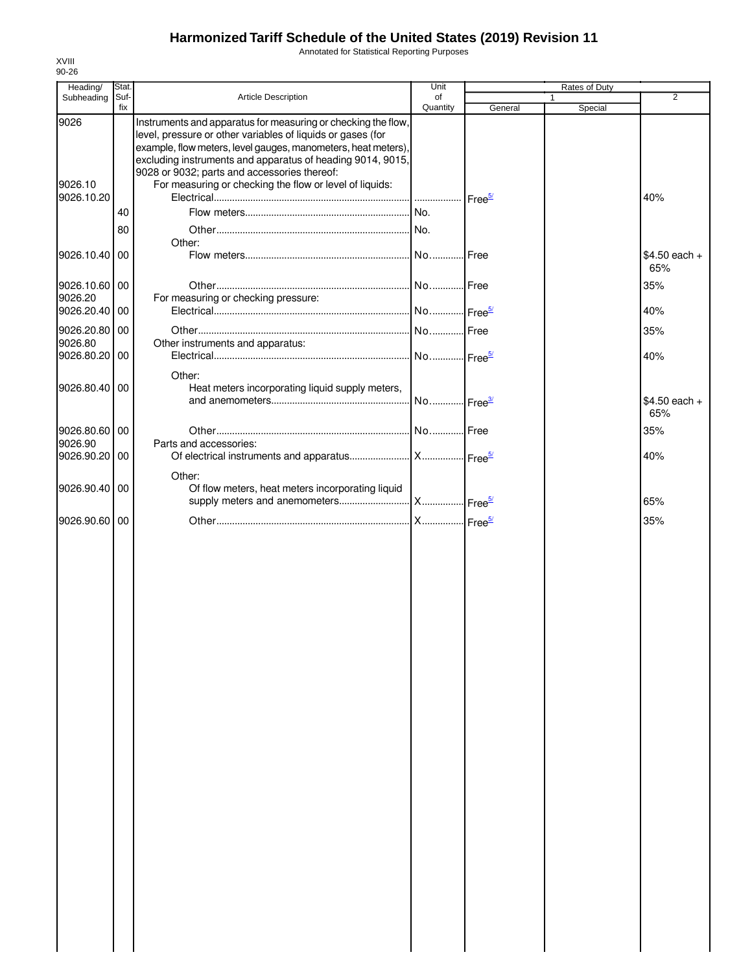Annotated for Statistical Reporting Purposes

| Heading/                 | Stat.       |                                                                                                                                                                                                                                                                                                                                                                        | Unit           |         | Rates of Duty           |                       |
|--------------------------|-------------|------------------------------------------------------------------------------------------------------------------------------------------------------------------------------------------------------------------------------------------------------------------------------------------------------------------------------------------------------------------------|----------------|---------|-------------------------|-----------------------|
| Subheading               | Suf-<br>fix | Article Description                                                                                                                                                                                                                                                                                                                                                    | of<br>Quantity | General | $\mathbf{1}$<br>Special | $\overline{2}$        |
| 9026<br>9026.10          |             | Instruments and apparatus for measuring or checking the flow,<br>level, pressure or other variables of liquids or gases (for<br>example, flow meters, level gauges, manometers, heat meters),<br>excluding instruments and apparatus of heading 9014, 9015,<br>9028 or 9032; parts and accessories thereof:<br>For measuring or checking the flow or level of liquids: |                |         |                         |                       |
| 9026.10.20               |             |                                                                                                                                                                                                                                                                                                                                                                        |                |         |                         | 40%                   |
|                          | 40          |                                                                                                                                                                                                                                                                                                                                                                        |                |         |                         |                       |
|                          | 80          |                                                                                                                                                                                                                                                                                                                                                                        |                |         |                         |                       |
| 9026.10.40 00            |             | Other:                                                                                                                                                                                                                                                                                                                                                                 |                | Free    |                         | \$4.50 each +<br>65%  |
| 9026.10.60 00<br>9026.20 |             | For measuring or checking pressure:                                                                                                                                                                                                                                                                                                                                    |                |         |                         | 35%                   |
| 9026.20.40 00            |             |                                                                                                                                                                                                                                                                                                                                                                        |                |         |                         | 40%                   |
| 9026.20.80 00            |             |                                                                                                                                                                                                                                                                                                                                                                        |                |         |                         | 35%                   |
| 9026.80                  |             | Other instruments and apparatus:                                                                                                                                                                                                                                                                                                                                       |                |         |                         |                       |
| 9026.80.20 00            |             |                                                                                                                                                                                                                                                                                                                                                                        |                |         |                         | 40%                   |
|                          |             |                                                                                                                                                                                                                                                                                                                                                                        |                |         |                         |                       |
|                          |             | Other:                                                                                                                                                                                                                                                                                                                                                                 |                |         |                         |                       |
| 9026.80.40 00            |             | Heat meters incorporating liquid supply meters,                                                                                                                                                                                                                                                                                                                        |                |         |                         |                       |
|                          |             |                                                                                                                                                                                                                                                                                                                                                                        |                |         |                         | $$4.50$ each +<br>65% |
|                          |             |                                                                                                                                                                                                                                                                                                                                                                        |                |         |                         |                       |
| 9026.80.60 00            |             |                                                                                                                                                                                                                                                                                                                                                                        |                |         |                         | 35%                   |
| 9026.90                  |             | Parts and accessories:                                                                                                                                                                                                                                                                                                                                                 |                |         |                         |                       |
| 9026.90.20 00            |             |                                                                                                                                                                                                                                                                                                                                                                        |                |         |                         | 40%                   |
|                          |             | Other:                                                                                                                                                                                                                                                                                                                                                                 |                |         |                         |                       |
| 9026.90.40 00            |             | Of flow meters, heat meters incorporating liquid                                                                                                                                                                                                                                                                                                                       |                |         |                         |                       |
|                          |             |                                                                                                                                                                                                                                                                                                                                                                        |                |         |                         | 65%                   |
| 9026.90.60 00            |             |                                                                                                                                                                                                                                                                                                                                                                        |                |         |                         | 35%                   |
|                          |             |                                                                                                                                                                                                                                                                                                                                                                        |                |         |                         |                       |
|                          |             |                                                                                                                                                                                                                                                                                                                                                                        |                |         |                         |                       |
|                          |             |                                                                                                                                                                                                                                                                                                                                                                        |                |         |                         |                       |
|                          |             |                                                                                                                                                                                                                                                                                                                                                                        |                |         |                         |                       |
|                          |             |                                                                                                                                                                                                                                                                                                                                                                        |                |         |                         |                       |
|                          |             |                                                                                                                                                                                                                                                                                                                                                                        |                |         |                         |                       |
|                          |             |                                                                                                                                                                                                                                                                                                                                                                        |                |         |                         |                       |
|                          |             |                                                                                                                                                                                                                                                                                                                                                                        |                |         |                         |                       |
|                          |             |                                                                                                                                                                                                                                                                                                                                                                        |                |         |                         |                       |
|                          |             |                                                                                                                                                                                                                                                                                                                                                                        |                |         |                         |                       |
|                          |             |                                                                                                                                                                                                                                                                                                                                                                        |                |         |                         |                       |
|                          |             |                                                                                                                                                                                                                                                                                                                                                                        |                |         |                         |                       |
|                          |             |                                                                                                                                                                                                                                                                                                                                                                        |                |         |                         |                       |
|                          |             |                                                                                                                                                                                                                                                                                                                                                                        |                |         |                         |                       |
|                          |             |                                                                                                                                                                                                                                                                                                                                                                        |                |         |                         |                       |
|                          |             |                                                                                                                                                                                                                                                                                                                                                                        |                |         |                         |                       |
|                          |             |                                                                                                                                                                                                                                                                                                                                                                        |                |         |                         |                       |
|                          |             |                                                                                                                                                                                                                                                                                                                                                                        |                |         |                         |                       |
|                          |             |                                                                                                                                                                                                                                                                                                                                                                        |                |         |                         |                       |
|                          |             |                                                                                                                                                                                                                                                                                                                                                                        |                |         |                         |                       |
|                          |             |                                                                                                                                                                                                                                                                                                                                                                        |                |         |                         |                       |
|                          |             |                                                                                                                                                                                                                                                                                                                                                                        |                |         |                         |                       |
|                          |             |                                                                                                                                                                                                                                                                                                                                                                        |                |         |                         |                       |
|                          |             |                                                                                                                                                                                                                                                                                                                                                                        |                |         |                         |                       |
|                          |             |                                                                                                                                                                                                                                                                                                                                                                        |                |         |                         |                       |
|                          |             |                                                                                                                                                                                                                                                                                                                                                                        |                |         |                         |                       |
|                          |             |                                                                                                                                                                                                                                                                                                                                                                        |                |         |                         |                       |
|                          |             |                                                                                                                                                                                                                                                                                                                                                                        |                |         |                         |                       |
|                          |             |                                                                                                                                                                                                                                                                                                                                                                        |                |         |                         |                       |
|                          |             |                                                                                                                                                                                                                                                                                                                                                                        |                |         |                         |                       |
|                          |             |                                                                                                                                                                                                                                                                                                                                                                        |                |         |                         |                       |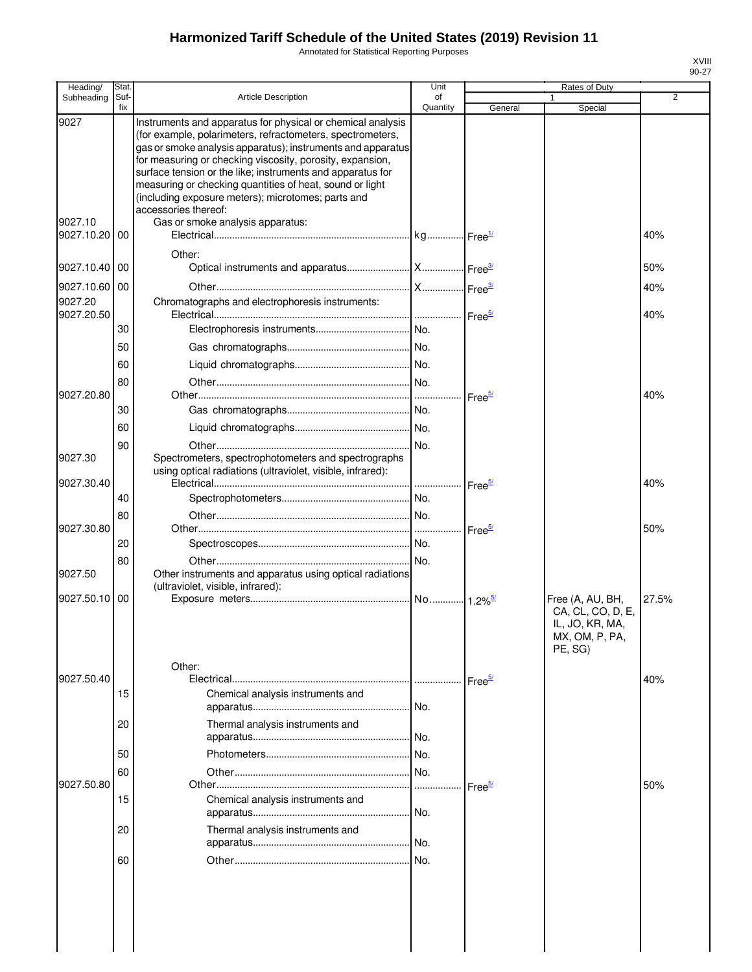Annotated for Statistical Reporting Purposes

| Heading/              | Stat.       |                                                                                                                                                                                                                                                                                                                                                                                                                                                               | Unit           |                    | Rates of Duty                                |       |
|-----------------------|-------------|---------------------------------------------------------------------------------------------------------------------------------------------------------------------------------------------------------------------------------------------------------------------------------------------------------------------------------------------------------------------------------------------------------------------------------------------------------------|----------------|--------------------|----------------------------------------------|-------|
| Subheading            | Suf-<br>fix | <b>Article Description</b>                                                                                                                                                                                                                                                                                                                                                                                                                                    | οf<br>Quantity | General            | 1<br>Special                                 | 2     |
| 9027                  |             | Instruments and apparatus for physical or chemical analysis<br>(for example, polarimeters, refractometers, spectrometers,<br>gas or smoke analysis apparatus); instruments and apparatus<br>for measuring or checking viscosity, porosity, expansion,<br>surface tension or the like; instruments and apparatus for<br>measuring or checking quantities of heat, sound or light<br>(including exposure meters); microtomes; parts and<br>accessories thereof: |                |                    |                                              |       |
| 9027.10<br>9027.10.20 | 00          | Gas or smoke analysis apparatus:                                                                                                                                                                                                                                                                                                                                                                                                                              |                |                    |                                              | 40%   |
| 9027.10.40            | 00          | Other:                                                                                                                                                                                                                                                                                                                                                                                                                                                        |                |                    |                                              | 50%   |
| 9027.10.60            | 00          |                                                                                                                                                                                                                                                                                                                                                                                                                                                               |                |                    |                                              | 40%   |
| 9027.20<br>9027.20.50 |             | Chromatographs and electrophoresis instruments:                                                                                                                                                                                                                                                                                                                                                                                                               |                | Free $\frac{5}{2}$ |                                              | 40%   |
|                       | 30          |                                                                                                                                                                                                                                                                                                                                                                                                                                                               |                |                    |                                              |       |
|                       | 50          |                                                                                                                                                                                                                                                                                                                                                                                                                                                               |                |                    |                                              |       |
|                       | 60          |                                                                                                                                                                                                                                                                                                                                                                                                                                                               |                |                    |                                              |       |
|                       | 80          |                                                                                                                                                                                                                                                                                                                                                                                                                                                               |                |                    |                                              |       |
| 9027.20.80            |             |                                                                                                                                                                                                                                                                                                                                                                                                                                                               |                | Free <sup>5/</sup> |                                              | 40%   |
|                       | 30          |                                                                                                                                                                                                                                                                                                                                                                                                                                                               |                |                    |                                              |       |
|                       | 60          |                                                                                                                                                                                                                                                                                                                                                                                                                                                               |                |                    |                                              |       |
| 9027.30               | 90          | Spectrometers, spectrophotometers and spectrographs<br>using optical radiations (ultraviolet, visible, infrared):                                                                                                                                                                                                                                                                                                                                             |                |                    |                                              |       |
| 9027.30.40            |             |                                                                                                                                                                                                                                                                                                                                                                                                                                                               |                | Free <sup>5/</sup> |                                              | 40%   |
|                       | 40          |                                                                                                                                                                                                                                                                                                                                                                                                                                                               |                |                    |                                              |       |
|                       | 80          |                                                                                                                                                                                                                                                                                                                                                                                                                                                               |                |                    |                                              |       |
| 9027.30.80            |             |                                                                                                                                                                                                                                                                                                                                                                                                                                                               |                | Free <sup>5/</sup> |                                              | 50%   |
|                       | 20          |                                                                                                                                                                                                                                                                                                                                                                                                                                                               |                |                    |                                              |       |
| 9027.50               | 80          | Other instruments and apparatus using optical radiations<br>(ultraviolet, visible, infrared):                                                                                                                                                                                                                                                                                                                                                                 |                |                    |                                              |       |
| 9027.50.10            | 00          |                                                                                                                                                                                                                                                                                                                                                                                                                                                               |                |                    | Free (A, AU, BH,<br>CA, CL, CO, D, E,        | 27.5% |
|                       |             | Other:                                                                                                                                                                                                                                                                                                                                                                                                                                                        |                |                    | IL, JO, KR, MA,<br>MX, OM, P, PA,<br>PE, SG) |       |
| 9027.50.40            |             |                                                                                                                                                                                                                                                                                                                                                                                                                                                               |                | Free <sup>5/</sup> |                                              | 40%   |
|                       | 15          | Chemical analysis instruments and                                                                                                                                                                                                                                                                                                                                                                                                                             |                |                    |                                              |       |
|                       | 20          | Thermal analysis instruments and                                                                                                                                                                                                                                                                                                                                                                                                                              |                |                    |                                              |       |
|                       | 50          |                                                                                                                                                                                                                                                                                                                                                                                                                                                               |                |                    |                                              |       |
|                       | 60          |                                                                                                                                                                                                                                                                                                                                                                                                                                                               | No.            |                    |                                              |       |
| 9027.50.80            |             |                                                                                                                                                                                                                                                                                                                                                                                                                                                               | .              | Free <sup>5/</sup> |                                              | 50%   |
|                       | 15          | Chemical analysis instruments and                                                                                                                                                                                                                                                                                                                                                                                                                             | No.            |                    |                                              |       |
|                       | 20          | Thermal analysis instruments and                                                                                                                                                                                                                                                                                                                                                                                                                              |                |                    |                                              |       |
|                       | 60          |                                                                                                                                                                                                                                                                                                                                                                                                                                                               | No.            |                    |                                              |       |
|                       |             |                                                                                                                                                                                                                                                                                                                                                                                                                                                               |                |                    |                                              |       |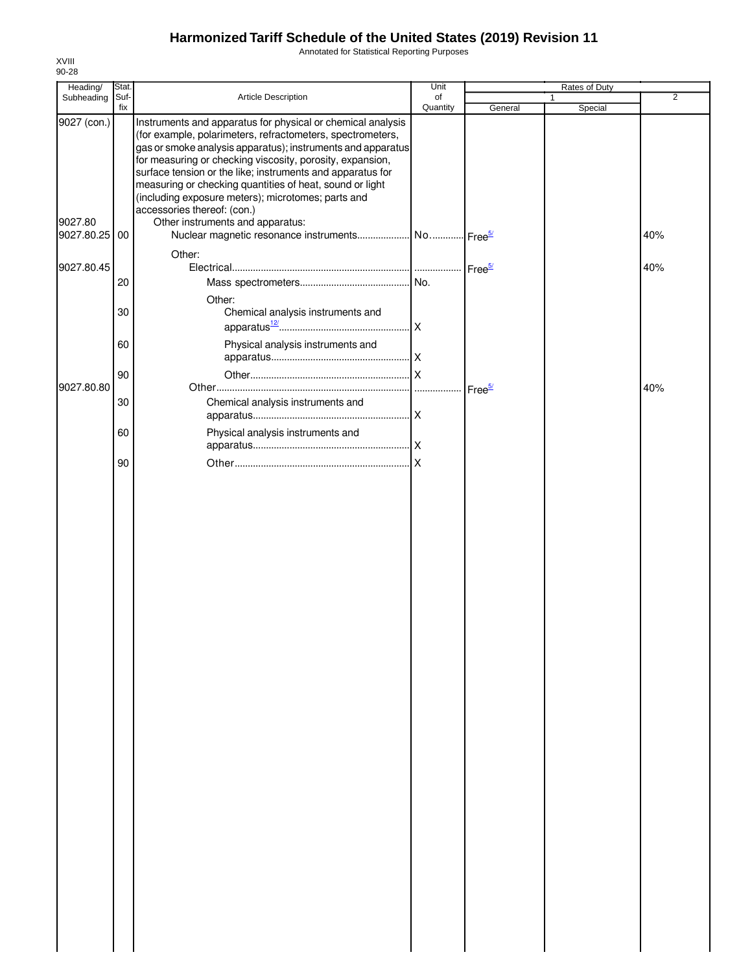Annotated for Statistical Reporting Purposes

| Stat. |                                                                                                                                                                                                                                                                                                                                                                                                       | Unit                                                                                                   |                                                                   | Rates of Duty |                |
|-------|-------------------------------------------------------------------------------------------------------------------------------------------------------------------------------------------------------------------------------------------------------------------------------------------------------------------------------------------------------------------------------------------------------|--------------------------------------------------------------------------------------------------------|-------------------------------------------------------------------|---------------|----------------|
| fix   |                                                                                                                                                                                                                                                                                                                                                                                                       | Quantity                                                                                               | General                                                           | Special       | $\overline{2}$ |
|       | Instruments and apparatus for physical or chemical analysis<br>(for example, polarimeters, refractometers, spectrometers,<br>for measuring or checking viscosity, porosity, expansion,<br>surface tension or the like; instruments and apparatus for<br>measuring or checking quantities of heat, sound or light<br>(including exposure meters); microtomes; parts and<br>accessories thereof: (con.) |                                                                                                        |                                                                   |               |                |
|       |                                                                                                                                                                                                                                                                                                                                                                                                       |                                                                                                        |                                                                   |               | 40%            |
| 20    |                                                                                                                                                                                                                                                                                                                                                                                                       |                                                                                                        |                                                                   |               | 40%            |
| 30    | Other:<br>Chemical analysis instruments and                                                                                                                                                                                                                                                                                                                                                           |                                                                                                        |                                                                   |               |                |
| 60    | Physical analysis instruments and                                                                                                                                                                                                                                                                                                                                                                     |                                                                                                        |                                                                   |               |                |
| 90    |                                                                                                                                                                                                                                                                                                                                                                                                       | $\overline{\mathsf{x}}$                                                                                |                                                                   |               | 40%            |
| 30    | Chemical analysis instruments and                                                                                                                                                                                                                                                                                                                                                                     |                                                                                                        |                                                                   |               |                |
|       |                                                                                                                                                                                                                                                                                                                                                                                                       |                                                                                                        |                                                                   |               |                |
|       |                                                                                                                                                                                                                                                                                                                                                                                                       |                                                                                                        |                                                                   |               |                |
|       | Suf-<br>Subheading<br>9027 (con.)<br>9027.80.25 00<br>9027.80.45<br>9027.80.80<br>60<br>90                                                                                                                                                                                                                                                                                                            | Article Description<br>Other instruments and apparatus:<br>Other:<br>Physical analysis instruments and | of<br>gas or smoke analysis apparatus); instruments and apparatus |               | $\mathbf{1}$   |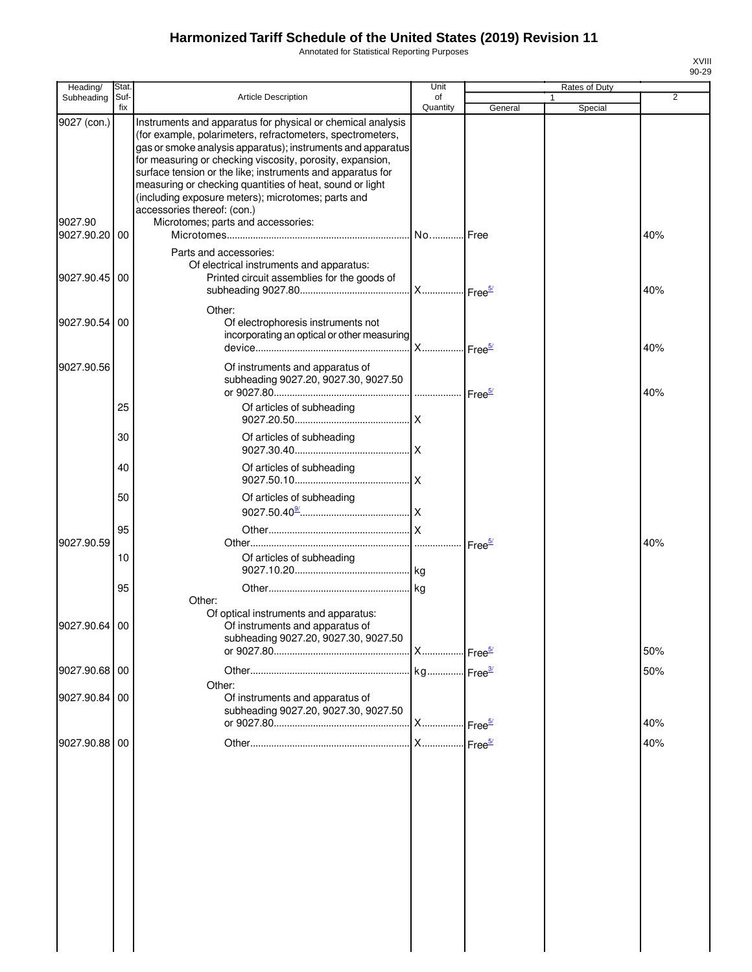Annotated for Statistical Reporting Purposes

| Heading/                             | Stat.       |                                                                                                                                                                                                                                                                                                                                                                                                                                                                                                            | Unit           |                    | Rates of Duty           |     |
|--------------------------------------|-------------|------------------------------------------------------------------------------------------------------------------------------------------------------------------------------------------------------------------------------------------------------------------------------------------------------------------------------------------------------------------------------------------------------------------------------------------------------------------------------------------------------------|----------------|--------------------|-------------------------|-----|
| Subheading                           | Suf-<br>fix | Article Description                                                                                                                                                                                                                                                                                                                                                                                                                                                                                        | οf<br>Quantity | General            | $\mathbf{1}$<br>Special | 2   |
| 9027 (con.)<br>9027.90<br>9027.90.20 | 00          | Instruments and apparatus for physical or chemical analysis<br>(for example, polarimeters, refractometers, spectrometers,<br>gas or smoke analysis apparatus); instruments and apparatus<br>for measuring or checking viscosity, porosity, expansion,<br>surface tension or the like; instruments and apparatus for<br>measuring or checking quantities of heat, sound or light<br>(including exposure meters); microtomes; parts and<br>accessories thereof: (con.)<br>Microtomes; parts and accessories: |                |                    |                         | 40% |
| 9027.90.45 00                        |             | Parts and accessories:<br>Of electrical instruments and apparatus:<br>Printed circuit assemblies for the goods of                                                                                                                                                                                                                                                                                                                                                                                          |                |                    |                         | 40% |
| 9027.90.54                           | 00          | Other:<br>Of electrophoresis instruments not<br>incorporating an optical or other measuring                                                                                                                                                                                                                                                                                                                                                                                                                |                |                    |                         | 40% |
| 9027.90.56                           |             | Of instruments and apparatus of<br>subheading 9027.20, 9027.30, 9027.50                                                                                                                                                                                                                                                                                                                                                                                                                                    |                |                    |                         | 40% |
|                                      | 25<br>30    | Of articles of subheading<br>Of articles of subheading                                                                                                                                                                                                                                                                                                                                                                                                                                                     |                |                    |                         |     |
|                                      | 40          | Of articles of subheading                                                                                                                                                                                                                                                                                                                                                                                                                                                                                  |                |                    |                         |     |
|                                      | 50          | Of articles of subheading                                                                                                                                                                                                                                                                                                                                                                                                                                                                                  |                |                    |                         |     |
| 9027.90.59                           | 95          |                                                                                                                                                                                                                                                                                                                                                                                                                                                                                                            |                | Free <sup>5/</sup> |                         | 40% |
|                                      | 10<br>95    | Of articles of subheading                                                                                                                                                                                                                                                                                                                                                                                                                                                                                  |                |                    |                         |     |
| 9027.90.64 00                        |             | Other:<br>Of optical instruments and apparatus:<br>Of instruments and apparatus of<br>subheading 9027.20, 9027.30, 9027.50                                                                                                                                                                                                                                                                                                                                                                                 |                |                    |                         | 50% |
| 9027.90.68 00                        |             |                                                                                                                                                                                                                                                                                                                                                                                                                                                                                                            |                |                    |                         | 50% |
| 9027.90.84 00                        |             | Other:<br>Of instruments and apparatus of<br>subheading 9027.20, 9027.30, 9027.50                                                                                                                                                                                                                                                                                                                                                                                                                          |                |                    |                         | 40% |
| 9027.90.88 00                        |             |                                                                                                                                                                                                                                                                                                                                                                                                                                                                                                            |                |                    |                         | 40% |
|                                      |             |                                                                                                                                                                                                                                                                                                                                                                                                                                                                                                            |                |                    |                         |     |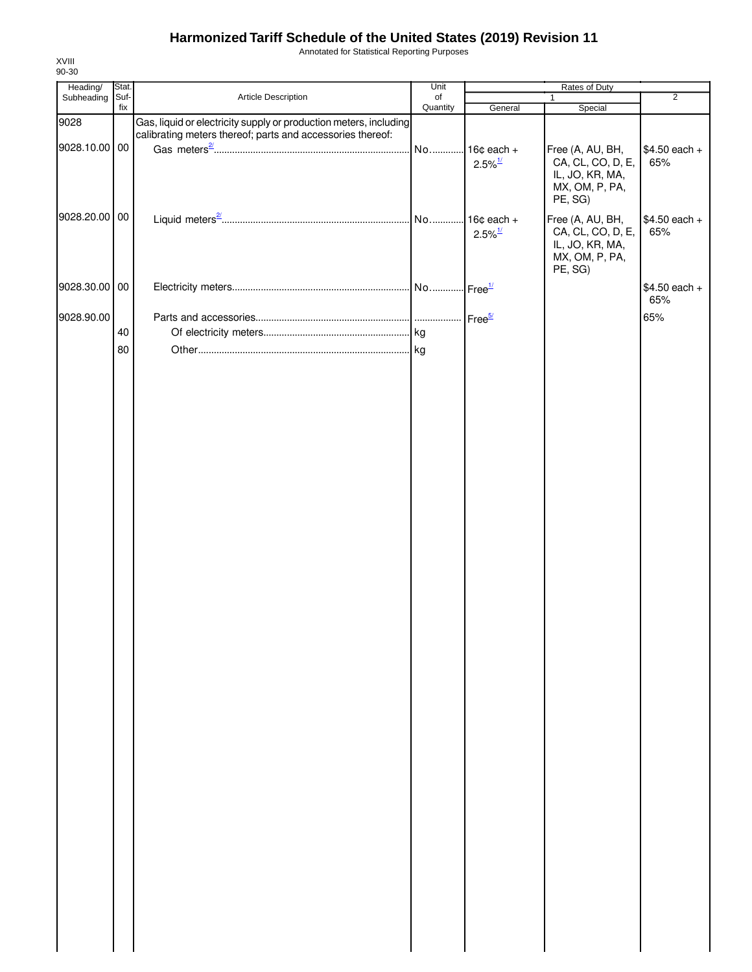Annotated for Statistical Reporting Purposes

| Heading/      | Stat.       |                                                                   | Unit           |                       | Rates of Duty                        |                |
|---------------|-------------|-------------------------------------------------------------------|----------------|-----------------------|--------------------------------------|----------------|
| Subheading    | Suf-<br>fix | Article Description                                               | of<br>Quantity | General               | $\mathbf{1}$<br>Special              | $\overline{2}$ |
| 9028          |             | Gas, liquid or electricity supply or production meters, including |                |                       |                                      |                |
|               |             | calibrating meters thereof; parts and accessories thereof:        |                |                       |                                      |                |
| 9028.10.00 00 |             |                                                                   |                |                       | Free (A, AU, BH,                     | $$4.50$ each + |
|               |             |                                                                   |                | $2.5\%$ <sup>1/</sup> | CA, CL, CO, D, E,<br>IL, JO, KR, MA, | 65%            |
|               |             |                                                                   |                |                       | MX, OM, P, PA,                       |                |
|               |             |                                                                   |                |                       | PE, SG)                              |                |
| 9028.20.00 00 |             |                                                                   |                |                       | Free (A, AU, BH,                     | $$4.50$ each + |
|               |             |                                                                   |                | $2.5\%$ <sup>1/</sup> | CA, CL, CO, D, E,                    | 65%            |
|               |             |                                                                   |                |                       | IL, JO, KR, MA,<br>MX, OM, P, PA,    |                |
|               |             |                                                                   |                |                       | PE, SG)                              |                |
| 9028.30.00 00 |             |                                                                   |                |                       |                                      | $$4.50$ each + |
|               |             |                                                                   |                |                       |                                      | 65%            |
| 9028.90.00    |             |                                                                   |                |                       |                                      | 65%            |
|               | 40          |                                                                   |                |                       |                                      |                |
|               | 80          |                                                                   |                |                       |                                      |                |
|               |             |                                                                   |                |                       |                                      |                |
|               |             |                                                                   |                |                       |                                      |                |
|               |             |                                                                   |                |                       |                                      |                |
|               |             |                                                                   |                |                       |                                      |                |
|               |             |                                                                   |                |                       |                                      |                |
|               |             |                                                                   |                |                       |                                      |                |
|               |             |                                                                   |                |                       |                                      |                |
|               |             |                                                                   |                |                       |                                      |                |
|               |             |                                                                   |                |                       |                                      |                |
|               |             |                                                                   |                |                       |                                      |                |
|               |             |                                                                   |                |                       |                                      |                |
|               |             |                                                                   |                |                       |                                      |                |
|               |             |                                                                   |                |                       |                                      |                |
|               |             |                                                                   |                |                       |                                      |                |
|               |             |                                                                   |                |                       |                                      |                |
|               |             |                                                                   |                |                       |                                      |                |
|               |             |                                                                   |                |                       |                                      |                |
|               |             |                                                                   |                |                       |                                      |                |
|               |             |                                                                   |                |                       |                                      |                |
|               |             |                                                                   |                |                       |                                      |                |
|               |             |                                                                   |                |                       |                                      |                |
|               |             |                                                                   |                |                       |                                      |                |
|               |             |                                                                   |                |                       |                                      |                |
|               |             |                                                                   |                |                       |                                      |                |
|               |             |                                                                   |                |                       |                                      |                |
|               |             |                                                                   |                |                       |                                      |                |
|               |             |                                                                   |                |                       |                                      |                |
|               |             |                                                                   |                |                       |                                      |                |
|               |             |                                                                   |                |                       |                                      |                |
|               |             |                                                                   |                |                       |                                      |                |
|               |             |                                                                   |                |                       |                                      |                |
|               |             |                                                                   |                |                       |                                      |                |
|               |             |                                                                   |                |                       |                                      |                |
|               |             |                                                                   |                |                       |                                      |                |
|               |             |                                                                   |                |                       |                                      |                |
|               |             |                                                                   |                |                       |                                      |                |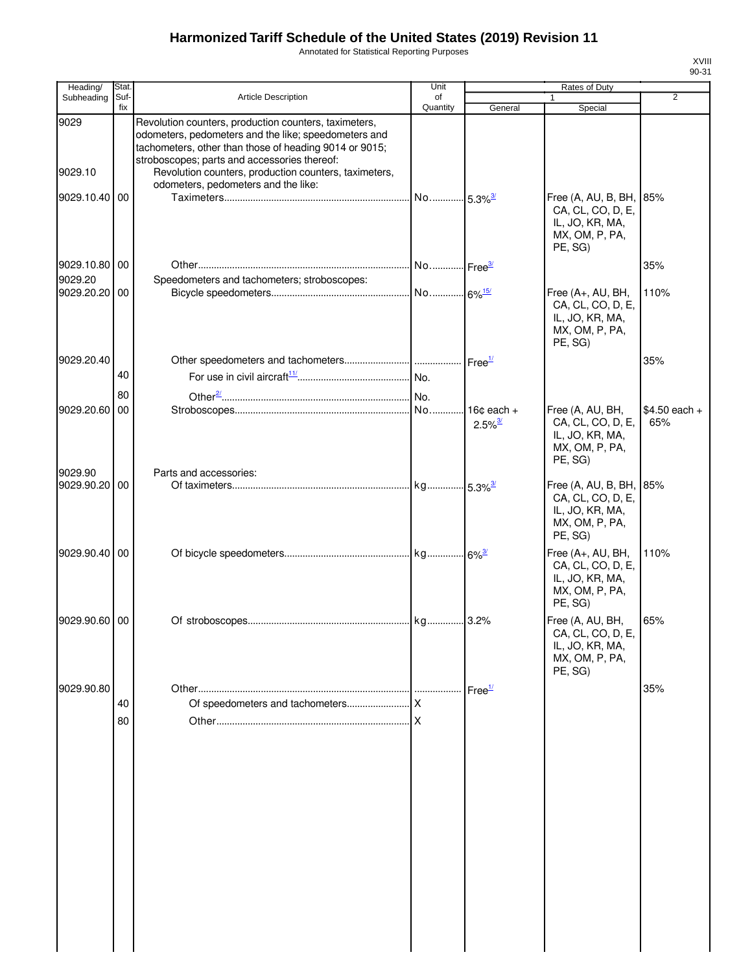Annotated for Statistical Reporting Purposes

| Heading/                      | Stat.       |                                                                                                                                                                                                                                                                                                                         | Unit           |                                                 | Rates of Duty                                                                          |                       |
|-------------------------------|-------------|-------------------------------------------------------------------------------------------------------------------------------------------------------------------------------------------------------------------------------------------------------------------------------------------------------------------------|----------------|-------------------------------------------------|----------------------------------------------------------------------------------------|-----------------------|
| Subheading                    | Suf-<br>fix | Article Description                                                                                                                                                                                                                                                                                                     | of<br>Quantity | General                                         | $\mathbf{1}$<br>Special                                                                | 2                     |
| 9029<br>9029.10<br>9029.10.40 | 00          | Revolution counters, production counters, taximeters,<br>odometers, pedometers and the like; speedometers and<br>tachometers, other than those of heading 9014 or 9015;<br>stroboscopes; parts and accessories thereof:<br>Revolution counters, production counters, taximeters,<br>odometers, pedometers and the like: | No             | $-5.3\%$ <sup>3/</sup>                          | Free (A, AU, B, BH,                                                                    | 85%                   |
|                               |             |                                                                                                                                                                                                                                                                                                                         |                |                                                 | CA, CL, CO, D, E,<br>IL, JO, KR, MA,<br>MX, OM, P, PA,<br>PE, SG)                      |                       |
| 9029.10.80 00                 |             |                                                                                                                                                                                                                                                                                                                         |                |                                                 |                                                                                        | 35%                   |
| 9029.20<br>9029.20.20 00      |             | Speedometers and tachometers; stroboscopes:                                                                                                                                                                                                                                                                             |                |                                                 | Free (A+, AU, BH,<br>CA, CL, CO, D, E,<br>IL, JO, KR, MA,<br>MX, OM, P, PA,<br>PE, SG) | 110%                  |
| 9029.20.40                    |             |                                                                                                                                                                                                                                                                                                                         |                |                                                 |                                                                                        | 35%                   |
|                               | 40          |                                                                                                                                                                                                                                                                                                                         |                |                                                 |                                                                                        |                       |
| 9029.20.60                    | 80<br>00    |                                                                                                                                                                                                                                                                                                                         |                | 16 $\texttt{c}$ each +<br>$2.5\%$ <sup>3/</sup> | Free (A, AU, BH,<br>CA, CL, CO, D, E,<br>IL, JO, KR, MA,<br>MX, OM, P, PA,             | $$4.50$ each +<br>65% |
| 9029.90<br>9029.90.20         | 00          | Parts and accessories:                                                                                                                                                                                                                                                                                                  |                |                                                 | PE, SG)<br>Free (A, AU, B, BH,                                                         | 85%                   |
|                               |             |                                                                                                                                                                                                                                                                                                                         |                |                                                 | CA, CL, CO, D, E,<br>IL, JO, KR, MA,<br>MX, OM, P, PA,<br>PE, SG)                      |                       |
| 9029.90.40 00                 |             |                                                                                                                                                                                                                                                                                                                         |                |                                                 | Free (A+, AU, BH,<br>CA, CL, CO, D, E,<br>IL, JO, KR, MA,<br>MX, OM, P, PA,<br>PE, SG) | 110%                  |
| 9029.90.60 00                 |             |                                                                                                                                                                                                                                                                                                                         |                |                                                 | Free (A, AU, BH,<br>CA, CL, CO, D, E,<br>IL, JO, KR, MA,<br>MX, OM, P, PA,<br>PE, SG)  | 65%                   |
| 9029.90.80                    |             |                                                                                                                                                                                                                                                                                                                         |                | Free <sup>1/</sup>                              |                                                                                        | 35%                   |
|                               | 40<br>80    |                                                                                                                                                                                                                                                                                                                         |                |                                                 |                                                                                        |                       |
|                               |             |                                                                                                                                                                                                                                                                                                                         |                |                                                 |                                                                                        |                       |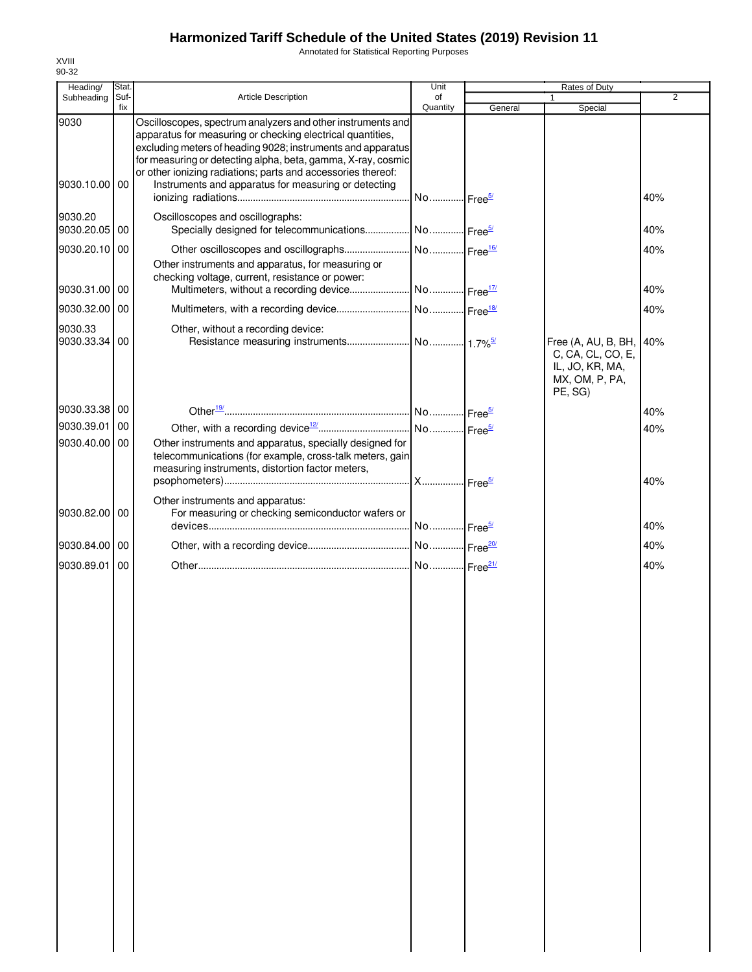Annotated for Statistical Reporting Purposes

| Heading/              | Stat.       |                                                                                                                                                                                                                                                                                                                                                                                  | Unit                   |         | Rates of Duty                                                                            |                |
|-----------------------|-------------|----------------------------------------------------------------------------------------------------------------------------------------------------------------------------------------------------------------------------------------------------------------------------------------------------------------------------------------------------------------------------------|------------------------|---------|------------------------------------------------------------------------------------------|----------------|
| Subheading            | Suf-<br>fix | <b>Article Description</b>                                                                                                                                                                                                                                                                                                                                                       | of<br>Quantity         | General | 1<br>Special                                                                             | $\overline{2}$ |
| 9030<br>9030.10.00 00 |             | Oscilloscopes, spectrum analyzers and other instruments and<br>apparatus for measuring or checking electrical quantities,<br>excluding meters of heading 9028; instruments and apparatus<br>for measuring or detecting alpha, beta, gamma, X-ray, cosmic<br>or other ionizing radiations; parts and accessories thereof:<br>Instruments and apparatus for measuring or detecting |                        |         |                                                                                          | 40%            |
|                       |             |                                                                                                                                                                                                                                                                                                                                                                                  |                        |         |                                                                                          |                |
| 9030.20<br>9030.20.05 | 00          | Oscilloscopes and oscillographs:<br>Specially designed for telecommunications No Free <sup>5/</sup>                                                                                                                                                                                                                                                                              |                        |         |                                                                                          | 40%            |
| 9030.20.10 00         |             |                                                                                                                                                                                                                                                                                                                                                                                  |                        |         |                                                                                          | 40%            |
| 9030.31.00            | 00          | Other instruments and apparatus, for measuring or<br>checking voltage, current, resistance or power:                                                                                                                                                                                                                                                                             |                        |         |                                                                                          | 40%            |
| 9030.32.00 00         |             |                                                                                                                                                                                                                                                                                                                                                                                  |                        |         |                                                                                          | 40%            |
| 9030.33               |             | Other, without a recording device:                                                                                                                                                                                                                                                                                                                                               |                        |         |                                                                                          |                |
| 9030.33.34            | 00          |                                                                                                                                                                                                                                                                                                                                                                                  |                        |         | Free (A, AU, B, BH,<br>C, CA, CL, CO, E,<br>IL, JO, KR, MA,<br>MX, OM, P, PA,<br>PE, SG) | 40%            |
| 9030.33.38 00         |             |                                                                                                                                                                                                                                                                                                                                                                                  |                        |         |                                                                                          | 40%            |
| 9030.39.01            | 00          |                                                                                                                                                                                                                                                                                                                                                                                  |                        |         |                                                                                          | 40%            |
| 9030.40.00            | 00          | Other instruments and apparatus, specially designed for<br>telecommunications (for example, cross-talk meters, gain<br>measuring instruments, distortion factor meters,                                                                                                                                                                                                          |                        |         |                                                                                          | 40%            |
| 9030.82.00 00         |             | Other instruments and apparatus:<br>For measuring or checking semiconductor wafers or                                                                                                                                                                                                                                                                                            | No  Free <sup>5/</sup> |         |                                                                                          | 40%            |
|                       |             |                                                                                                                                                                                                                                                                                                                                                                                  |                        |         |                                                                                          |                |
| 9030.84.00 00         |             |                                                                                                                                                                                                                                                                                                                                                                                  |                        |         |                                                                                          | 40%            |
| 9030.89.01            | 00          |                                                                                                                                                                                                                                                                                                                                                                                  |                        |         |                                                                                          | 40%            |
|                       |             |                                                                                                                                                                                                                                                                                                                                                                                  |                        |         |                                                                                          |                |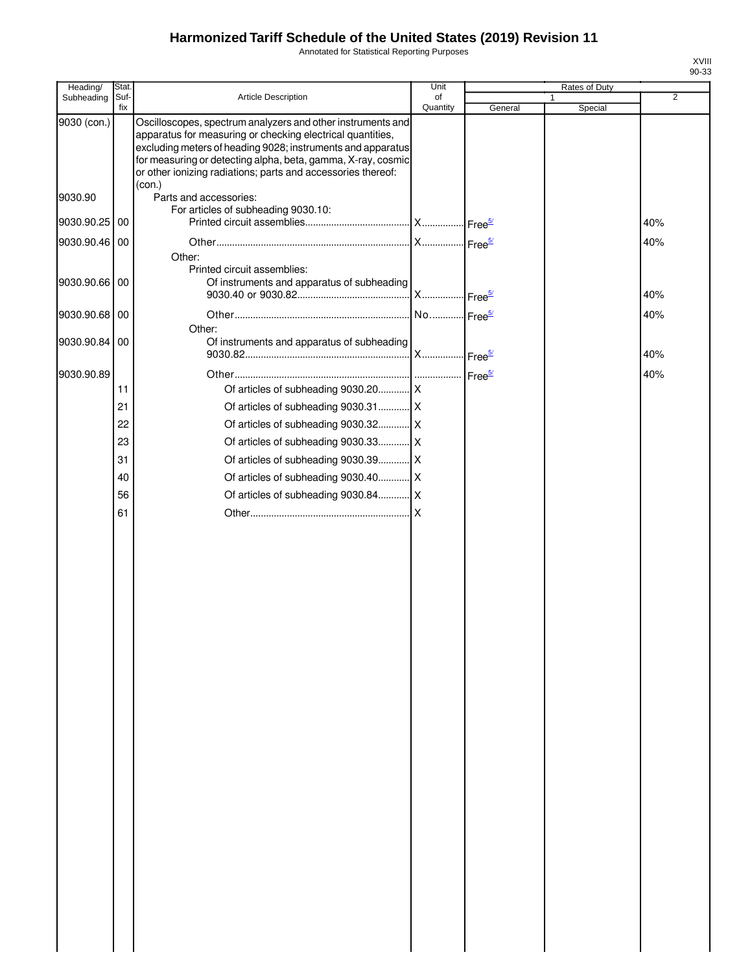Annotated for Statistical Reporting Purposes

| Heading/      | Stat.       |                                                                                                                                                                                                                                                                                                                          | Unit           |         | Rates of Duty |                |
|---------------|-------------|--------------------------------------------------------------------------------------------------------------------------------------------------------------------------------------------------------------------------------------------------------------------------------------------------------------------------|----------------|---------|---------------|----------------|
| Subheading    | Suf-<br>fix | Article Description                                                                                                                                                                                                                                                                                                      | of<br>Quantity | General | 1<br>Special  | $\overline{2}$ |
| 9030 (con.)   |             | Oscilloscopes, spectrum analyzers and other instruments and<br>apparatus for measuring or checking electrical quantities,<br>excluding meters of heading 9028; instruments and apparatus<br>for measuring or detecting alpha, beta, gamma, X-ray, cosmic<br>or other ionizing radiations; parts and accessories thereof: |                |         |               |                |
| 9030.90       |             | (con.)<br>Parts and accessories:<br>For articles of subheading 9030.10:                                                                                                                                                                                                                                                  |                |         |               |                |
| 9030.90.25 00 |             |                                                                                                                                                                                                                                                                                                                          |                |         |               | 40%            |
| 9030.90.46 00 |             |                                                                                                                                                                                                                                                                                                                          |                |         |               | 40%            |
| 9030.90.66 00 |             | Other:<br>Printed circuit assemblies:<br>Of instruments and apparatus of subheading                                                                                                                                                                                                                                      |                |         |               | 40%            |
| 9030.90.68 00 |             |                                                                                                                                                                                                                                                                                                                          |                |         |               | 40%            |
| 9030.90.84 00 |             | Other:<br>Of instruments and apparatus of subheading                                                                                                                                                                                                                                                                     |                |         |               |                |
|               |             |                                                                                                                                                                                                                                                                                                                          |                |         |               | 40%            |
| 9030.90.89    | 11          |                                                                                                                                                                                                                                                                                                                          |                |         |               | 40%            |
|               |             |                                                                                                                                                                                                                                                                                                                          |                |         |               |                |
|               | 21          |                                                                                                                                                                                                                                                                                                                          |                |         |               |                |
|               | 22          |                                                                                                                                                                                                                                                                                                                          |                |         |               |                |
|               | 23          | Of articles of subheading 9030.33 X                                                                                                                                                                                                                                                                                      |                |         |               |                |
|               | 31          | Of articles of subheading 9030.39 X                                                                                                                                                                                                                                                                                      |                |         |               |                |
|               | 40          | Of articles of subheading 9030.40 X                                                                                                                                                                                                                                                                                      |                |         |               |                |
|               |             |                                                                                                                                                                                                                                                                                                                          |                |         |               |                |
|               | 56          |                                                                                                                                                                                                                                                                                                                          |                |         |               |                |
|               | 61          |                                                                                                                                                                                                                                                                                                                          |                |         |               |                |
|               |             |                                                                                                                                                                                                                                                                                                                          |                |         |               |                |
|               |             |                                                                                                                                                                                                                                                                                                                          |                |         |               |                |
|               |             |                                                                                                                                                                                                                                                                                                                          |                |         |               |                |
|               |             |                                                                                                                                                                                                                                                                                                                          |                |         |               |                |
|               |             |                                                                                                                                                                                                                                                                                                                          |                |         |               |                |
|               |             |                                                                                                                                                                                                                                                                                                                          |                |         |               |                |
|               |             |                                                                                                                                                                                                                                                                                                                          |                |         |               |                |
|               |             |                                                                                                                                                                                                                                                                                                                          |                |         |               |                |
|               |             |                                                                                                                                                                                                                                                                                                                          |                |         |               |                |
|               |             |                                                                                                                                                                                                                                                                                                                          |                |         |               |                |
|               |             |                                                                                                                                                                                                                                                                                                                          |                |         |               |                |
|               |             |                                                                                                                                                                                                                                                                                                                          |                |         |               |                |
|               |             |                                                                                                                                                                                                                                                                                                                          |                |         |               |                |
|               |             |                                                                                                                                                                                                                                                                                                                          |                |         |               |                |
|               |             |                                                                                                                                                                                                                                                                                                                          |                |         |               |                |
|               |             |                                                                                                                                                                                                                                                                                                                          |                |         |               |                |
|               |             |                                                                                                                                                                                                                                                                                                                          |                |         |               |                |
|               |             |                                                                                                                                                                                                                                                                                                                          |                |         |               |                |
|               |             |                                                                                                                                                                                                                                                                                                                          |                |         |               |                |
|               |             |                                                                                                                                                                                                                                                                                                                          |                |         |               |                |
|               |             |                                                                                                                                                                                                                                                                                                                          |                |         |               |                |
|               |             |                                                                                                                                                                                                                                                                                                                          |                |         |               |                |
|               |             |                                                                                                                                                                                                                                                                                                                          |                |         |               |                |
|               |             |                                                                                                                                                                                                                                                                                                                          |                |         |               |                |
|               |             |                                                                                                                                                                                                                                                                                                                          |                |         |               |                |
|               |             |                                                                                                                                                                                                                                                                                                                          |                |         |               |                |
|               |             |                                                                                                                                                                                                                                                                                                                          |                |         |               |                |
|               |             |                                                                                                                                                                                                                                                                                                                          |                |         |               |                |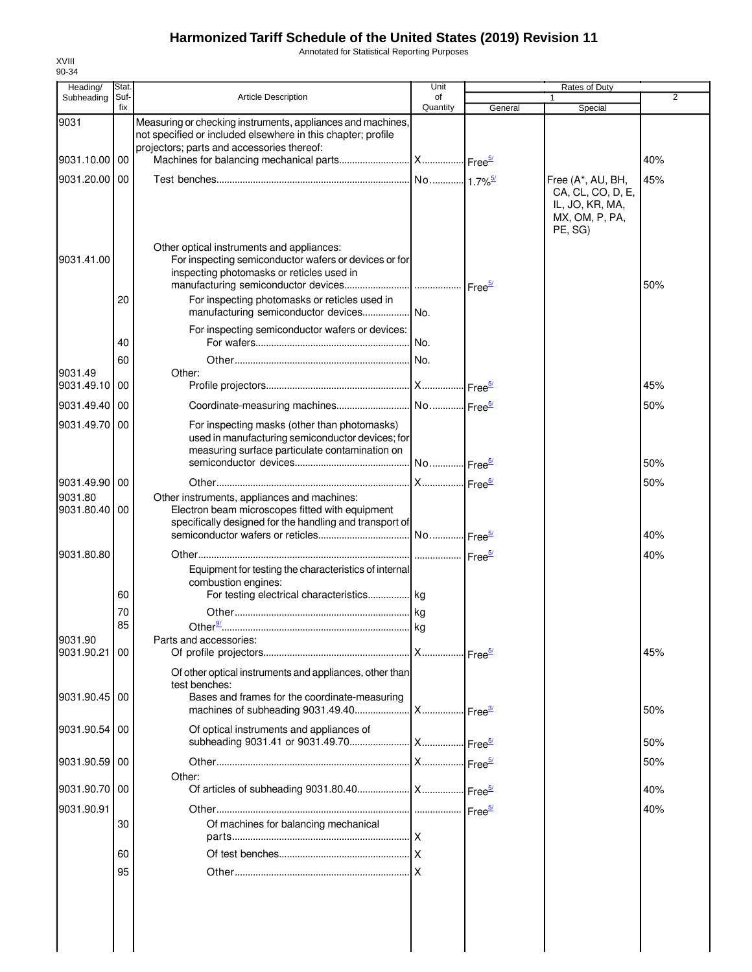Annotated for Statistical Reporting Purposes

| Heading/                 | Stat.       |                                                                                                                                                                           | Unit           |                    | Rates of Duty                                                     |                |
|--------------------------|-------------|---------------------------------------------------------------------------------------------------------------------------------------------------------------------------|----------------|--------------------|-------------------------------------------------------------------|----------------|
| Subheading               | Suf-<br>fix | <b>Article Description</b>                                                                                                                                                | of<br>Quantity | General            | 1<br>Special                                                      | $\overline{2}$ |
| 9031                     |             | Measuring or checking instruments, appliances and machines,<br>not specified or included elsewhere in this chapter; profile<br>projectors; parts and accessories thereof: |                |                    |                                                                   |                |
| 9031.10.00 00            |             |                                                                                                                                                                           |                |                    |                                                                   | 40%            |
| 9031.20.00               | 00          |                                                                                                                                                                           |                |                    | Free (A*, AU, BH,                                                 | 45%            |
|                          |             |                                                                                                                                                                           |                |                    | CA, CL, CO, D, E,<br>IL, JO, KR, MA,<br>MX, OM, P, PA,<br>PE, SG) |                |
| 9031.41.00               |             | Other optical instruments and appliances:<br>For inspecting semiconductor wafers or devices or for<br>inspecting photomasks or reticles used in                           |                |                    |                                                                   | 50%            |
|                          | 20          | For inspecting photomasks or reticles used in<br>manufacturing semiconductor devices No.                                                                                  |                |                    |                                                                   |                |
|                          | 40          | For inspecting semiconductor wafers or devices:                                                                                                                           |                |                    |                                                                   |                |
|                          | 60          |                                                                                                                                                                           |                |                    |                                                                   |                |
| 9031.49<br>9031.49.10 00 |             | Other:                                                                                                                                                                    |                |                    |                                                                   | 45%            |
|                          |             |                                                                                                                                                                           |                |                    |                                                                   | 50%            |
| 9031.49.40 00            |             |                                                                                                                                                                           |                |                    |                                                                   |                |
| 9031.49.70 00            |             | For inspecting masks (other than photomasks)<br>used in manufacturing semiconductor devices; for<br>measuring surface particulate contamination on                        |                |                    |                                                                   | 50%            |
|                          |             |                                                                                                                                                                           |                |                    |                                                                   |                |
| 9031.49.90 00<br>9031.80 |             | Other instruments, appliances and machines:                                                                                                                               |                |                    |                                                                   | 50%            |
| 9031.80.40 00            |             | Electron beam microscopes fitted with equipment<br>specifically designed for the handling and transport of                                                                |                |                    |                                                                   |                |
|                          |             |                                                                                                                                                                           |                |                    |                                                                   | 40%            |
| 9031.80.80               |             |                                                                                                                                                                           |                |                    |                                                                   | 40%            |
|                          | 60          | Equipment for testing the characteristics of internal<br>combustion engines:<br>For testing electrical characteristics kg                                                 |                |                    |                                                                   |                |
|                          | 70          |                                                                                                                                                                           |                |                    |                                                                   |                |
|                          | 85          | Other $\frac{9}{2}$ .                                                                                                                                                     |                |                    |                                                                   |                |
| 9031.90<br>9031.90.21 00 |             | Parts and accessories:                                                                                                                                                    |                |                    |                                                                   | 45%            |
|                          |             | Of other optical instruments and appliances, other than<br>test benches:                                                                                                  |                |                    |                                                                   |                |
| 9031.90.45 00            |             | Bases and frames for the coordinate-measuring                                                                                                                             |                |                    |                                                                   | 50%            |
| 9031.90.54 00            |             | Of optical instruments and appliances of                                                                                                                                  |                |                    |                                                                   | 50%            |
| 9031.90.59 00            |             | Other:                                                                                                                                                                    |                |                    |                                                                   | 50%            |
| 9031.90.70 00            |             |                                                                                                                                                                           |                |                    |                                                                   | 40%            |
| 9031.90.91               |             |                                                                                                                                                                           |                | Free <sup>5/</sup> |                                                                   | 40%            |
|                          | 30          | Of machines for balancing mechanical                                                                                                                                      |                |                    |                                                                   |                |
|                          | 60          |                                                                                                                                                                           |                |                    |                                                                   |                |
|                          | 95          |                                                                                                                                                                           |                |                    |                                                                   |                |
|                          |             |                                                                                                                                                                           |                |                    |                                                                   |                |
|                          |             |                                                                                                                                                                           |                |                    |                                                                   |                |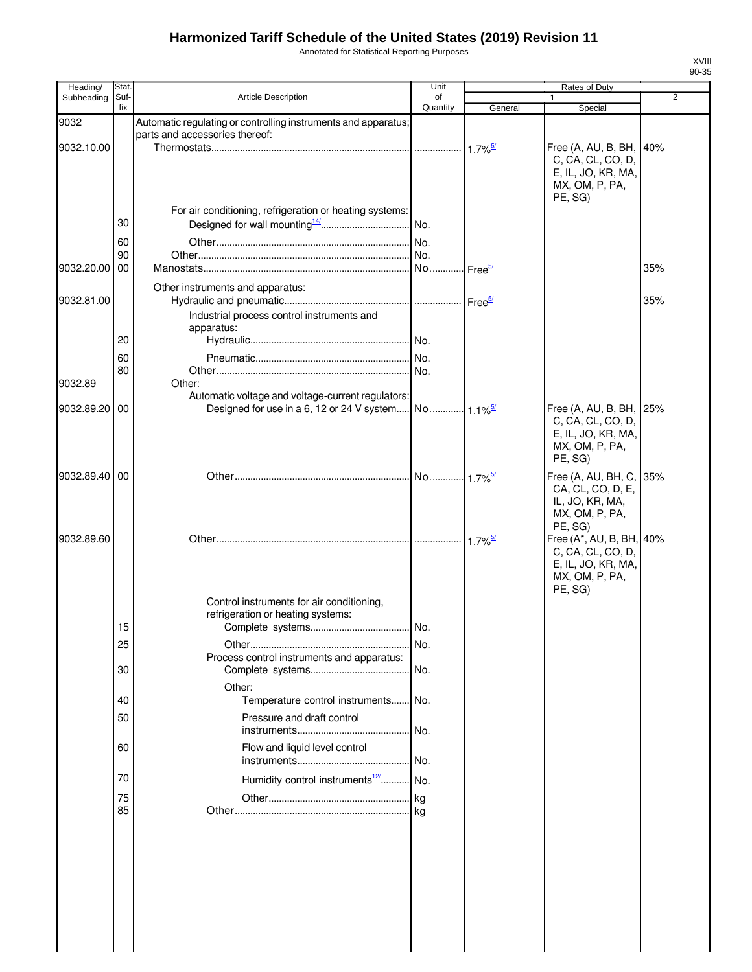Annotated for Statistical Reporting Purposes

| Heading/      | Stat.       |                                                                | Unit           | <b>Rates of Duty</b>  |                                              |                |
|---------------|-------------|----------------------------------------------------------------|----------------|-----------------------|----------------------------------------------|----------------|
| Subheading    | Suf-<br>fix | Article Description                                            | of<br>Quantity | General               | 1<br>Special                                 | $\overline{2}$ |
| 9032          |             | Automatic regulating or controlling instruments and apparatus; |                |                       |                                              |                |
|               |             | parts and accessories thereof:                                 |                |                       |                                              |                |
| 9032.10.00    |             |                                                                |                | $1.7\%$ <sup>5/</sup> | Free (A, AU, B, BH, 40%                      |                |
|               |             |                                                                |                |                       | C, CA, CL, CO, D,                            |                |
|               |             |                                                                |                |                       | E, IL, JO, KR, MA,                           |                |
|               |             |                                                                |                |                       | MX, OM, P, PA,<br>PE, SG)                    |                |
|               |             | For air conditioning, refrigeration or heating systems:        |                |                       |                                              |                |
|               | 30          |                                                                |                |                       |                                              |                |
|               | 60          |                                                                | No.            |                       |                                              |                |
|               | 90          |                                                                |                |                       |                                              |                |
| 9032.20.00    | 00          |                                                                |                | - Free <sup>5/</sup>  |                                              | 35%            |
|               |             | Other instruments and apparatus:                               |                |                       |                                              |                |
| 9032.81.00    |             |                                                                |                |                       |                                              | 35%            |
|               |             | Industrial process control instruments and                     |                |                       |                                              |                |
|               |             | apparatus:                                                     |                |                       |                                              |                |
|               | 20          |                                                                |                |                       |                                              |                |
|               | 60          |                                                                |                |                       |                                              |                |
|               | 80          |                                                                |                |                       |                                              |                |
| 9032.89       |             | Other:                                                         |                |                       |                                              |                |
| 9032.89.20    |             | Automatic voltage and voltage-current regulators:              |                |                       |                                              |                |
|               | 00          |                                                                |                |                       | Free (A, AU, B, BH, 25%<br>C, CA, CL, CO, D, |                |
|               |             |                                                                |                |                       | E, IL, JO, KR, MA,                           |                |
|               |             |                                                                |                |                       | MX, OM, P, PA,                               |                |
|               |             |                                                                |                |                       | PE, SG)                                      |                |
| 9032.89.40 00 |             |                                                                |                |                       | Free (A, AU, BH, C, 35%                      |                |
|               |             |                                                                |                |                       | CA, CL, CO, D, E,                            |                |
|               |             |                                                                |                |                       | IL, JO, KR, MA,                              |                |
|               |             |                                                                |                |                       | MX, OM, P, PA,<br>PE, SG)                    |                |
| 9032.89.60    |             |                                                                |                |                       | Free (A*, AU, B, BH, 40%                     |                |
|               |             |                                                                |                |                       | C, CA, CL, CO, D,                            |                |
|               |             |                                                                |                |                       | E, IL, JO, KR, MA,                           |                |
|               |             |                                                                |                |                       | MX, OM, P, PA,                               |                |
|               |             | Control instruments for air conditioning,                      |                |                       | PE, SG)                                      |                |
|               |             | refrigeration or heating systems:                              |                |                       |                                              |                |
|               | 15          |                                                                | I No.          |                       |                                              |                |
|               | 25          |                                                                | No.            |                       |                                              |                |
|               |             | Process control instruments and apparatus:                     |                |                       |                                              |                |
|               | 30          |                                                                | No.            |                       |                                              |                |
|               |             | Other:                                                         |                |                       |                                              |                |
|               | 40          | Temperature control instruments No.                            |                |                       |                                              |                |
|               | 50          | Pressure and draft control                                     |                |                       |                                              |                |
|               |             |                                                                | No.            |                       |                                              |                |
|               | 60          | Flow and liquid level control                                  |                |                       |                                              |                |
|               |             |                                                                | No.            |                       |                                              |                |
|               | 70          | Humidity control instruments <sup>12</sup>                     | No.            |                       |                                              |                |
|               | 75          |                                                                | kg             |                       |                                              |                |
|               | 85          |                                                                |                |                       |                                              |                |
|               |             |                                                                |                |                       |                                              |                |
|               |             |                                                                |                |                       |                                              |                |
|               |             |                                                                |                |                       |                                              |                |
|               |             |                                                                |                |                       |                                              |                |
|               |             |                                                                |                |                       |                                              |                |
|               |             |                                                                |                |                       |                                              |                |
|               |             |                                                                |                |                       |                                              |                |
|               |             |                                                                |                |                       |                                              |                |
|               |             |                                                                |                |                       |                                              |                |
|               |             |                                                                |                |                       |                                              |                |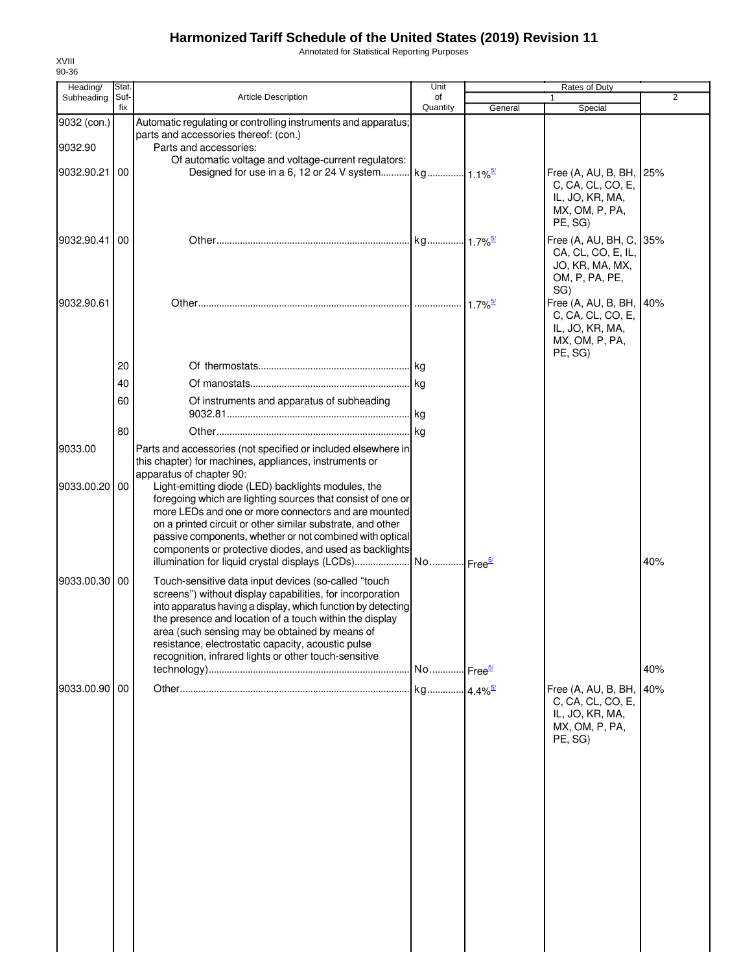Annotated for Statistical Reporting Purposes

| Heading/      | Stat.       |                                                                                                                     | Unit                  |         | Rates of Duty                        |                |
|---------------|-------------|---------------------------------------------------------------------------------------------------------------------|-----------------------|---------|--------------------------------------|----------------|
| Subheading    | Suf-<br>fix | <b>Article Description</b>                                                                                          | of<br>Quantity        | General | 1                                    | $\overline{2}$ |
| 9032 (con.)   |             | Automatic regulating or controlling instruments and apparatus;                                                      |                       |         | Special                              |                |
|               |             | parts and accessories thereof: (con.)                                                                               |                       |         |                                      |                |
| 9032.90       |             | Parts and accessories:                                                                                              |                       |         |                                      |                |
|               |             | Of automatic voltage and voltage-current regulators:                                                                |                       |         |                                      |                |
| 9032.90.21    | 00          |                                                                                                                     |                       |         | Free (A, AU, B, BH, 25%              |                |
|               |             |                                                                                                                     |                       |         | C, CA, CL, CO, E,                    |                |
|               |             |                                                                                                                     |                       |         | IL, JO, KR, MA,<br>MX, OM, P, PA,    |                |
|               |             |                                                                                                                     |                       |         | PE, SG)                              |                |
| 9032.90.41    | 00          |                                                                                                                     |                       |         | Free (A, AU, BH, C, 35%              |                |
|               |             |                                                                                                                     |                       |         | CA, CL, CO, E, IL,                   |                |
|               |             |                                                                                                                     |                       |         | JO, KR, MA, MX,                      |                |
|               |             |                                                                                                                     |                       |         | OM, P, PA, PE,                       |                |
|               |             |                                                                                                                     |                       |         | SG)                                  |                |
| 9032.90.61    |             |                                                                                                                     |                       | $1.7\%$ | Free (A, AU, B, BH, 40%              |                |
|               |             |                                                                                                                     |                       |         | C, CA, CL, CO, E,<br>IL, JO, KR, MA, |                |
|               |             |                                                                                                                     |                       |         | MX, OM, P, PA,                       |                |
|               |             |                                                                                                                     |                       |         | PE, SG)                              |                |
|               | 20          |                                                                                                                     | . kg                  |         |                                      |                |
|               | 40          |                                                                                                                     |                       |         |                                      |                |
|               | 60          | Of instruments and apparatus of subheading                                                                          |                       |         |                                      |                |
|               |             |                                                                                                                     | kg                    |         |                                      |                |
|               | 80          |                                                                                                                     |                       |         |                                      |                |
|               |             |                                                                                                                     |                       |         |                                      |                |
| 9033.00       |             | Parts and accessories (not specified or included elsewhere in                                                       |                       |         |                                      |                |
|               |             | this chapter) for machines, appliances, instruments or<br>apparatus of chapter 90:                                  |                       |         |                                      |                |
| 9033.00.20    | 00          | Light-emitting diode (LED) backlights modules, the                                                                  |                       |         |                                      |                |
|               |             | foregoing which are lighting sources that consist of one or                                                         |                       |         |                                      |                |
|               |             | more LEDs and one or more connectors and are mounted                                                                |                       |         |                                      |                |
|               |             | on a printed circuit or other similar substrate, and other                                                          |                       |         |                                      |                |
|               |             | passive components, whether or not combined with optical<br>components or protective diodes, and used as backlights |                       |         |                                      |                |
|               |             | illumination for liquid crystal displays (LCDs)                                                                     | No Free <sup>5/</sup> |         |                                      | 40%            |
|               |             |                                                                                                                     |                       |         |                                      |                |
| 9033.00.30    | 00          | Touch-sensitive data input devices (so-called "touch<br>screens") without display capabilities, for incorporation   |                       |         |                                      |                |
|               |             | into apparatus having a display, which function by detecting                                                        |                       |         |                                      |                |
|               |             | the presence and location of a touch within the display                                                             |                       |         |                                      |                |
|               |             | area (such sensing may be obtained by means of                                                                      |                       |         |                                      |                |
|               |             | resistance, electrostatic capacity, acoustic pulse                                                                  |                       |         |                                      |                |
|               |             | recognition, infrared lights or other touch-sensitive                                                               |                       |         |                                      |                |
|               |             |                                                                                                                     | No Free <sup>5/</sup> |         |                                      | 40%            |
| 9033.00.90 00 |             |                                                                                                                     |                       |         | Free (A, AU, B, BH, 40%              |                |
|               |             |                                                                                                                     |                       |         | C, CA, CL, CO, E,                    |                |
|               |             |                                                                                                                     |                       |         | IL, JO, KR, MA,                      |                |
|               |             |                                                                                                                     |                       |         | MX, OM, P, PA,<br>PE, SG)            |                |
|               |             |                                                                                                                     |                       |         |                                      |                |
|               |             |                                                                                                                     |                       |         |                                      |                |
|               |             |                                                                                                                     |                       |         |                                      |                |
|               |             |                                                                                                                     |                       |         |                                      |                |
|               |             |                                                                                                                     |                       |         |                                      |                |
|               |             |                                                                                                                     |                       |         |                                      |                |
|               |             |                                                                                                                     |                       |         |                                      |                |
|               |             |                                                                                                                     |                       |         |                                      |                |
|               |             |                                                                                                                     |                       |         |                                      |                |
|               |             |                                                                                                                     |                       |         |                                      |                |
|               |             |                                                                                                                     |                       |         |                                      |                |
|               |             |                                                                                                                     |                       |         |                                      |                |
|               |             |                                                                                                                     |                       |         |                                      |                |
|               |             |                                                                                                                     |                       |         |                                      |                |
|               |             |                                                                                                                     |                       |         |                                      |                |